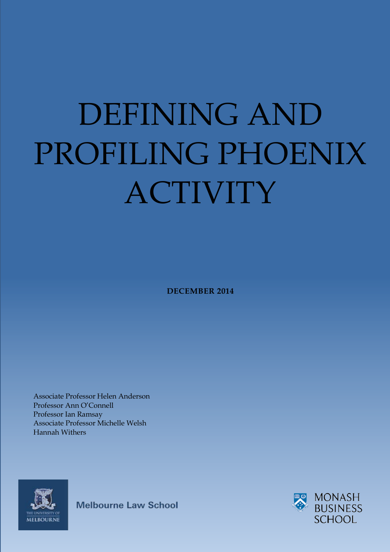# <span id="page-0-0"></span>DEFINING AND PROFILING PHOENIX ACTIVITY

**DECEMBER 2014**

Associate Professor Helen Anderson Professor Ann O'Connell Professor Ian Ramsay Associate Professor Michelle Welsh Hannah Withers



**Melbourne Law School** 

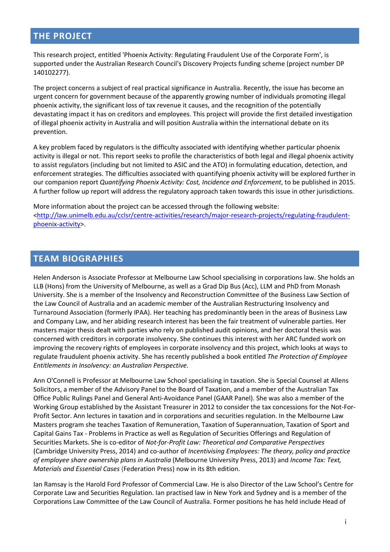## **THE PROJECT**

This research project, entitled 'Phoenix Activity: Regulating Fraudulent Use of the Corporate Form', is supported under the Australian Research Council's Discovery Projects funding scheme (project number DP 140102277).

The project concerns a subject of real practical significance in Australia. Recently, the issue has become an urgent concern for government because of the apparently growing number of individuals promoting illegal phoenix activity, the significant loss of tax revenue it causes, and the recognition of the potentially devastating impact it has on creditors and employees. This project will provide the first detailed investigation of illegal phoenix activity in Australia and will position Australia within the international debate on its prevention.

A key problem faced by regulators is the difficulty associated with identifying whether particular phoenix activity is illegal or not. This report seeks to profile the characteristics of both legal and illegal phoenix activity to assist regulators (including but not limited to ASIC and the ATO) in formulating education, detection, and enforcement strategies. The difficulties associated with quantifying phoenix activity will be explored further in our companion report *Quantifying Phoenix Activity: Cost, Incidence and Enforcement*, to be published in 2015. A further follow up report will address the regulatory approach taken towards this issue in other jurisdictions.

More information about the project can be accessed through the following website: [<http://law.unimelb.edu.au/cclsr/centre-activities/research/major-research-projects/regulating-fraudulent](http://law.unimelb.edu.au/cclsr/centre-activities/research/major-research-projects/regulating-fraudulent-phoenix-activity)[phoenix-activity>](http://law.unimelb.edu.au/cclsr/centre-activities/research/major-research-projects/regulating-fraudulent-phoenix-activity).

## <span id="page-1-0"></span>**TEAM BIOGRAPHIES**

Helen Anderson is Associate Professor at Melbourne Law School specialising in corporations law. She holds an LLB (Hons) from the University of Melbourne, as well as a Grad Dip Bus (Acc), LLM and PhD from Monash University. She is a member of the Insolvency and Reconstruction Committee of the Business Law Section of the Law Council of Australia and an academic member of the Australian Restructuring Insolvency and Turnaround Association (formerly IPAA). Her teaching has predominantly been in the areas of Business Law and Company Law, and her abiding research interest has been the fair treatment of vulnerable parties. Her masters major thesis dealt with parties who rely on published audit opinions, and her doctoral thesis was concerned with creditors in corporate insolvency. She continues this interest with her ARC funded work on improving the recovery rights of employees in corporate insolvency and this project, which looks at ways to regulate fraudulent phoenix activity. She has recently published a book entitled *The Protection of Employee Entitlements in Insolvency: an Australian Perspective*.

Ann O'Connell is Professor at Melbourne Law School specialising in taxation. She is Special Counsel at Allens Solicitors, a member of the Advisory Panel to the Board of Taxation, and a member of the Australian Tax Office Public Rulings Panel and General Anti-Avoidance Panel (GAAR Panel). She was also a member of the Working Group established by the Assistant Treasurer in 2012 to consider the tax concessions for the Not-For-Profit Sector. Ann lectures in taxation and in corporations and securities regulation. In the Melbourne Law Masters program she teaches Taxation of Remuneration, Taxation of Superannuation, Taxation of Sport and Capital Gains Tax - Problems in Practice as well as Regulation of Securities Offerings and Regulation of Securities Markets. She is co-editor of *Not-for-Profit Law: Theoretical and Comparative Perspectives* (Cambridge University Press, 2014) and co-author of *Incentivising Employees: The theory, policy and practice of employee share ownership plans in Australia* (Melbourne University Press, 2013) and *Income Tax: Text, Materials and Essential Cases* (Federation Press) now in its 8th edition.

Ian Ramsay is the Harold Ford Professor of Commercial Law. He is also Director of the Law School's Centre for Corporate Law and Securities Regulation. Ian practised law in New York and Sydney and is a member of the Corporations Law Committee of the Law Council of Australia. Former positions he has held include Head of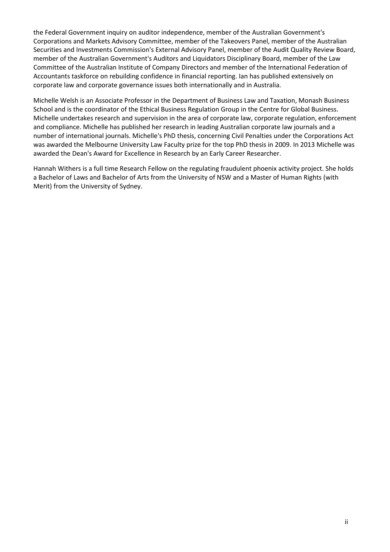the Federal Government inquiry on auditor independence, member of the Australian Government's Corporations and Markets Advisory Committee, member of the Takeovers Panel, member of the Australian Securities and Investments Commission's External Advisory Panel, member of the Audit Quality Review Board, member of the Australian Government's Auditors and Liquidators Disciplinary Board, member of the Law Committee of the Australian Institute of Company Directors and member of the International Federation of Accountants taskforce on rebuilding confidence in financial reporting. Ian has published extensively on corporate law and corporate governance issues both internationally and in Australia.

Michelle Welsh is an Associate Professor in the Department of Business Law and Taxation, Monash Business School and is the coordinator of the Ethical Business Regulation Group in the Centre for Global Business. Michelle undertakes research and supervision in the area of corporate law, corporate regulation, enforcement and compliance. Michelle has published her research in leading Australian corporate law journals and a number of international journals. Michelle's PhD thesis, concerning Civil Penalties under the Corporations Act was awarded the Melbourne University Law Faculty prize for the top PhD thesis in 2009. In 2013 Michelle was awarded the Dean's Award for Excellence in Research by an Early Career Researcher.

Hannah Withers is a full time Research Fellow on the regulating fraudulent phoenix activity project. She holds a Bachelor of Laws and Bachelor of Arts from the University of NSW and a Master of Human Rights (with Merit) from the University of Sydney.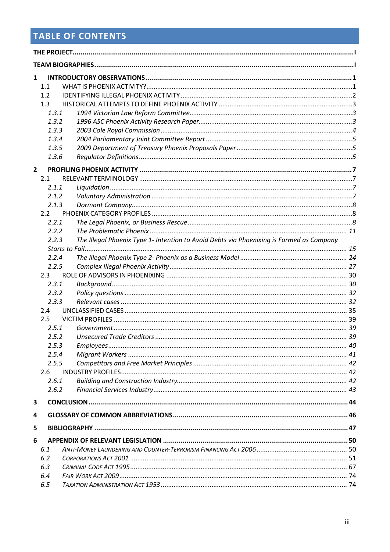## **TABLE OF CONTENTS**

| $\mathbf{1}$   |               |                                                                                          |  |  |
|----------------|---------------|------------------------------------------------------------------------------------------|--|--|
|                | 1.1           |                                                                                          |  |  |
|                | 1.2           |                                                                                          |  |  |
|                | 1.3           |                                                                                          |  |  |
|                | 1.3.1         |                                                                                          |  |  |
|                | 1.3.2         |                                                                                          |  |  |
|                | 1.3.3         |                                                                                          |  |  |
|                | 1.3.4         |                                                                                          |  |  |
|                | 1.3.5         |                                                                                          |  |  |
|                | 1.3.6         |                                                                                          |  |  |
| $\overline{2}$ |               |                                                                                          |  |  |
|                | 2.1           |                                                                                          |  |  |
|                | 2.1.1         |                                                                                          |  |  |
|                | 2.1.2         |                                                                                          |  |  |
|                | 2.1.3         |                                                                                          |  |  |
|                | $2.2^{\circ}$ |                                                                                          |  |  |
|                | 2.2.1         |                                                                                          |  |  |
|                | 2.2.2         |                                                                                          |  |  |
|                | 2.2.3         | The Illegal Phoenix Type 1- Intention to Avoid Debts via Phoenixing is Formed as Company |  |  |
|                |               |                                                                                          |  |  |
|                | 2.2.4         |                                                                                          |  |  |
|                | 2.2.5         |                                                                                          |  |  |
|                | 2.3           |                                                                                          |  |  |
|                | 2.3.1         |                                                                                          |  |  |
|                | 2.3.2         |                                                                                          |  |  |
|                | 2.3.3         |                                                                                          |  |  |
|                | 2.4           |                                                                                          |  |  |
|                | 2.5           |                                                                                          |  |  |
|                | 2.5.1         |                                                                                          |  |  |
|                | 2.5.2         |                                                                                          |  |  |
|                | 2.5.3         |                                                                                          |  |  |
|                | 2.5.4         |                                                                                          |  |  |
|                | 2.5.5         |                                                                                          |  |  |
|                | 2.6           |                                                                                          |  |  |
|                | 2.6.1         |                                                                                          |  |  |
|                | 2.6.2         |                                                                                          |  |  |
| 3              |               |                                                                                          |  |  |
| 4              |               |                                                                                          |  |  |
| 5              |               |                                                                                          |  |  |
| 6              |               |                                                                                          |  |  |
|                | 6.1           |                                                                                          |  |  |
|                | 6.2           |                                                                                          |  |  |
|                | 6.3           |                                                                                          |  |  |
|                | 6.4           |                                                                                          |  |  |
|                | 6.5           |                                                                                          |  |  |
|                |               |                                                                                          |  |  |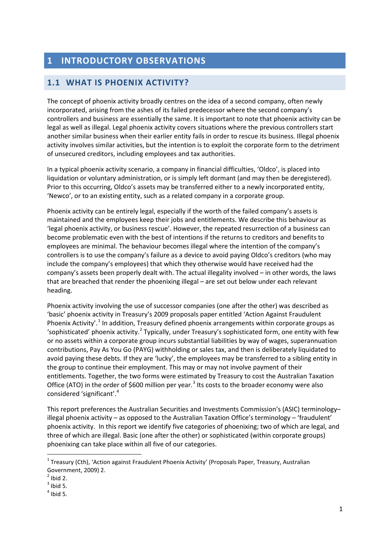## <span id="page-4-0"></span>**1 INTRODUCTORY OBSERVATIONS**

## <span id="page-4-1"></span>**1.1 WHAT IS PHOENIX ACTIVITY?**

The concept of phoenix activity broadly centres on the idea of a second company, often newly incorporated, arising from the ashes of its failed predecessor where the second company's controllers and business are essentially the same. It is important to note that phoenix activity can be legal as well as illegal. Legal phoenix activity covers situations where the previous controllers start another similar business when their earlier entity fails in order to rescue its business. Illegal phoenix activity involves similar activities, but the intention is to exploit the corporate form to the detriment of unsecured creditors, including employees and tax authorities.

In a typical phoenix activity scenario, a company in financial difficulties, 'Oldco', is placed into liquidation or voluntary administration, or is simply left dormant (and may then be deregistered). Prior to this occurring, Oldco's assets may be transferred either to a newly incorporated entity, 'Newco', or to an existing entity, such as a related company in a corporate group.

Phoenix activity can be entirely legal, especially if the worth of the failed company's assets is maintained and the employees keep their jobs and entitlements. We describe this behaviour as 'legal phoenix activity, or business rescue'. However, the repeated resurrection of a business can become problematic even with the best of intentions if the returns to creditors and benefits to employees are minimal. The behaviour becomes illegal where the intention of the company's controllers is to use the company's failure as a device to avoid paying Oldco's creditors (who may include the company's employees) that which they otherwise would have received had the company's assets been properly dealt with. The actual illegality involved – in other words, the laws that are breached that render the phoenixing illegal – are set out below under each relevant heading.

Phoenix activity involving the use of successor companies (one after the other) was described as 'basic' phoenix activity in Treasury's 2009 proposals paper entitled 'Action Against Fraudulent Phoenix Activity'.<sup>[1](#page-4-2)</sup> In addition, Treasury defined phoenix arrangements within corporate groups as 'sophisticated' phoenix activity.<sup>[2](#page-4-3)</sup> Typically, under Treasury's sophisticated form, one entity with few or no assets within a corporate group incurs substantial liabilities by way of wages, superannuation contributions, Pay As You Go (PAYG) withholding or sales tax, and then is deliberately liquidated to avoid paying these debts. If they are 'lucky', the employees may be transferred to a sibling entity in the group to continue their employment. This may or may not involve payment of their entitlements. Together, the two forms were estimated by Treasury to cost the Australian Taxation Office (ATO) in the order of \$600 million per year.<sup>[3](#page-4-4)</sup> Its costs to the broader economy were also considered 'significant'. [4](#page-4-5)

This report preferences the Australian Securities and Investments Commission's (ASIC) terminology– illegal phoenix activity – as opposed to the Australian Taxation Office's terminology – 'fraudulent' phoenix activity. In this report we identify five categories of phoenixing; two of which are legal, and three of which are illegal. Basic (one after the other) or sophisticated (within corporate groups) phoenixing can take place within all five of our categories.

 $\overline{\phantom{a}}$ 

<span id="page-4-2"></span><sup>1</sup> Treasury (Cth), 'Action against Fraudulent Phoenix Activity' (Proposals Paper, Treasury, Australian Government, 2009) 2.<br> $2^2$  Ibid 2.

<span id="page-4-3"></span>

<span id="page-4-4"></span> $3$  Ibid 5.

<span id="page-4-5"></span> $<sup>4</sup>$  Ibid 5.</sup>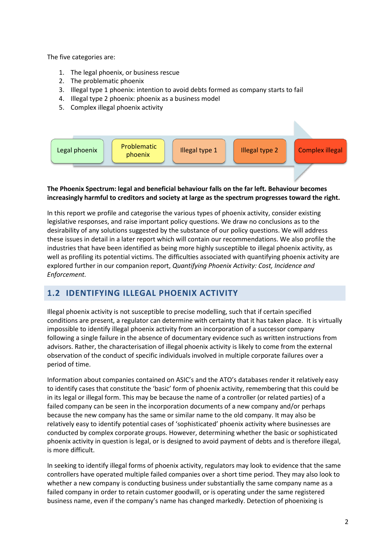The five categories are:

- 1. The legal phoenix, or business rescue
- 2. The problematic phoenix
- 3. Illegal type 1 phoenix: intention to avoid debts formed as company starts to fail
- 4. Illegal type 2 phoenix: phoenix as a business model
- 5. Complex illegal phoenix activity



#### **The Phoenix Spectrum: legal and beneficial behaviour falls on the far left. Behaviour becomes increasingly harmful to creditors and society at large as the spectrum progresses toward the right.**

In this report we profile and categorise the various types of phoenix activity, consider existing legislative responses, and raise important policy questions. We draw no conclusions as to the desirability of any solutions suggested by the substance of our policy questions. We will address these issues in detail in a later report which will contain our recommendations. We also profile the industries that have been identified as being more highly susceptible to illegal phoenix activity, as well as profiling its potential victims. The difficulties associated with quantifying phoenix activity are explored further in our companion report, *Quantifying Phoenix Activity: Cost, Incidence and Enforcement.*

## <span id="page-5-0"></span>**1.2 IDENTIFYING ILLEGAL PHOENIX ACTIVITY**

Illegal phoenix activity is not susceptible to precise modelling, such that if certain specified conditions are present, a regulator can determine with certainty that it has taken place. It is virtually impossible to identify illegal phoenix activity from an incorporation of a successor company following a single failure in the absence of documentary evidence such as written instructions from advisors. Rather, the characterisation of illegal phoenix activity is likely to come from the external observation of the conduct of specific individuals involved in multiple corporate failures over a period of time.

Information about companies contained on ASIC's and the ATO's databases render it relatively easy to identify cases that constitute the 'basic' form of phoenix activity, remembering that this could be in its legal or illegal form. This may be because the name of a controller (or related parties) of a failed company can be seen in the incorporation documents of a new company and/or perhaps because the new company has the same or similar name to the old company. It may also be relatively easy to identify potential cases of 'sophisticated' phoenix activity where businesses are conducted by complex corporate groups. However, determining whether the basic or sophisticated phoenix activity in question is legal, or is designed to avoid payment of debts and is therefore illegal, is more difficult.

In seeking to identify illegal forms of phoenix activity, regulators may look to evidence that the same controllers have operated multiple failed companies over a short time period. They may also look to whether a new company is conducting business under substantially the same company name as a failed company in order to retain customer goodwill, or is operating under the same registered business name, even if the company's name has changed markedly. Detection of phoenixing is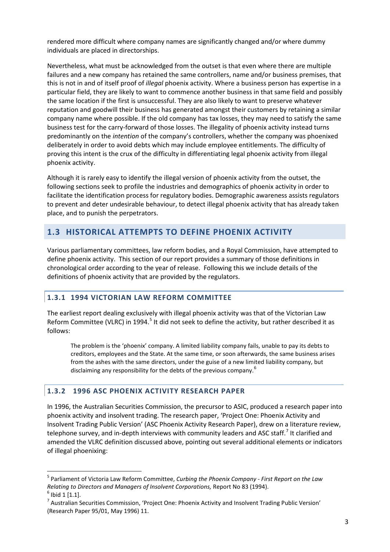rendered more difficult where company names are significantly changed and/or where dummy individuals are placed in directorships.

Nevertheless, what must be acknowledged from the outset is that even where there are multiple failures and a new company has retained the same controllers, name and/or business premises, that this is not in and of itself proof of *illegal* phoenix activity. Where a business person has expertise in a particular field, they are likely to want to commence another business in that same field and possibly the same location if the first is unsuccessful. They are also likely to want to preserve whatever reputation and goodwill their business has generated amongst their customers by retaining a similar company name where possible. If the old company has tax losses, they may need to satisfy the same business test for the carry-forward of those losses. The illegality of phoenix activity instead turns predominantly on the *intention* of the company's controllers, whether the company was phoenixed deliberately in order to avoid debts which may include employee entitlements. The difficulty of proving this intent is the crux of the difficulty in differentiating legal phoenix activity from illegal phoenix activity.

Although it is rarely easy to identify the illegal version of phoenix activity from the outset, the following sections seek to profile the industries and demographics of phoenix activity in order to facilitate the identification process for regulatory bodies. Demographic awareness assists regulators to prevent and deter undesirable behaviour, to detect illegal phoenix activity that has already taken place, and to punish the perpetrators.

## <span id="page-6-0"></span>**1.3 HISTORICAL ATTEMPTS TO DEFINE PHOENIX ACTIVITY**

Various parliamentary committees, law reform bodies, and a Royal Commission, have attempted to define phoenix activity. This section of our report provides a summary of those definitions in chronological order according to the year of release. Following this we include details of the definitions of phoenix activity that are provided by the regulators.

#### <span id="page-6-1"></span>**1.3.1 1994 VICTORIAN LAW REFORM COMMITTEE**

The earliest report dealing exclusively with illegal phoenix activity was that of the Victorian Law Reform Committee (VLRC) in 1994.<sup>[5](#page-6-3)</sup> It did not seek to define the activity, but rather described it as follows:

The problem is the 'phoenix' company. A limited liability company fails, unable to pay its debts to creditors, employees and the State. At the same time, or soon afterwards, the same business arises from the ashes with the same directors, under the guise of a new limited liability company, but disclaiming any responsibility for the debts of the previous company.<sup>[6](#page-6-4)</sup>

#### <span id="page-6-2"></span>**1.3.2 1996 ASC PHOENIX ACTIVITY RESEARCH PAPER**

In 1996, the Australian Securities Commission, the precursor to ASIC, produced a research paper into phoenix activity and insolvent trading. The research paper, 'Project One: Phoenix Activity and Insolvent Trading Public Version' (ASC Phoenix Activity Research Paper), drew on a literature review, telephone survey, and in-depth interviews with community leaders and ASC staff.<sup>[7](#page-6-5)</sup> It clarified and amended the VLRC definition discussed above, pointing out several additional elements or indicators of illegal phoenixing:

**.** 

<span id="page-6-3"></span><sup>5</sup> Parliament of Victoria Law Reform Committee, *Curbing the Phoenix Company - First Report on the Law Relating to Directors and Managers of Insolvent Corporations, Report No 83 (1994).* 6 Ibid 1 [1.1].

<span id="page-6-4"></span>

<span id="page-6-5"></span> $<sup>7</sup>$  Australian Securities Commission, 'Project One: Phoenix Activity and Insolvent Trading Public Version'</sup> (Research Paper 95/01, May 1996) 11.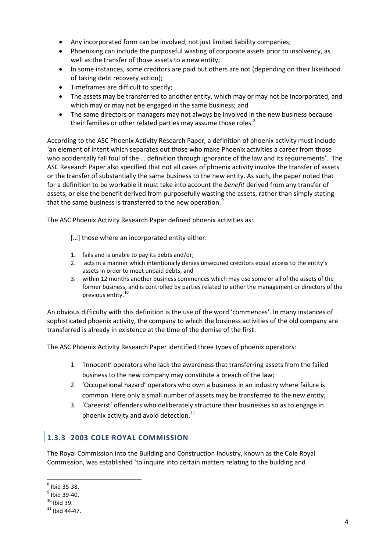- Any incorporated form can be involved, not just limited liability companies;
- Phoenixing can include the purposeful wasting of corporate assets prior to insolvency, as well as the transfer of those assets to a new entity;
- In some instances, some creditors are paid but others are not (depending on their likelihood of taking debt recovery action);
- Timeframes are difficult to specify;
- The assets may be transferred to another entity, which may or may not be incorporated, and which may or may not be engaged in the same business; and
- The same directors or managers may not always be involved in the new business because their families or other related parties may assume those roles.<sup>[8](#page-7-1)</sup>

According to the ASC Phoenix Activity Research Paper, a definition of phoenix activity must include 'an element of intent which separates out those who make Phoenix activities a career from those who accidentally fall foul of the … definition through ignorance of the law and its requirements'. The ASC Research Paper also specified that not all cases of phoenix activity involve the transfer of assets or the transfer of substantially the same business to the new entity. As such, the paper noted that for a definition to be workable it must take into account the *benefit* derived from any transfer of assets, or else the benefit derived from purposefully wasting the assets, rather than simply stating that the same business is transferred to the new operation.<sup>[9](#page-7-2)</sup>

The ASC Phoenix Activity Research Paper defined phoenix activities as:

- [...] those where an incorporated entity either:
- 1. fails and is unable to pay its debts and/or;
- 2. acts in a manner which intentionally denies unsecured creditors equal access to the entity's assets in order to meet unpaid debts; and
- 3. within 12 months another business commences which may use some or all of the assets of the former business, and is controlled by parties related to either the management or directors of the previous entity.<sup>[10](#page-7-3)</sup>

An obvious difficulty with this definition is the use of the word 'commences'. In many instances of sophisticated phoenix activity, the company to which the business activities of the old company are transferred is already in existence at the time of the demise of the first.

The ASC Phoenix Activity Research Paper identified three types of phoenix operators:

- 1. 'Innocent' operators who lack the awareness that transferring assets from the failed business to the new company may constitute a breach of the law;
- 2. 'Occupational hazard' operators who own a business in an industry where failure is common. Here only a small number of assets may be transferred to the new entity;
- 3. 'Careerist' offenders who deliberately structure their businesses so as to engage in phoenix activity and avoid detection. $^{11}$  $^{11}$  $^{11}$

#### <span id="page-7-0"></span>**1.3.3 2003 COLE ROYAL COMMISSION**

The Royal Commission into the Building and Construction Industry, known as the Cole Royal Commission, was established 'to inquire into certain matters relating to the building and

<span id="page-7-1"></span> $<sup>8</sup>$  Ibid 35-38.</sup>

<span id="page-7-2"></span> $\frac{9}{10}$  Ibid 39-40.<br>
<sup>10</sup> Ibid 39.<br>
<sup>11</sup> Ibid 44-47.

<span id="page-7-3"></span>

<span id="page-7-4"></span>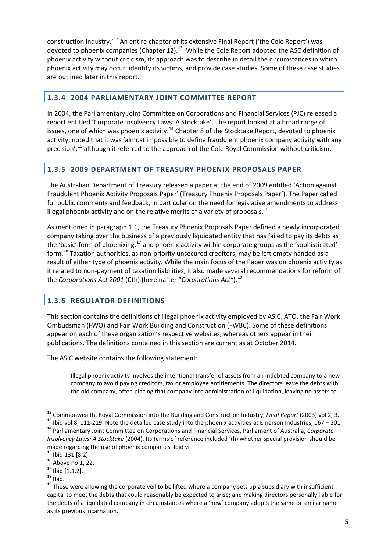construction industry.'[12](#page-8-3) An entire chapter of its extensive Final Report ('the Cole Report') was devoted to phoenix companies (Chapter 12).<sup>13</sup> While the Cole Report adopted the ASC definition of phoenix activity without criticism, its approach was to describe in detail the circumstances in which phoenix activity may occur, identify its victims, and provide case studies. Some of these case studies are outlined later in this report.

#### <span id="page-8-0"></span>**1.3.4 2004 PARLIAMENTARY JOINT COMMITTEE REPORT**

In 2004, the Parliamentary Joint Committee on Corporations and Financial Services (PJC) released a report entitled 'Corporate Insolvency Laws: A Stocktake'. The report looked at a broad range of issues, one of which was phoenix activity.<sup>[14](#page-8-5)</sup> Chapter 8 of the Stocktake Report, devoted to phoenix activity, noted that it was 'almost impossible to define fraudulent phoenix company activity with any precision',<sup>[15](#page-8-6)</sup> although it referred to the approach of the Cole Royal Commission without criticism.

#### <span id="page-8-1"></span>**1.3.5 2009 DEPARTMENT OF TREASURY PHOENIX PROPOSALS PAPER**

The Australian Department of Treasury released a paper at the end of 2009 entitled 'Action against Fraudulent Phoenix Activity Proposals Paper' (Treasury Phoenix Proposals Paper'). The Paper called for public comments and feedback, in particular on the need for legislative amendments to address illegal phoenix activity and on the relative merits of a variety of proposals.<sup>[16](#page-8-7)</sup>

As mentioned in paragraph 1.1, the Treasury Phoenix Proposals Paper defined a newly incorporated company taking over the business of a previously liquidated entity that has failed to pay its debts as the 'basic' form of phoenixing, $^{17}$  $^{17}$  $^{17}$  and phoenix activity within corporate groups as the 'sophisticated' form.<sup>[18](#page-8-9)</sup> Taxation authorities, as non-priority unsecured creditors, may be left empty handed as a result of either type of phoenix activity. While the main focus of the Paper was on phoenix activity as it related to non-payment of taxation liabilities, it also made several recommendations for reform of the *Corporations Act 2001* (Cth) (hereinafter "*Corporations Act"*). [19](#page-8-10)

#### <span id="page-8-2"></span>**1.3.6 REGULATOR DEFINITIONS**

This section contains the definitions of illegal phoenix activity employed by ASIC, ATO, the Fair Work Ombudsman (FWO) and Fair Work Building and Construction (FWBC). Some of these definitions appear on each of these organisation's respective websites, whereas others appear in their publications. The definitions contained in this section are current as at October 2014.

The ASIC website contains the following statement:

Illegal phoenix activity involves the intentional transfer of assets from an indebted company to a new company to avoid paying creditors, tax or employee entitlements. The directors leave the debts with the old company, often placing that company into administration or liquidation, leaving no assets to

<span id="page-8-3"></span><sup>&</sup>lt;sup>12</sup> Commonwealth, Royal Commission into the Building and Construction Industry, *Final Report* (2003) vol 2, 3.

<span id="page-8-5"></span><span id="page-8-4"></span><sup>&</sup>lt;sup>13</sup> Ibid vol 8, 111-219. Note the detailed case study into the phoenix activities at Emerson Industries, 167 – 201.<br><sup>14</sup> Parliamentary Joint Committee on Corporations and Financial Services, Parliament of Australia, Corp *Insolvency Laws: A Stocktake* (2004). Its terms of reference included '(h) whether special provision should be

<span id="page-8-7"></span>

<span id="page-8-10"></span><span id="page-8-9"></span><span id="page-8-8"></span>

<span id="page-8-6"></span>made regarding the use of phoenix companies' Ibid vii.<br>  $^{15}$  Ibid 131 [8.2].<br>  $^{16}$  Above no 1, 22.<br>  $^{17}$  Ibid [1.1.2].<br>  $^{18}$  Ibid.<br>  $^{18}$  Ibid.<br>  $^{19}$  These were allowing the corporate veil to be lifted where a capital to meet the debts that could reasonably be expected to arise; and making directors personally liable for the debts of a liquidated company in circumstances where a 'new' company adopts the same or similar name as its previous incarnation.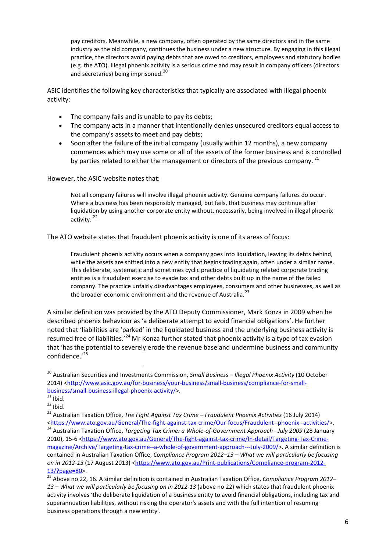pay creditors. Meanwhile, a new company, often operated by the same directors and in the same industry as the old company, continues the business under a new structure. By engaging in this illegal practice, the directors avoid paying debts that are owed to creditors, employees and statutory bodies (e.g. the ATO). Illegal phoenix activity is a serious crime and may result in company officers (directors and secretaries) being imprisoned.<sup>[20](#page-9-0)</sup>

ASIC identifies the following key characteristics that typically are associated with illegal phoenix activity:

- The company fails and is unable to pay its debts;
- The company acts in a manner that intentionally denies unsecured creditors equal access to the company's assets to meet and pay debts;
- Soon after the failure of the initial company (usually within 12 months), a new company commences which may use some or all of the assets of the former business and is controlled by parties related to either the management or directors of the previous company.<sup>[21](#page-9-1)</sup>

However, the ASIC website notes that:

Not all company failures will involve illegal phoenix activity. Genuine company failures do occur. Where a business has been responsibly managed, but fails, that business may continue after liquidation by using another corporate entity without, necessarily, being involved in illegal phoenix activity.<sup>[22](#page-9-2)</sup>

The ATO website states that fraudulent phoenix activity is one of its areas of focus:

Fraudulent phoenix activity occurs when a company goes into liquidation, leaving its debts behind, while the assets are shifted into a new entity that begins trading again, often under a similar name. This deliberate, systematic and sometimes cyclic practice of liquidating related corporate trading entities is a fraudulent exercise to evade tax and other debts built up in the name of the failed company. The practice unfairly disadvantages employees, consumers and other businesses, as well as the broader economic environment and the revenue of Australia.<sup>[23](#page-9-3)</sup>

A similar definition was provided by the ATO Deputy Commissioner, Mark Konza in 2009 when he described phoenix behaviour as 'a deliberate attempt to avoid financial obligations'. He further noted that 'liabilities are 'parked' in the liquidated business and the underlying business activity is resumed free of liabilities.<sup>'[24](#page-9-4)</sup> Mr Konza further stated that phoenix activity is a type of tax evasion that 'has the potential to severely erode the revenue base and undermine business and community confidence.'[25](#page-9-5)

 $\overline{\phantom{a}}$ 

<span id="page-9-0"></span><sup>20</sup> Australian Securities and Investments Commission, *Small Business – Illegal Phoenix Activity* (10 October 2014) <http://www.asic.gov.au/for-business/your-business/small-business/compliance-for-small-<br>business/small-business-illegal-phoenix-activity/>.<br><sup>21</sup> Ibid.

<span id="page-9-2"></span><span id="page-9-1"></span>[business/small-business-illegal-phoenix-activity/>](http://www.asic.gov.au/for-business/your-business/small-business/compliance-for-small-business/small-business-illegal-phoenix-activity/). [21](http://www.asic.gov.au/for-business/your-business/small-business/compliance-for-small-business/small-business-illegal-phoenix-activity/) Ibid. 22 Ibid. 23 Australian Taxation Office, *The Fight Against Tax Crime – Fraudulent Phoenix Activities* (16 July 2014)

<span id="page-9-4"></span><span id="page-9-3"></span>[<sup>&</sup>lt;https://www.ato.gov.au/General/The-fight-against-tax-crime/Our-focus/Fraudulent--phoenix--activities/>](https://www.ato.gov.au/General/The-fight-against-tax-crime/Our-focus/Fraudulent--phoenix--activities/).<br><sup>24</sup> Australian Taxation Office, *Targeting Tax Crime: a Whole-of-Government Approach - July 2009* (28 January 2010), 15-6 [<https://www.ato.gov.au/General/The-fight-against-tax-crime/In-detail/Targeting-Tax-Crime](https://www.ato.gov.au/General/The-fight-against-tax-crime/In-detail/Targeting-Tax-Crime-magazine/Archive/Targeting-tax-crime--a-whole-of-government-approach---July-2009/)[magazine/Archive/Targeting-tax-crime--a-whole-of-government-approach---July-2009/>](https://www.ato.gov.au/General/The-fight-against-tax-crime/In-detail/Targeting-Tax-Crime-magazine/Archive/Targeting-tax-crime--a-whole-of-government-approach---July-2009/). A similar definition is contained in Australian Taxation Office, *Compliance Program 2012–13 – What we will particularly be focusing on in 2012-13* (17 August 2013) [<https://www.ato.gov.au/Print-publications/Compliance-program-2012-](https://www.ato.gov.au/Print-publications/Compliance-program-2012-13/?page=80)

<span id="page-9-5"></span>[<sup>13/?</sup>page=80>](https://www.ato.gov.au/Print-publications/Compliance-program-2012-13/?page=80). <sup>25</sup> Above no 22, 16. A similar definition is contained in Australian Taxation Office, *Compliance Program 2012– 13 – What we will particularly be focusing on in 2012-13* (above no 22) which states that fraudulent phoenix activity involves 'the deliberate liquidation of a business entity to avoid financial obligations, including tax and superannuation liabilities, without risking the operator's assets and with the full intention of resuming business operations through a new entity'.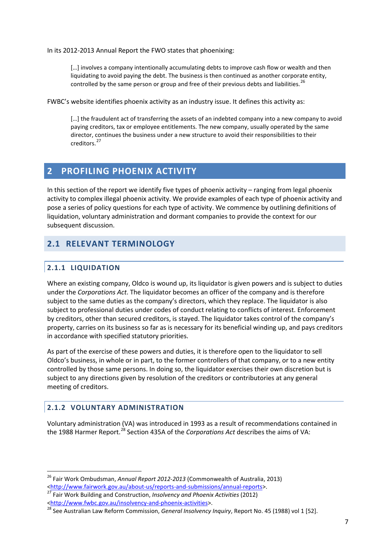In its 2012-2013 Annual Report the FWO states that phoenixing:

[…] involves a company intentionally accumulating debts to improve cash flow or wealth and then liquidating to avoid paying the debt. The business is then continued as another corporate entity, controlled by the same person or group and free of their previous debts and liabilities.<sup>[26](#page-10-4)</sup>

FWBC's website identifies phoenix activity as an industry issue. It defines this activity as:

[...] the fraudulent act of transferring the assets of an indebted company into a new company to avoid paying creditors, tax or employee entitlements. The new company, usually operated by the same director, continues the business under a new structure to avoid their responsibilities to their creditors.[27](#page-10-5)

## <span id="page-10-0"></span>**2 PROFILING PHOENIX ACTIVITY**

In this section of the report we identify five types of phoenix activity – ranging from legal phoenix activity to complex illegal phoenix activity. We provide examples of each type of phoenix activity and pose a series of policy questions for each type of activity. We commence by outlining definitions of liquidation, voluntary administration and dormant companies to provide the context for our subsequent discussion.

## <span id="page-10-2"></span><span id="page-10-1"></span>**2.1 RELEVANT TERMINOLOGY**

#### **2.1.1 LIQUIDATION**

**.** 

Where an existing company, Oldco is wound up, its liquidator is given powers and is subject to duties under the *Corporations Act*. The liquidator becomes an officer of the company and is therefore subject to the same duties as the company's directors, which they replace. The liquidator is also subject to professional duties under codes of conduct relating to conflicts of interest. Enforcement by creditors, other than secured creditors, is stayed. The liquidator takes control of the company's property, carries on its business so far as is necessary for its beneficial winding up, and pays creditors in accordance with specified statutory priorities.

As part of the exercise of these powers and duties, it is therefore open to the liquidator to sell Oldco's business, in whole or in part, to the former controllers of that company, or to a new entity controlled by those same persons. In doing so, the liquidator exercises their own discretion but is subject to any directions given by resolution of the creditors or contributories at any general meeting of creditors.

#### <span id="page-10-3"></span>**2.1.2 VOLUNTARY ADMINISTRATION**

Voluntary administration (VA) was introduced in 1993 as a result of recommendations contained in the 1988 Harmer Report.<sup>[28](#page-10-6)</sup> Section 435A of the *Corporations Act* describes the aims of VA:

<span id="page-10-4"></span><sup>26</sup> Fair Work Ombudsman, *Annual Report 2012-2013* (Commonwealth of Australia, 2013) [<http://www.fairwork.gov.au/about-us/reports-and-submissions/annual-reports>](http://www.fairwork.gov.au/about-us/reports-and-submissions/annual-reports). [27](http://www.fairwork.gov.au/about-us/reports-and-submissions/annual-reports) Fair Work Building and Construction, *Insolvency and Phoenix Activities* (2012)

<span id="page-10-6"></span><span id="page-10-5"></span>[<sup>&</sup>lt;http://www.fwbc.gov.au/insolvency-and-phoenix-activities>](http://www.fwbc.gov.au/insolvency-and-phoenix-activities). <sup>28</sup> See Australian Law Reform Commission, *General Insolvency Inquiry*, Report No. 45 (1988) vol 1 [52].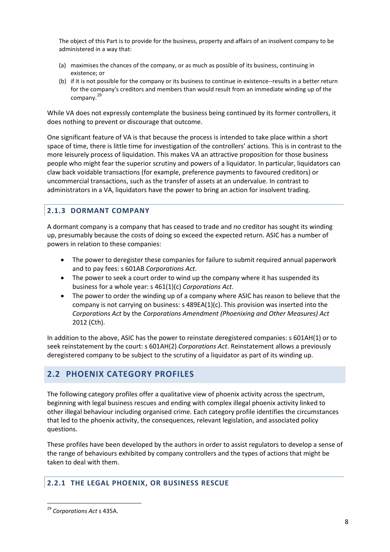The object of this Part is to provide for the business, property and affairs of an insolvent company to be administered in a way that:

- (a) maximises the chances of the company, or as much as possible of its business, continuing in existence; or
- (b) if it is not possible for the company or its business to continue in existence--results in a better return for the company's creditors and members than would result from an immediate winding up of the company. [29](#page-11-3)

While VA does not expressly contemplate the business being continued by its former controllers, it does nothing to prevent or discourage that outcome.

One significant feature of VA is that because the process is intended to take place within a short space of time, there is little time for investigation of the controllers' actions. This is in contrast to the more leisurely process of liquidation. This makes VA an attractive proposition for those business people who might fear the superior scrutiny and powers of a liquidator. In particular, liquidators can claw back voidable transactions (for example, preference payments to favoured creditors) or uncommercial transactions, such as the transfer of assets at an undervalue. In contrast to administrators in a VA, liquidators have the power to bring an action for insolvent trading.

#### <span id="page-11-0"></span>**2.1.3 DORMANT COMPANY**

A dormant company is a company that has ceased to trade and no creditor has sought its winding up, presumably because the costs of doing so exceed the expected return. ASIC has a number of powers in relation to these companies:

- The power to deregister these companies for failure to submit required annual paperwork and to pay fees: s 601AB *Corporations Act*.
- The power to seek a court order to wind up the company where it has suspended its business for a whole year: s 461(1)(c) *Corporations Act*.
- The power to order the winding up of a company where ASIC has reason to believe that the company is not carrying on business: s 489EA(1)(c). This provision was inserted into the *Corporations Act* by the *Corporations Amendment (Phoenixing and Other Measures) Act*  2012 (Cth).

In addition to the above, ASIC has the power to reinstate deregistered companies: s 601AH(1) or to seek reinstatement by the court: s 601AH(2) *Corporations Act*. Reinstatement allows a previously deregistered company to be subject to the scrutiny of a liquidator as part of its winding up.

## <span id="page-11-1"></span>**2.2 PHOENIX CATEGORY PROFILES**

The following category profiles offer a qualitative view of phoenix activity across the spectrum, beginning with legal business rescues and ending with complex illegal phoenix activity linked to other illegal behaviour including organised crime. Each category profile identifies the circumstances that led to the phoenix activity, the consequences, relevant legislation, and associated policy questions.

These profiles have been developed by the authors in order to assist regulators to develop a sense of the range of behaviours exhibited by company controllers and the types of actions that might be taken to deal with them.

#### <span id="page-11-2"></span>**2.2.1 THE LEGAL PHOENIX, OR BUSINESS RESCUE**

<span id="page-11-3"></span><sup>29</sup> *Corporations Act* s 435A.  $\overline{\phantom{a}}$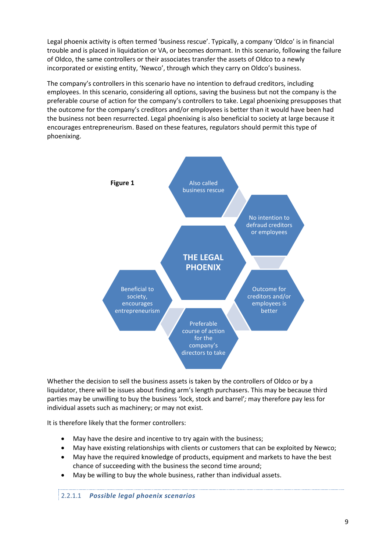Legal phoenix activity is often termed 'business rescue'. Typically, a company 'Oldco' is in financial trouble and is placed in liquidation or VA, or becomes dormant. In this scenario, following the failure of Oldco, the same controllers or their associates transfer the assets of Oldco to a newly incorporated or existing entity, 'Newco', through which they carry on Oldco's business.

The company's controllers in this scenario have no intention to defraud creditors, including employees. In this scenario, considering all options, saving the business but not the company is the preferable course of action for the company's controllers to take. Legal phoenixing presupposes that the outcome for the company's creditors and/or employees is better than it would have been had the business not been resurrected. Legal phoenixing is also beneficial to society at large because it encourages entrepreneurism. Based on these features, regulators should permit this type of phoenixing.



Whether the decision to sell the business assets is taken by the controllers of Oldco or by a liquidator, there will be issues about finding arm's length purchasers. This may be because third parties may be unwilling to buy the business 'lock, stock and barrel'*;* may therefore pay less for individual assets such as machinery; or may not exist*.*

It is therefore likely that the former controllers:

- May have the desire and incentive to try again with the business;
- May have existing relationships with clients or customers that can be exploited by Newco;
- May have the required knowledge of products, equipment and markets to have the best chance of succeeding with the business the second time around;
- May be willing to buy the whole business, rather than individual assets.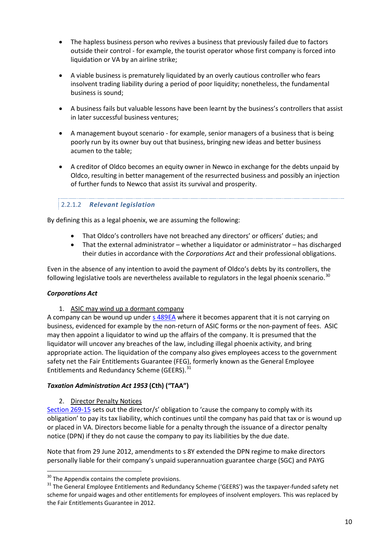- The hapless business person who revives a business that previously failed due to factors outside their control - for example, the tourist operator whose first company is forced into liquidation or VA by an airline strike;
- A viable business is prematurely liquidated by an overly cautious controller who fears insolvent trading liability during a period of poor liquidity; nonetheless, the fundamental business is sound;
- A business fails but valuable lessons have been learnt by the business's controllers that assist in later successful business ventures;
- A management buyout scenario for example, senior managers of a business that is being poorly run by its owner buy out that business, bringing new ideas and better business acumen to the table;
- A creditor of Oldco becomes an equity owner in Newco in exchange for the debts unpaid by Oldco, resulting in better management of the resurrected business and possibly an injection of further funds to Newco that assist its survival and prosperity.

#### 2.2.1.2 *Relevant legislation*

By defining this as a legal phoenix, we are assuming the following:

- That Oldco's controllers have not breached any directors' or officers' duties; and
- That the external administrator whether a liquidator or administrator has discharged their duties in accordance with the *Corporations Act* and their professional obligations.

Even in the absence of any intention to avoid the payment of Oldco's debts by its controllers, the following legislative tools are nevertheless available to regulators in the legal phoenix scenario.<sup>[30](#page-13-0)</sup>

#### *Corporations Act*

**.** 

1. ASIC may wind up a dormant company

A company can be wound up under [s 489EA](#page-57-0) where it becomes apparent that it is not carrying on business, evidenced for example by the non-return of ASIC forms or the non-payment of fees. ASIC may then appoint a liquidator to wind up the affairs of the company. It is presumed that the liquidator will uncover any breaches of the law, including illegal phoenix activity, and bring appropriate action. The liquidation of the company also gives employees access to the government safety net the Fair Entitlements Guarantee (FEG), formerly known as the General Employee Entitlements and Redundancy Scheme (GEERS).<sup>[31](#page-13-1)</sup>

#### *Taxation Administration Act 1953* **(Cth) ("TAA")**

2. Director Penalty Notices

[Section](#page-81-0) 269-15 sets out the director/s' obligation to 'cause the company to comply with its obligation' to pay its tax liability, which continues until the company has paid that tax or is wound up or placed in VA. Directors become liable for a penalty through the issuance of a director penalty notice (DPN) if they do not cause the company to pay its liabilities by the due date.

Note that from 29 June 2012, amendments to s 8Y extended the DPN regime to make directors personally liable for their company's unpaid superannuation guarantee charge (SGC) and PAYG

<span id="page-13-1"></span><span id="page-13-0"></span><sup>&</sup>lt;sup>30</sup> The Appendix contains the complete provisions.<br><sup>31</sup> The General Employee Entitlements and Redundancy Scheme ('GEERS') was the taxpayer-funded safety net scheme for unpaid wages and other entitlements for employees of insolvent employers. This was replaced by the Fair Entitlements Guarantee in 2012.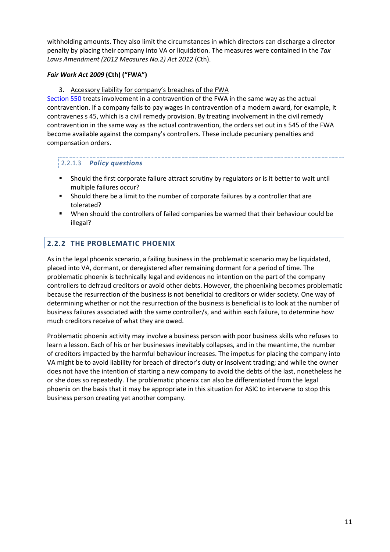withholding amounts. They also limit the circumstances in which directors can discharge a director penalty by placing their company into VA or liquidation. The measures were contained in the *Tax Laws Amendment (2012 Measures No.2) Act 2012* (Cth).

#### *Fair Work Act 2009* **(Cth) ("FWA")**

3. Accessory liability for company's breaches of the FWA

[Section 550](#page-77-2) treats involvement in a contravention of the FWA in the same way as the actual contravention. If a company fails to pay wages in contravention of a modern award, for example, it contravenes s 45, which is a civil remedy provision. By treating involvement in the civil remedy contravention in the same way as the actual contravention, the orders set out in s 545 of the FWA become available against the company's controllers. These include pecuniary penalties and compensation orders.

#### 2.2.1.3 *Policy questions*

- Should the first corporate failure attract scrutiny by regulators or is it better to wait until multiple failures occur?
- Should there be a limit to the number of corporate failures by a controller that are tolerated?
- When should the controllers of failed companies be warned that their behaviour could be illegal?

## <span id="page-14-0"></span>**2.2.2 THE PROBLEMATIC PHOENIX**

As in the legal phoenix scenario, a failing business in the problematic scenario may be liquidated, placed into VA, dormant, or deregistered after remaining dormant for a period of time. The problematic phoenix is technically legal and evidences no intention on the part of the company controllers to defraud creditors or avoid other debts. However, the phoenixing becomes problematic because the resurrection of the business is not beneficial to creditors or wider society. One way of determining whether or not the resurrection of the business is beneficial is to look at the number of business failures associated with the same controller/s, and within each failure, to determine how much creditors receive of what they are owed.

Problematic phoenix activity may involve a business person with poor business skills who refuses to learn a lesson. Each of his or her businesses inevitably collapses, and in the meantime, the number of creditors impacted by the harmful behaviour increases. The impetus for placing the company into VA might be to avoid liability for breach of director's duty or insolvent trading; and while the owner does not have the intention of starting a new company to avoid the debts of the last, nonetheless he or she does so repeatedly. The problematic phoenix can also be differentiated from the legal phoenix on the basis that it may be appropriate in this situation for ASIC to intervene to stop this business person creating yet another company.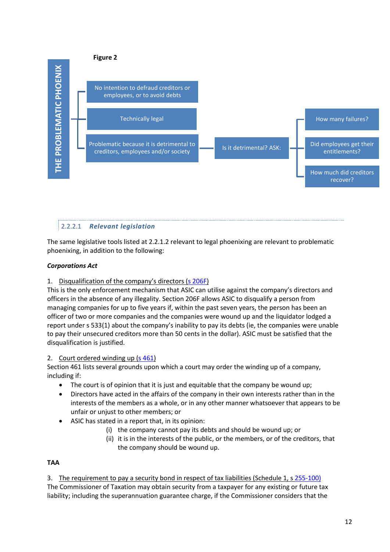

## 2.2.2.1 *Relevant legislation*

The same legislative tools listed at 2.2.1.2 relevant to legal phoenixing are relevant to problematic phoenixing, in addition to the following:

#### *Corporations Act*

1. Disqualification of the company's directors [\(s 206F\)](#page-57-1)

This is the only enforcement mechanism that ASIC can utilise against the company's directors and officers in the absence of any illegality. Section 206F allows ASIC to disqualify a person from managing companies for up to five years if, within the past seven years, the person has been an officer of two or more companies and the companies were wound up and the liquidator lodged a report under s 533(1) about the company's inability to pay its debts (ie, the companies were unable to pay their unsecured creditors more than 50 cents in the dollar). ASIC must be satisfied that the disqualification is justified.

#### 2. Court ordered winding up [\(s 461\)](#page-57-0)

Section 461 lists several grounds upon which a court may order the winding up of a company, including if:

- The court is of opinion that it is just and equitable that the company be wound up;
- Directors have acted in the affairs of the company in their own interests rather than in the interests of the members as a whole, or in any other manner whatsoever that appears to be unfair or unjust to other members; or
- ASIC has stated in a report that, in its opinion:
	- (i) the company cannot pay its debts and should be wound up; or
	- (ii) it is in the interests of the public, or the members, or of the creditors, that the company should be wound up.

#### **TAA**

3. The requirement to pay a security bond in respect of tax liabilities (Schedule 1, s [255-100\)](#page-80-0)

The Commissioner of Taxation may obtain security from a taxpayer for any existing or future tax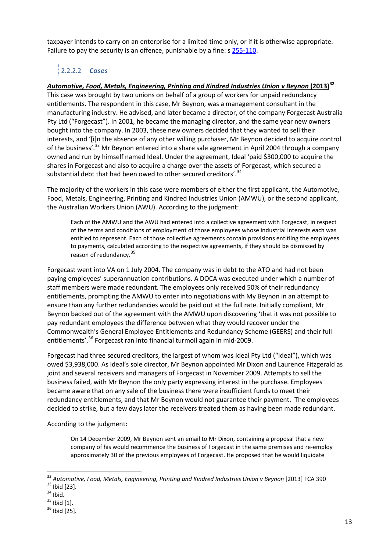taxpayer intends to carry on an enterprise for a limited time only, or if it is otherwise appropriate. Failure to pay the security is an offence, punishable by a fine: s [255-110.](#page-81-1)

## 2.2.2.2 *Cases*

*Automotive, Food, Metals, Engineering, Printing and Kindred Industries Union v Beynon* **(2013)[32](#page-16-0)** This case was brought by two unions on behalf of a group of workers for unpaid redundancy entitlements. The respondent in this case, Mr Beynon, was a management consultant in the manufacturing industry. He advised, and later became a director, of the company Forgecast Australia Pty Ltd ("Forgecast"). In 2001, he became the managing director, and the same year new owners bought into the company. In 2003, these new owners decided that they wanted to sell their interests, and '[i]n the absence of any other willing purchaser, Mr Beynon decided to acquire control of the business'.<sup>[33](#page-16-1)</sup> Mr Beynon entered into a share sale agreement in April 2004 through a company owned and run by himself named Ideal. Under the agreement, Ideal 'paid \$300,000 to acquire the shares in Forgecast and also to acquire a charge over the assets of Forgecast, which secured a substantial debt that had been owed to other secured creditors'.<sup>[34](#page-16-2)</sup>

The majority of the workers in this case were members of either the first applicant, the Automotive, Food, Metals, Engineering, Printing and Kindred Industries Union (AMWU), or the second applicant, the Australian Workers Union (AWU). According to the judgment:

Each of the AMWU and the AWU had entered into a collective agreement with Forgecast, in respect of the terms and conditions of employment of those employees whose industrial interests each was entitled to represent. Each of those collective agreements contain provisions entitling the employees to payments, calculated according to the respective agreements, if they should be dismissed by reason of redundancy.<sup>[35](#page-16-3)</sup>

Forgecast went into VA on 1 July 2004. The company was in debt to the ATO and had not been paying employees' superannuation contributions. A DOCA was executed under which a number of staff members were made redundant. The employees only received 50% of their redundancy entitlements, prompting the AMWU to enter into negotiations with My Beynon in an attempt to ensure than any further redundancies would be paid out at the full rate. Initially compliant, Mr Beynon backed out of the agreement with the AMWU upon discovering 'that it was not possible to pay redundant employees the difference between what they would recover under the Commonwealth's General Employee Entitlements and Redundancy Scheme (GEERS) and their full entitlements'.<sup>[36](#page-16-4)</sup> Forgecast ran into financial turmoil again in mid-2009.

Forgecast had three secured creditors, the largest of whom was Ideal Pty Ltd ("Ideal"), which was owed \$3,938,000. As Ideal's sole director, Mr Beynon appointed Mr Dixon and Laurence Fitzgerald as joint and several receivers and managers of Forgecast in November 2009. Attempts to sell the business failed, with Mr Beynon the only party expressing interest in the purchase. Employees became aware that on any sale of the business there were insufficient funds to meet their redundancy entitlements, and that Mr Beynon would not guarantee their payment. The employees decided to strike, but a few days later the receivers treated them as having been made redundant.

According to the judgment:

On 14 December 2009, Mr Beynon sent an email to Mr Dixon, containing a proposal that a new company of his would recommence the business of Forgecast in the same premises and re-employ approximately 30 of the previous employees of Forgecast. He proposed that he would liquidate

**.** 

<span id="page-16-1"></span><span id="page-16-0"></span><sup>&</sup>lt;sup>32</sup> Automotive, Food, Metals, Engineering, Printing and Kindred Industries Union v Beynon [2013] FCA 390<br><sup>33</sup> Ibid [23].<br><sup>34</sup> Ibid. 35 Ibid [1].<br><sup>35</sup> Ibid [25].

<span id="page-16-2"></span>

<span id="page-16-3"></span>

<span id="page-16-4"></span>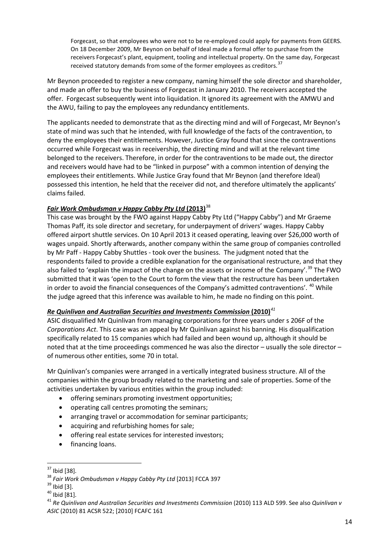Forgecast, so that employees who were not to be re-employed could apply for payments from GEERS. On 18 December 2009, Mr Beynon on behalf of Ideal made a formal offer to purchase from the receivers Forgecast's plant, equipment, tooling and intellectual property. On the same day, Forgecast received statutory demands from some of the former employees as creditors.<sup>[37](#page-17-0)</sup>

Mr Beynon proceeded to register a new company, naming himself the sole director and shareholder, and made an offer to buy the business of Forgecast in January 2010. The receivers accepted the offer. Forgecast subsequently went into liquidation. It ignored its agreement with the AMWU and the AWU, failing to pay the employees any redundancy entitlements.

The applicants needed to demonstrate that as the directing mind and will of Forgecast, Mr Beynon's state of mind was such that he intended, with full knowledge of the facts of the contravention, to deny the employees their entitlements. However, Justice Gray found that since the contraventions occurred while Forgecast was in receivership, the directing mind and will at the relevant time belonged to the receivers. Therefore, in order for the contraventions to be made out, the director and receivers would have had to be "linked in purpose" with a common intention of denying the employees their entitlements. While Justice Gray found that Mr Beynon (and therefore Ideal) possessed this intention, he held that the receiver did not, and therefore ultimately the applicants' claims failed.

#### *Fair Work Ombudsman v Happy Cabby Pty Ltd* **(2013)**[38](#page-17-1)

This case was brought by the FWO against Happy Cabby Pty Ltd ("Happy Cabby") and Mr Graeme Thomas Paff, its sole director and secretary, for underpayment of drivers' wages. Happy Cabby offered airport shuttle services. On 10 April 2013 it ceased operating, leaving over \$26,000 worth of wages unpaid. Shortly afterwards, another company within the same group of companies controlled by Mr Paff - Happy Cabby Shuttles - took over the business. The judgment noted that the respondents failed to provide a credible explanation for the organisational restructure, and that they also failed to 'explain the impact of the change on the assets or income of the Company'.<sup>[39](#page-17-2)</sup> The FWO submitted that it was 'open to the Court to form the view that the restructure has been undertaken in order to avoid the financial consequences of the Company's admitted contraventions'. <sup>[40](#page-17-3)</sup> While the judge agreed that this inference was available to him, he made no finding on this point.

#### *Re Quinlivan and Australian Securities and Investments Commission* **(2010)***[41](#page-17-4)*

ASIC disqualified Mr Quinlivan from managing corporations for three years under s 206F of the *Corporations Act*. This case was an appeal by Mr Quinlivan against his banning. His disqualification specifically related to 15 companies which had failed and been wound up, although it should be noted that at the time proceedings commenced he was also the director – usually the sole director – of numerous other entities, some 70 in total.

Mr Quinlivan's companies were arranged in a vertically integrated business structure. All of the companies within the group broadly related to the marketing and sale of properties. Some of the activities undertaken by various entities within the group included:

- offering seminars promoting investment opportunities;
- operating call centres promoting the seminars;
- arranging travel or accommodation for seminar participants;
- acquiring and refurbishing homes for sale;
- offering real estate services for interested investors;
- financing loans.

 $\overline{\phantom{a}}$ 

<span id="page-17-2"></span>

<span id="page-17-4"></span><span id="page-17-3"></span>

<span id="page-17-1"></span><span id="page-17-0"></span><sup>&</sup>lt;sup>37</sup> Ibid [38].<br><sup>38</sup> Fair Work Ombudsman v Happy Cabby Pty Ltd [2013] FCCA 397<br><sup>39</sup> Ibid [3].<br><sup>40</sup> Ibid [81].<br><sup>41</sup> Re Quinlivan and Australian Securities and Investments Commission (2010) 113 ALD 599. See also Quinlivan v *ASIC* (2010) 81 ACSR 522; [2010] FCAFC 161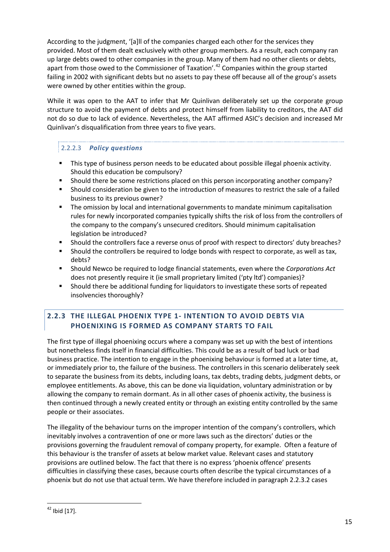According to the judgment, '[a]ll of the companies charged each other for the services they provided. Most of them dealt exclusively with other group members. As a result, each company ran up large debts owed to other companies in the group. Many of them had no other clients or debts, apart from those owed to the Commissioner of Taxation'.<sup>[42](#page-18-1)</sup> Companies within the group started failing in 2002 with significant debts but no assets to pay these off because all of the group's assets were owned by other entities within the group.

While it was open to the AAT to infer that Mr Quinlivan deliberately set up the corporate group structure to avoid the payment of debts and protect himself from liability to creditors, the AAT did not do so due to lack of evidence. Nevertheless, the AAT affirmed ASIC's decision and increased Mr Quinlivan's disqualification from three years to five years.

## 2.2.2.3 *Policy questions*

- This type of business person needs to be educated about possible illegal phoenix activity. Should this education be compulsory?
- Should there be some restrictions placed on this person incorporating another company?
- Should consideration be given to the introduction of measures to restrict the sale of a failed business to its previous owner?
- The omission by local and international governments to mandate minimum capitalisation rules for newly incorporated companies typically shifts the risk of loss from the controllers of the company to the company's unsecured creditors. Should minimum capitalisation legislation be introduced?
- Should the controllers face a reverse onus of proof with respect to directors' duty breaches?
- **Should the controllers be required to lodge bonds with respect to corporate, as well as tax,** debts?
- Should Newco be required to lodge financial statements, even where the *Corporations Act* does not presently require it (ie small proprietary limited ('pty ltd') companies)?
- Should there be additional funding for liquidators to investigate these sorts of repeated insolvencies thoroughly?

## <span id="page-18-0"></span>**2.2.3 THE ILLEGAL PHOENIX TYPE 1- INTENTION TO AVOID DEBTS VIA PHOENIXING IS FORMED AS COMPANY STARTS TO FAIL**

The first type of illegal phoenixing occurs where a company was set up with the best of intentions but nonetheless finds itself in financial difficulties. This could be as a result of bad luck or bad business practice. The intention to engage in the phoenixing behaviour is formed at a later time, at, or immediately prior to, the failure of the business. The controllers in this scenario deliberately seek to separate the business from its debts, including loans, tax debts, trading debts, judgment debts, or employee entitlements. As above, this can be done via liquidation, voluntary administration or by allowing the company to remain dormant. As in all other cases of phoenix activity, the business is then continued through a newly created entity or through an existing entity controlled by the same people or their associates.

The illegality of the behaviour turns on the improper intention of the company's controllers, which inevitably involves a contravention of one or more laws such as the directors' duties or the provisions governing the fraudulent removal of company property, for example. Often a feature of this behaviour is the transfer of assets at below market value. Relevant cases and statutory provisions are outlined below. The fact that there is no express 'phoenix offence' presents difficulties in classifying these cases, because courts often describe the typical circumstances of a phoenix but do not use that actual term. We have therefore included in paragraph 2.2.3.2 cases

<span id="page-18-1"></span> $42$  Ibid [17].  $\overline{\phantom{a}}$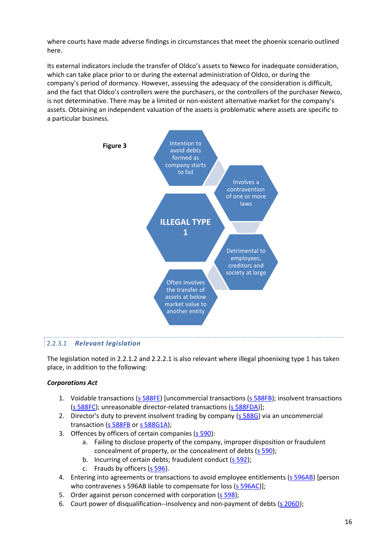where courts have made adverse findings in circumstances that meet the phoenix scenario outlined here.

Its external indicators include the transfer of Oldco's assets to Newco for inadequate consideration, which can take place prior to or during the external administration of Oldco, or during the company's period of dormancy. However, assessing the adequacy of the consideration is difficult, and the fact that Oldco's controllers were the purchasers, or the controllers of the purchaser Newco, is not determinative. There may be a limited or non-existent alternative market for the company's assets. Obtaining an independent valuation of the assets is problematic where assets are specific to a particular business.



#### 2.2.3.1 *Relevant legislation*

The legislation noted in 2.2.1.2 and 2.2.2.1 is also relevant where illegal phoenixing type 1 has taken place, in addition to the following:

#### *Corporations Act*

- 1. [Voidable transactions \(s 588FE\)](#page-60-0) [uncommercial transactions [\(s 588FB\)](#page-59-0); insolvent transactions [\(s 588FC\)](#page-60-1); unreasonable director-related transactions [\(s 588FDA\)](#page-60-2)];
- 2. Director's duty to prevent insolvent trading by company  $(s$  588G) via an uncommercial transaction [\(s 588FB](#page-59-0) o[r s 588G1A\)](#page-62-0);
- 3. Offences by officers of certain companies [\(s 590\)](#page-62-1):
	- a. Failing to disclose property of the company, improper disposition or fraudulent concealment of property, or the concealment of debts [\(s 590\)](#page-62-1);
	- b. Incurring of certain debts; fraudulent conduct [\(s 592\)](#page-64-0);
	- c. Frauds by officers [\(s 596\)](#page-65-0).
- 4. Entering into agreements or transactions to avoid employee entitlements [\(s 596AB\)](#page-65-1) [person who contravenes s 596AB liable to compensate for loss [\(s 596AC\)](#page-65-2)];
- 5. Order against person concerned with corporation [\(s 598\)](#page-66-0);
- 6. Court power of disqualification--insolvency and non-payment of debts [\(s 206D\)](#page-56-0);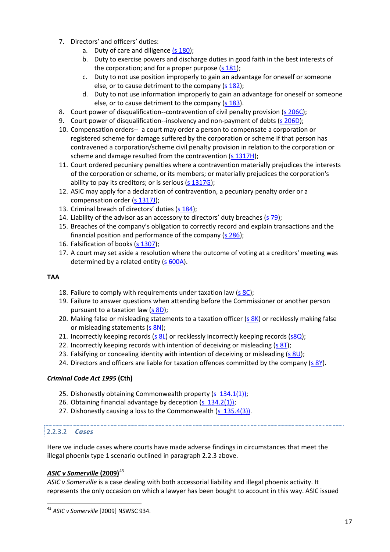- 7. Directors' and officers' duties:
	- a. Duty of care and diligence [\(s 180\)](#page-54-1);
	- b. Duty to exercise powers and discharge duties in good faith in the best interests of the corporation; and for a proper purpose  $(s 181)$ ;
	- c. Duty to not use position improperly to gain an advantage for oneself or someone else, or to cause detriment to the company  $(s 182)$ ;
	- d. Duty to not use information improperly to gain an advantage for oneself or someone else, or to cause detriment to the company [\(s 183\)](#page-55-2).
- 8. Court power of disqualification--contravention of civil penalty provision [\(s 206C\)](#page-56-1);
- 9. Court power of disqualification--insolvency and non-payment of debts [\(s 206D\)](#page-56-0);
- 10. Compensation orders-- a court may order a person to compensate a corporation or registered scheme for damage suffered by the corporation or scheme if that person has contravened a corporation/scheme civil penalty provision in relation to the corporation or scheme and damage resulted from the contravention [\(s 1317H\)](#page-69-0);
- 11. Court ordered pecuniary penalties where a contravention materially prejudices the interests of the corporation or scheme, or its members; or materially prejudices the corporation's ability to pay its creditors; or is serious  $(s 1317G)$ ;
- 12. ASIC may apply for a declaration of contravention, a pecuniary penalty order or a compensation order [\(s 1317J\)](#page-70-1);
- 13. Criminal breach of directors' duties [\(s 184\)](#page-55-3);
- 14. Liability of the advisor as an accessory to directors' duty breaches  $(s 79)$ ;
- 15. Breaches of the company's obligation to correctly record and explain transactions and the financial position and performance of the company (s [286\)](#page-57-2);
- 16. Falsification of books [\(s 1307\)](#page-66-1);
- 17. A court may set aside a resolution where the outcome of voting at a creditors' meeting was determined by a related entity [\(s 600A\)](#page-66-2).

#### **TAA**

- 18. Failure to comply with requirements under taxation law  $(s \, 8C)$ ;
- 19. Failure to answer questions when attending before the Commissioner or another person pursuant to a taxation law [\(s 8D\)](#page-78-0);
- 20. Making false or misleading statements to a taxation officer [\(s 8K\)](#page-78-1) or recklessly making false or misleading statements [\(s 8N\)](#page-79-0);
- 21. Incorrectly keeping records (s  $8L$ ) or recklessly incorrectly keeping records ( $58Q$ );
- 22. Incorrectly keeping records with intention of deceiving or misleading  $(s 8T)$ ;
- 23. Falsifying or concealing identity with intention of deceiving or misleading (s  $8U$ );
- 24. Directors and officers are liable for taxation offences committed by the company [\(s 8Y\)](#page-80-3).

#### *Criminal Code Act 1995* **(Cth)**

- 25. Dishonestly obtaining Commonwealth property [\(s 134.1\(1\)\)](#page-70-2);
- 26. Obtaining financial advantage by deception [\(s 134.2\(1\)\)](#page-71-0);
- 27. Dishonestly causing a loss to the Commonwealth [\(s 135.4\(3\)\)](#page-71-1).

#### 2.2.3.2 *Cases*

 $\overline{a}$ 

Here we include cases where courts have made adverse findings in circumstances that meet the illegal phoenix type 1 scenario outlined in paragraph 2.2.3 above.

#### *ASIC v Somerville* **(2009)**[43](#page-20-0)

*ASIC v Somerville* is a case dealing with both accessorial liability and illegal phoenix activity. It represents the only occasion on which a lawyer has been bought to account in this way. ASIC issued

<span id="page-20-0"></span><sup>43</sup> *ASIC v Somerville* [2009] NSWSC 934.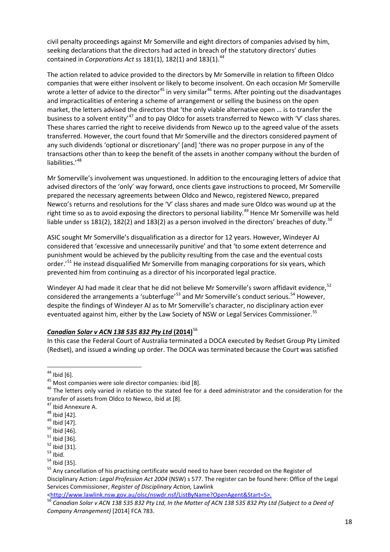civil penalty proceedings against Mr Somerville and eight directors of companies advised by him, seeking declarations that the directors had acted in breach of the statutory directors' duties contained in *Corporations Act* ss 181(1), 182(1) and 183(1).<sup>[44](#page-21-0)</sup>

The action related to advice provided to the directors by Mr Somerville in relation to fifteen Oldco companies that were either insolvent or likely to become insolvent. On each occasion Mr Somerville wrote a letter of advice to the director<sup>[45](#page-21-1)</sup> in very similar<sup>[46](#page-21-2)</sup> terms. After pointing out the disadvantages and impracticalities of entering a scheme of arrangement or selling the business on the open market, the letters advised the directors that 'the only viable alternative open … is to transfer the business to a solvent entity'[47](#page-21-3) and to pay Oldco for assets transferred to Newco with 'V' class shares. These shares carried the right to receive dividends from Newco up to the agreed value of the assets transferred. However, the court found that Mr Somerville and the directors considered payment of any such dividends 'optional or discretionary' [and] 'there was no proper purpose in any of the transactions other than to keep the benefit of the assets in another company without the burden of liabilities.'[48](#page-21-4)

Mr Somerville's involvement was unquestioned. In addition to the encouraging letters of advice that advised directors of the 'only' way forward, once clients gave instructions to proceed, Mr Somerville prepared the necessary agreements between Oldco and Newco, registered Newco, prepared Newco's returns and resolutions for the 'V' class shares and made sure Oldco was wound up at the right time so as to avoid exposing the directors to personal liability.<sup>[49](#page-21-5)</sup> Hence Mr Somerville was held liable under ss 181(2), 182(2) and 183(2) as a person involved in the directors' breaches of duty.<sup>[50](#page-21-6)</sup>

ASIC sought Mr Somerville's disqualification as a director for 12 years. However, Windeyer AJ considered that 'excessive and unnecessarily punitive' and that 'to some extent deterrence and punishment would be achieved by the publicity resulting from the case and the eventual costs order.<sup>'[51](#page-21-7)</sup> He instead disqualified Mr Somerville from managing corporations for six years, which prevented him from continuing as a director of his incorporated legal practice.

Windeyer AJ had made it clear that he did not believe Mr Somerville's sworn affidavit evidence,<sup>[52](#page-21-8)</sup> considered the arrangements a 'subterfuge'<sup>[53](#page-21-9)</sup> and Mr Somerville's conduct serious.<sup>[54](#page-21-10)</sup> However, despite the findings of Windeyer AJ as to Mr Somerville's character, no disciplinary action ever eventuated against him, either by the Law Society of NSW or Legal Services Commissioner.<sup>[55](#page-21-11)</sup>

#### *Canadian Solar v ACN 138 535 832 Pty Ltd* **(2014)**[56](#page-21-12)

In this case the Federal Court of Australia terminated a DOCA executed by Redset Group Pty Limited (Redset), and issued a winding up order. The DOCA was terminated because the Court was satisfied

<span id="page-21-0"></span> $44$  Ibid [6].

<span id="page-21-2"></span><span id="page-21-1"></span><sup>&</sup>lt;sup>45</sup> Most companies were sole director companies: ibid [8].<br><sup>46</sup> The letters only varied in relation to the stated fee for a deed administrator and the consideration for the transfer of assets from Oldco to Newco, ibid at [8].<br><sup>47</sup> Ibid Annexure A.

<span id="page-21-6"></span>

<span id="page-21-7"></span>

<span id="page-21-8"></span>

<span id="page-21-9"></span>

<span id="page-21-11"></span><span id="page-21-10"></span>

<span id="page-21-5"></span><span id="page-21-4"></span><span id="page-21-3"></span><sup>&</sup>lt;sup>48</sup> Ibid [42].<br><sup>49</sup> Ibid [47].<br><sup>50</sup> Ibid [46].<br><sup>51</sup> Ibid [36].<br><sup>52</sup> Ibid [31].<br><sup>53</sup> Ibid. 5<sup>4</sup> Ibid [35].<br><sup>54</sup> Ibid [35]. Disciplinary Action: *Legal Profession Act 2004* (NSW) s 577. The register can be found here: Office of the Legal Services Commissioner, *Register of Disciplinary Action,* Lawlink

<span id="page-21-12"></span>[<sup>&</sup>lt;http://www.lawlink.nsw.gov.au/olsc/nswdr.nsf/ListByName?OpenAgent&Start=S>](http://www.lawlink.nsw.gov.au/olsc/nswdr.nsf/ListByName?OpenAgent&Start=S). <sup>56</sup> *Canadian Solar v ACN 138 535 832 Pty Ltd, In the Matter of ACN 138 535 832 Pty Ltd (Subject to a Deed of Company Arrangement)* [2014] FCA 783.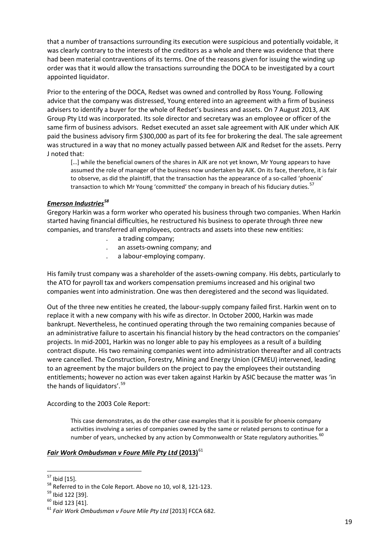that a number of transactions surrounding its execution were suspicious and potentially voidable, it was clearly contrary to the interests of the creditors as a whole and there was evidence that there had been material contraventions of its terms. One of the reasons given for issuing the winding up order was that it would allow the transactions surrounding the DOCA to be investigated by a court appointed liquidator.

Prior to the entering of the DOCA, Redset was owned and controlled by Ross Young. Following advice that the company was distressed, Young entered into an agreement with a firm of business advisers to identify a buyer for the whole of Redset's business and assets. On 7 August 2013, AJK Group Pty Ltd was incorporated. Its sole director and secretary was an employee or officer of the same firm of business advisors. Redset executed an asset sale agreement with AJK under which AJK paid the business advisory firm \$300,000 as part of its fee for brokering the deal. The sale agreement was structured in a way that no money actually passed between AJK and Redset for the assets. Perry J noted that:

[...] while the beneficial owners of the shares in AJK are not yet known, Mr Young appears to have assumed the role of manager of the business now undertaken by AJK. On its face, therefore, it is fair to observe, as did the plaintiff, that the transaction has the appearance of a so-called 'phoenix' transaction to which Mr Young 'committed' the company in breach of his fiduciary duties. <sup>[57](#page-22-0)</sup>

#### *Emerson Industries[58](#page-22-1)*

Gregory Harkin was a form worker who operated his business through two companies. When Harkin started having financial difficulties, he restructured his business to operate through three new companies, and transferred all employees, contracts and assets into these new entities:

- . a trading company;
- . an assets-owning company; and
- . a labour-employing company.

His family trust company was a shareholder of the assets-owning company. His debts, particularly to the ATO for payroll tax and workers compensation premiums increased and his original two companies went into administration. One was then deregistered and the second was liquidated.

Out of the three new entities he created, the labour-supply company failed first. Harkin went on to replace it with a new company with his wife as director. In October 2000, Harkin was made bankrupt. Nevertheless, he continued operating through the two remaining companies because of an administrative failure to ascertain his financial history by the head contractors on the companies' projects. In mid-2001, Harkin was no longer able to pay his employees as a result of a building contract dispute. His two remaining companies went into administration thereafter and all contracts were cancelled. The Construction, Forestry, Mining and Energy Union (CFMEU) intervened, leading to an agreement by the major builders on the project to pay the employees their outstanding entitlements; however no action was ever taken against Harkin by ASIC because the matter was 'in the hands of liquidators'.<sup>[59](#page-22-2)</sup>

According to the 2003 Cole Report:

This case demonstrates, as do the other case examples that it is possible for phoenix company activities involving a series of companies owned by the same or related persons to continue for a number of years, unchecked by any action by Commonwealth or State regulatory authorities.<sup>[60](#page-22-3)</sup>

#### *Fair Work Ombudsman v Foure Mile Pty Ltd* **(2013)**[61](#page-22-4)

<span id="page-22-0"></span> $57$  Ibid [15].

<span id="page-22-2"></span>

<span id="page-22-4"></span><span id="page-22-3"></span>

<span id="page-22-1"></span><sup>58</sup> Referred to in the Cole Report. Above no 10, vol 8, 121-123.<br><sup>59</sup> Ibid 122 [39].<br><sup>60</sup> Ibid 123 [41].<br><sup>61</sup> *Fair Work Ombudsman v Foure Mile Pty Ltd* [2013] FCCA 682.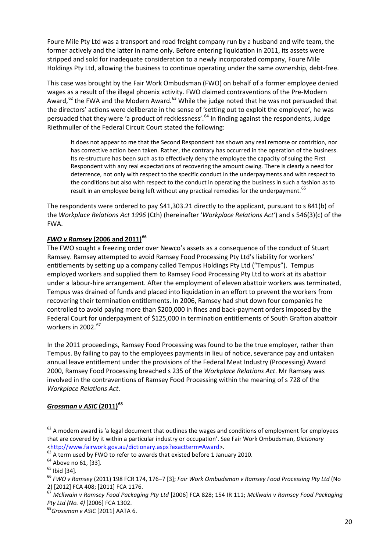Foure Mile Pty Ltd was a transport and road freight company run by a husband and wife team, the former actively and the latter in name only. Before entering liquidation in 2011, its assets were stripped and sold for inadequate consideration to a newly incorporated company, Foure Mile Holdings Pty Ltd, allowing the business to continue operating under the same ownership, debt-free.

This case was brought by the Fair Work Ombudsman (FWO) on behalf of a former employee denied wages as a result of the illegal phoenix activity. FWO claimed contraventions of the Pre-Modern Award,  $62$  the FWA and the Modern Award.  $63$  While the judge noted that he was not persuaded that the directors' actions were deliberate in the sense of 'setting out to exploit the employee', he was persuaded that they were 'a product of recklessness'.<sup>[64](#page-23-2)</sup> In finding against the respondents, Judge Riethmuller of the Federal Circuit Court stated the following:

It does not appear to me that the Second Respondent has shown any real remorse or contrition, nor has corrective action been taken. Rather, the contrary has occurred in the operation of the business. Its re-structure has been such as to effectively deny the employee the capacity of suing the First Respondent with any real expectations of recovering the amount owing. There is clearly a need for deterrence, not only with respect to the specific conduct in the underpayments and with respect to the conditions but also with respect to the conduct in operating the business in such a fashion as to result in an employee being left without any practical remedies for the underpayment.<sup>[65](#page-23-3)</sup>

The respondents were ordered to pay \$41,303.21 directly to the applicant, pursuant to s 841(b) of the *Workplace Relations Act 1996* (Cth) (hereinafter '*Workplace Relations Act'*) and s 546(3)(c) of the FWA.

#### *FWO v Ramsey* **(2006 and 2011)[66](#page-23-4)**

The FWO sought a freezing order over Newco's assets as a consequence of the conduct of Stuart Ramsey. Ramsey attempted to avoid Ramsey Food Processing Pty Ltd's liability for workers' entitlements by setting up a company called Tempus Holdings Pty Ltd ("Tempus"). Tempus employed workers and supplied them to Ramsey Food Processing Pty Ltd to work at its abattoir under a labour-hire arrangement. After the employment of eleven abattoir workers was terminated, Tempus was drained of funds and placed into liquidation in an effort to prevent the workers from recovering their termination entitlements. In 2006, Ramsey had shut down four companies he controlled to avoid paying more than \$200,000 in fines and back-payment orders imposed by the Federal Court for underpayment of \$125,000 in termination entitlements of South Grafton abattoir workers in  $2002.<sup>67</sup>$  $2002.<sup>67</sup>$  $2002.<sup>67</sup>$ 

In the 2011 proceedings, Ramsey Food Processing was found to be the true employer, rather than Tempus. By failing to pay to the employees payments in lieu of notice, severance pay and untaken annual leave entitlement under the provisions of the Federal Meat Industry (Processing) Award 2000, Ramsey Food Processing breached s 235 of the *Workplace Relations Act*. Mr Ramsey was involved in the contraventions of Ramsey Food Processing within the meaning of s 728 of the *Workplace Relations Act*.

## *Grossman v ASIC* **(2011) [68](#page-23-6)**

 $\overline{a}$ 

<span id="page-23-0"></span> $62$  A modern award is 'a legal document that outlines the wages and conditions of employment for employees that are covered by it within a particular industry or occupation'. See Fair Work Ombudsman, *Dictionary* 

<span id="page-23-2"></span>

<span id="page-23-4"></span><span id="page-23-3"></span>

<span id="page-23-1"></span><sup>&</sup>lt;sup>[63](http://www.fairwork.gov.au/dictionary.aspx?exactterm=Award)</sup> A term used by FWO to refer to awards that existed before 1 January 2010.<br><sup>64</sup> Above no 61, [33].<br><sup>64</sup> Above no 61, [33].<br><sup>65</sup> Ibid [34].<br><sup>66</sup> FWO v Ramsey (2011) 198 FCR 174, 176–7 [3]; Fair Work Ombudsman v Ramsey F 2) [2012] FCA 408; [2011] FCA 1176.

<span id="page-23-5"></span><sup>67</sup> *Mcllwain v Ramsey Food Packaging Pty Ltd* [2006] FCA 828; 154 IR 111; *Mcllwain v Ramsey Food Packaging Pty Ltd (No. 4)* [2006] FCA 1302. 68*Grossman v ASIC* [2011] AATA 6.

<span id="page-23-6"></span>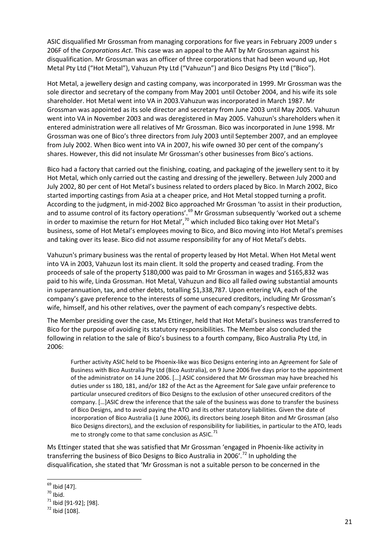ASIC disqualified Mr Grossman from managing corporations for five years in February 2009 under s 206F of the *Corporations Act*. This case was an appeal to the AAT by Mr Grossman against his disqualification. Mr Grossman was an officer of three corporations that had been wound up, Hot Metal Pty Ltd ("Hot Metal"), Vahuzun Pty Ltd ("Vahuzun") and Bico Designs Pty Ltd ("Bico").

Hot Metal, a jewellery design and casting company, was incorporated in 1999. Mr Grossman was the sole director and secretary of the company from May 2001 until October 2004, and his wife its sole shareholder. Hot Metal went into VA in 2003.Vahuzun was incorporated in March 1987. Mr Grossman was appointed as its sole director and secretary from June 2003 until May 2005. Vahuzun went into VA in November 2003 and was deregistered in May 2005. Vahuzun's shareholders when it entered administration were all relatives of Mr Grossman. Bico was incorporated in June 1998. Mr Grossman was one of Bico's three directors from July 2003 until September 2007, and an employee from July 2002. When Bico went into VA in 2007, his wife owned 30 per cent of the company's shares. However, this did not insulate Mr Grossman's other businesses from Bico's actions.

Bico had a factory that carried out the finishing, coating, and packaging of the jewellery sent to it by Hot Metal, which only carried out the casting and dressing of the jewellery. Between July 2000 and July 2002, 80 per cent of Hot Metal's business related to orders placed by Bico. In March 2002, Bico started importing castings from Asia at a cheaper price, and Hot Metal stopped turning a profit. According to the judgment, in mid-2002 Bico approached Mr Grossman 'to assist in their production, and to assume control of its factory operations'.<sup>[69](#page-24-0)</sup> Mr Grossman subsequently 'worked out a scheme in order to maximise the return for Hot Metal', $70$  which included Bico taking over Hot Metal's business, some of Hot Metal's employees moving to Bico, and Bico moving into Hot Metal's premises and taking over its lease. Bico did not assume responsibility for any of Hot Metal's debts.

Vahuzun's primary business was the rental of property leased by Hot Metal. When Hot Metal went into VA in 2003, Vahuzun lost its main client. It sold the property and ceased trading. From the proceeds of sale of the property \$180,000 was paid to Mr Grossman in wages and \$165,832 was paid to his wife, Linda Grossman. Hot Metal, Vahuzun and Bico all failed owing substantial amounts in superannuation, tax, and other debts, totalling \$1,338,787. Upon entering VA, each of the company's gave preference to the interests of some unsecured creditors, including Mr Grossman's wife, himself, and his other relatives, over the payment of each company's respective debts.

The Member presiding over the case, Ms Ettinger, held that Hot Metal's business was transferred to Bico for the purpose of avoiding its statutory responsibilities. The Member also concluded the following in relation to the sale of Bico's business to a fourth company, Bico Australia Pty Ltd, in 2006:

Further activity ASIC held to be Phoenix-like was Bico Designs entering into an Agreement for Sale of Business with Bico Australia Pty Ltd (Bico Australia), on 9 June 2006 five days prior to the appointment of the administrator on 14 June 2006. […] ASIC considered that Mr Grossman may have breached his duties under ss 180, 181, and/or 182 of the Act as the Agreement for Sale gave unfair preference to particular unsecured creditors of Bico Designs to the exclusion of other unsecured creditors of the company. […]ASIC drew the inference that the sale of the business was done to transfer the business of Bico Designs, and to avoid paying the ATO and its other statutory liabilities. Given the date of incorporation of Bico Australia (1 June 2006), its directors being Joseph Biton and Mr Grossman (also Bico Designs directors), and the exclusion of responsibility for liabilities, in particular to the ATO, leads me to strongly come to that same conclusion as ASIC. $^{71}$  $^{71}$  $^{71}$ 

Ms Ettinger stated that she was satisfied that Mr Grossman 'engaged in Phoenix-like activity in transferring the business of Bico Designs to Bico Australia in 2006<sup>7</sup>.<sup>[72](#page-24-3)</sup> In upholding the disqualification, she stated that 'Mr Grossman is not a suitable person to be concerned in the

 $69$  Ibid [47].

<span id="page-24-2"></span><span id="page-24-1"></span><span id="page-24-0"></span> $\frac{70}{71}$  Ibid.<br> $\frac{71}{72}$  Ibid [91-92]; [98].

<span id="page-24-3"></span>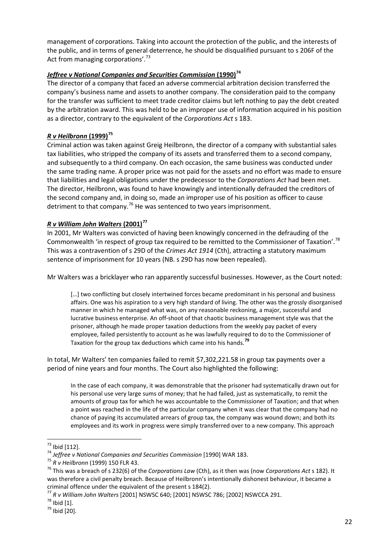management of corporations. Taking into account the protection of the public, and the interests of the public, and in terms of general deterrence, he should be disqualified pursuant to s 206F of the Act from managing corporations'.<sup>[73](#page-25-0)</sup>

#### *Jeffree v National Companies and Securities Commission (1990)<sup>[74](#page-25-1)</sup>*

The director of a company that faced an adverse commercial arbitration decision transferred the company's business name and assets to another company. The consideration paid to the company for the transfer was sufficient to meet trade creditor claims but left nothing to pay the debt created by the arbitration award. This was held to be an improper use of information acquired in his position as a director, contrary to the equivalent of the *Corporations Act* s 183.

#### *R v Heilbronn* **(1999)[75](#page-25-2)**

Criminal action was taken against Greig Heilbronn, the director of a company with substantial sales tax liabilities, who stripped the company of its assets and transferred them to a second company, and subsequently to a third company. On each occasion, the same business was conducted under the same trading name. A proper price was not paid for the assets and no effort was made to ensure that liabilities and legal obligations under the predecessor to the *Corporations Act* had been met. The director, Heilbronn, was found to have knowingly and intentionally defrauded the creditors of the second company and, in doing so, made an improper use of his position as officer to cause detriment to that company.<sup>[76](#page-25-3)</sup> He was sentenced to two years imprisonment.

#### *R v William John Walters* **(2001)[77](#page-25-4)**

In 2001, Mr Walters was convicted of having been knowingly concerned in the defrauding of the Commonwealth 'in respect of group tax required to be remitted to the Commissioner of Taxation'.[78](#page-25-5) This was a contravention of s 29D of the *Crimes Act 1914* (Cth), attracting a statutory maximum sentence of imprisonment for 10 years (NB. s 29D has now been repealed).

Mr Walters was a bricklayer who ran apparently successful businesses. However, as the Court noted:

[...] two conflicting but closely intertwined forces became predominant in his personal and business affairs. One was his aspiration to a very high standard of living. The other was the grossly disorganised manner in which he managed what was, on any reasonable reckoning, a major, successful and lucrative business enterprise. An off-shoot of that chaotic business management style was that the prisoner, although he made proper taxation deductions from the weekly pay packet of every employee, failed persistently to account as he was lawfully required to do to the Commissioner of Taxation for the group tax deductions which came into his hands.**[79](#page-25-6)**

In total, Mr Walters' ten companies failed to remit \$7,302,221.58 in group tax payments over a period of nine years and four months. The Court also highlighted the following:

In the case of each company, it was demonstrable that the prisoner had systematically drawn out for his personal use very large sums of money; that he had failed, just as systematically, to remit the amounts of group tax for which he was accountable to the Commissioner of Taxation; and that when a point was reached in the life of the particular company when it was clear that the company had no chance of paying its accumulated arrears of group tax, the company was wound down; and both its employees and its work in progress were simply transferred over to a new company. This approach

 $^{73}$  Ibid [112].

<span id="page-25-3"></span>

<span id="page-25-2"></span><span id="page-25-1"></span><span id="page-25-0"></span>This particle of the companies and Securities Commission [1990] WAR 183.<br>
<sup>75</sup> R v Heilbronn (1999) 150 FLR 43.<br>
<sup>75</sup> This was a breach of s 232(6) of the Corporations Law (Cth), as it then was (now Corporations Act s 182 was therefore a civil penalty breach. Because of Heilbronn's intentionally dishonest behaviour, it became a criminal offence under the equivalent of the present s 184(2).

<span id="page-25-4"></span><sup>77</sup> *R v William John Walters* [2001] NSWSC 640; [2001] NSWSC 786; [2002] NSWCCA 291. <sup>78</sup> Ibid [1]. <sup>79</sup> Ibid [20].

<span id="page-25-5"></span>

<span id="page-25-6"></span>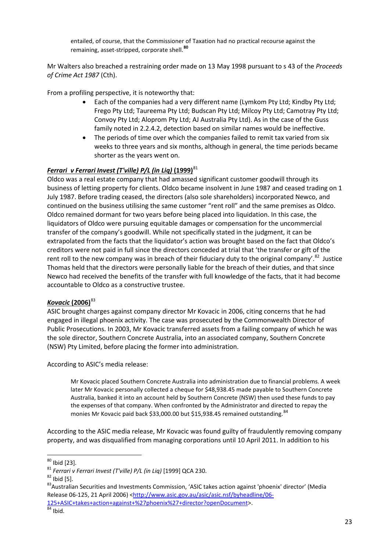entailed, of course, that the Commissioner of Taxation had no practical recourse against the remaining, asset-stripped, corporate shell.**[80](#page-26-0)**

Mr Walters also breached a restraining order made on 13 May 1998 pursuant to s 43 of the *Proceeds of Crime Act 1987* (Cth).

From a profiling perspective, it is noteworthy that:

- Each of the companies had a very different name (Lymkom Pty Ltd; Kindby Pty Ltd; Frego Pty Ltd; Taureema Pty Ltd; Budscan Pty Ltd; Milcoy Pty Ltd; Camotray Pty Ltd; Convoy Pty Ltd; Aloprom Pty Ltd; AJ Australia Pty Ltd). As in the case of the Guss family noted in 2.2.4.2, detection based on similar names would be ineffective.
- The periods of time over which the companies failed to remit tax varied from six weeks to three years and six months, although in general, the time periods became shorter as the years went on.

#### *Ferrari v Ferrari Invest (T'ville) P/L (in Lig)* (1999)<sup>[81](#page-26-1)</sup>

Oldco was a real estate company that had amassed significant customer goodwill through its business of letting property for clients. Oldco became insolvent in June 1987 and ceased trading on 1 July 1987. Before trading ceased, the directors (also sole shareholders) incorporated Newco, and continued on the business utilising the same customer "rent roll" and the same premises as Oldco. Oldco remained dormant for two years before being placed into liquidation. In this case, the liquidators of Oldco were pursuing equitable damages or compensation for the uncommercial transfer of the company's goodwill. While not specifically stated in the judgment, it can be extrapolated from the facts that the liquidator's action was brought based on the fact that Oldco's creditors were not paid in full since the directors conceded at trial that 'the transfer or gift of the rent roll to the new company was in breach of their fiduciary duty to the original company'.<sup>82</sup> Justice Thomas held that the directors were personally liable for the breach of their duties, and that since Newco had received the benefits of the transfer with full knowledge of the facts, that it had become accountable to Oldco as a constructive trustee.

#### *Kovacic* **(2006)**[83](#page-26-3)

ASIC brought charges against company director Mr Kovacic in 2006, citing concerns that he had engaged in illegal phoenix activity. The case was prosecuted by the Commonwealth Director of Public Prosecutions. In 2003, Mr Kovacic transferred assets from a failing company of which he was the sole director, Southern Concrete Australia, into an associated company, Southern Concrete (NSW) Pty Limited, before placing the former into administration.

According to ASIC's media release:

Mr Kovacic placed Southern Concrete Australia into administration due to financial problems. A week later Mr Kovacic personally collected a cheque for \$48,938.45 made payable to Southern Concrete Australia, banked it into an account held by Southern Concrete (NSW) then used these funds to pay the expenses of that company. When confronted by the Administrator and directed to repay the monies Mr Kovacic paid back \$33,000.00 but \$15,938.45 remained outstanding. [84](#page-26-4)

According to the ASIC media release, Mr Kovacic was found guilty of fraudulently removing company property, and was disqualified from managing corporations until 10 April 2011. In addition to his

<span id="page-26-0"></span> $80$  Ibid [23].

<span id="page-26-3"></span><span id="page-26-2"></span>

<span id="page-26-1"></span><sup>&</sup>lt;sup>81</sup> *Ferrari v Ferrari Invest (T'ville) P/L (in Liq)* [1999] QCA 230.<br><sup>82</sup> Ibid [5].<br><sup>83</sup>Australian Securities and Investments Commission, 'ASIC takes action against 'phoenix' director' (Media Release 06-125, 21 April 2006) [<http://www.asic.gov.au/asic/asic.nsf/byheadline/06-](http://www.asic.gov.au/asic/asic.nsf/byheadline/06-125+ASIC+takes+action+against+%27phoenix%27+director?openDocument) [125+ASIC+takes+action+against+%27phoenix%27+director?openDocument>](http://www.asic.gov.au/asic/asic.nsf/byheadline/06-125+ASIC+takes+action+against+%27phoenix%27+director?openDocument). <sup>84</sup> Ibid.

<span id="page-26-4"></span>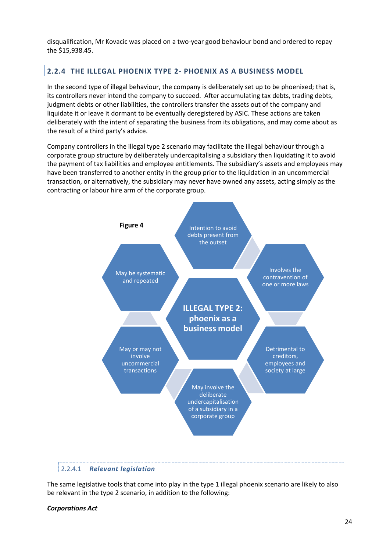disqualification, Mr Kovacic was placed on a two-year good behaviour bond and ordered to repay the \$15,938.45.

#### <span id="page-27-0"></span>**2.2.4 THE ILLEGAL PHOENIX TYPE 2- PHOENIX AS A BUSINESS MODEL**

In the second type of illegal behaviour, the company is deliberately set up to be phoenixed; that is, its controllers never intend the company to succeed. After accumulating tax debts, trading debts, judgment debts or other liabilities, the controllers transfer the assets out of the company and liquidate it or leave it dormant to be eventually deregistered by ASIC. These actions are taken deliberately with the intent of separating the business from its obligations, and may come about as the result of a third party's advice.

Company controllers in the illegal type 2 scenario may facilitate the illegal behaviour through a corporate group structure by deliberately undercapitalising a subsidiary then liquidating it to avoid the payment of tax liabilities and employee entitlements. The subsidiary's assets and employees may have been transferred to another entity in the group prior to the liquidation in an uncommercial transaction, or alternatively, the subsidiary may never have owned any assets, acting simply as the contracting or labour hire arm of the corporate group.



#### 2.2.4.1 *Relevant legislation*

The same legislative tools that come into play in the type 1 illegal phoenix scenario are likely to also be relevant in the type 2 scenario, in addition to the following:

#### *Corporations Act*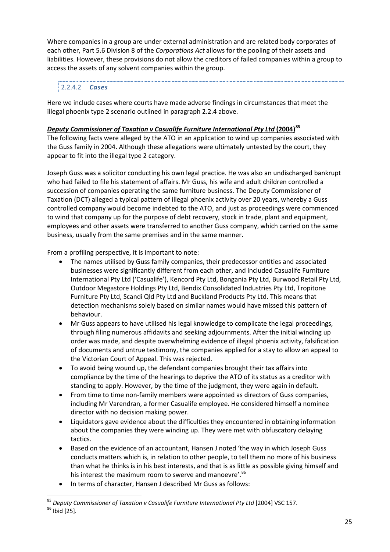Where companies in a group are under external administration and are related body corporates of each other, Part 5.6 Division 8 of the *Corporations Act* allows for the pooling of their assets and liabilities. However, these provisions do not allow the creditors of failed companies within a group to access the assets of any solvent companies within the group.

## 2.2.4.2 *Cases*

Here we include cases where courts have made adverse findings in circumstances that meet the illegal phoenix type 2 scenario outlined in paragraph 2.2.4 above.

#### *Deputy Commissioner of Taxation v Casualife Furniture International Pty Ltd* **(2004)[85](#page-28-0)**

The following facts were alleged by the ATO in an application to wind up companies associated with the Guss family in 2004. Although these allegations were ultimately untested by the court, they appear to fit into the illegal type 2 category.

Joseph Guss was a solicitor conducting his own legal practice. He was also an undischarged bankrupt who had failed to file his statement of affairs. Mr Guss, his wife and adult children controlled a succession of companies operating the same furniture business. The Deputy Commissioner of Taxation (DCT) alleged a typical pattern of illegal phoenix activity over 20 years, whereby a Guss controlled company would become indebted to the ATO, and just as proceedings were commenced to wind that company up for the purpose of debt recovery, stock in trade, plant and equipment, employees and other assets were transferred to another Guss company, which carried on the same business, usually from the same premises and in the same manner.

From a profiling perspective, it is important to note:

- The names utilised by Guss family companies, their predecessor entities and associated businesses were significantly different from each other, and included Casualife Furniture International Pty Ltd ('Casualife'), Kencord Pty Ltd, Bongania Pty Ltd, Burwood Retail Pty Ltd, Outdoor Megastore Holdings Pty Ltd, Bendix Consolidated Industries Pty Ltd, Tropitone Furniture Pty Ltd, Scandi Qld Pty Ltd and Buckland Products Pty Ltd. This means that detection mechanisms solely based on similar names would have missed this pattern of behaviour.
- Mr Guss appears to have utilised his legal knowledge to complicate the legal proceedings, through filing numerous affidavits and seeking adjournments. After the initial winding up order was made, and despite overwhelming evidence of illegal phoenix activity, falsification of documents and untrue testimony, the companies applied for a stay to allow an appeal to the Victorian Court of Appeal. This was rejected.
- To avoid being wound up, the defendant companies brought their tax affairs into compliance by the time of the hearings to deprive the ATO of its status as a creditor with standing to apply. However, by the time of the judgment, they were again in default.
- From time to time non-family members were appointed as directors of Guss companies, including Mr Varendran, a former Casualife employee. He considered himself a nominee director with no decision making power.
- Liquidators gave evidence about the difficulties they encountered in obtaining information about the companies they were winding up. They were met with obfuscatory delaying tactics.
- Based on the evidence of an accountant, Hansen J noted 'the way in which Joseph Guss conducts matters which is, in relation to other people, to tell them no more of his business than what he thinks is in his best interests, and that is as little as possible giving himself and his interest the maximum room to swerve and manoevre'.<sup>[86](#page-28-1)</sup>
- In terms of character, Hansen J described Mr Guss as follows:

<span id="page-28-1"></span><span id="page-28-0"></span><sup>&</sup>lt;sup>85</sup> Deputy Commissioner of Taxation v Casualife Furniture International Pty Ltd [2004] VSC 157.<br><sup>86</sup> Ibid [25].  $\overline{a}$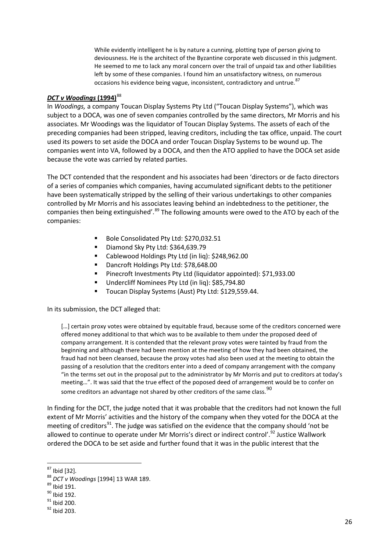While evidently intelligent he is by nature a cunning, plotting type of person giving to deviousness. He is the architect of the Byzantine corporate web discussed in this judgment. He seemed to me to lack any moral concern over the trail of unpaid tax and other liabilities left by some of these companies. I found him an unsatisfactory witness, on numerous occasions his evidence being vague, inconsistent, contradictory and untrue. <sup>[87](#page-29-0)</sup>

#### *DCT v Woodings* **(1994)**[88](#page-29-1)

In *Woodings,* a company Toucan Display Systems Pty Ltd ("Toucan Display Systems"), which was subject to a DOCA, was one of seven companies controlled by the same directors, Mr Morris and his associates. Mr Woodings was the liquidator of Toucan Display Systems. The assets of each of the preceding companies had been stripped, leaving creditors, including the tax office, unpaid. The court used its powers to set aside the DOCA and order Toucan Display Systems to be wound up. The companies went into VA, followed by a DOCA, and then the ATO applied to have the DOCA set aside because the vote was carried by related parties.

The DCT contended that the respondent and his associates had been 'directors or de facto directors of a series of companies which companies, having accumulated significant debts to the petitioner have been systematically stripped by the selling of their various undertakings to other companies controlled by Mr Morris and his associates leaving behind an indebtedness to the petitioner, the companies then being extinguished'.<sup>[89](#page-29-2)</sup> The following amounts were owed to the ATO by each of the companies:

- Bole Consolidated Pty Ltd: \$270,032.51
- Diamond Sky Pty Ltd: \$364,639.79
- Cablewood Holdings Pty Ltd (in liq): \$248,962.00
- Dancroft Holdings Pty Ltd: \$78,648.00
- Pinecroft Investments Pty Ltd (liquidator appointed): \$71,933.00
- Undercliff Nominees Pty Ltd (in liq): \$85,794.80
- **Toucan Display Systems (Aust) Pty Ltd: \$129,559.44.**

In its submission, the DCT alleged that:

[...] certain proxy votes were obtained by equitable fraud, because some of the creditors concerned were offered money additional to that which was to be available to them under the proposed deed of company arrangement. It is contended that the relevant proxy votes were tainted by fraud from the beginning and although there had been mention at the meeting of how they had been obtained, the fraud had not been cleansed, because the proxy votes had also been used at the meeting to obtain the passing of a resolution that the creditors enter into a deed of company arrangement with the company "in the terms set out in the proposal put to the administrator by Mr Morris and put to creditors at today's meeting…". It was said that the true effect of the poposed deed of arrangement would be to confer on some creditors an advantage not shared by other creditors of the same class.  $90$ 

In finding for the DCT, the judge noted that it was probable that the creditors had not known the full extent of Mr Morris' activities and the history of the company when they voted for the DOCA at the meeting of creditors<sup>[91](#page-29-4)</sup>. The judge was satisfied on the evidence that the company should 'not be allowed to continue to operate under Mr Morris's direct or indirect control'.<sup>[92](#page-29-5)</sup> Justice Wallwork ordered the DOCA to be set aside and further found that it was in the public interest that the

 $87$  Ibid [32].

<span id="page-29-1"></span><span id="page-29-0"></span><sup>&</sup>lt;sup>88</sup> *DCT v Woodings* [1994] 13 WAR 189.<br><sup>89</sup> Ibid 191.<br><sup>90</sup> Ibid 192.<br><sup>91</sup> Ibid 200.<br><sup>92</sup> Ibid 203.

<span id="page-29-2"></span>

<span id="page-29-3"></span>

<span id="page-29-4"></span>

<span id="page-29-5"></span>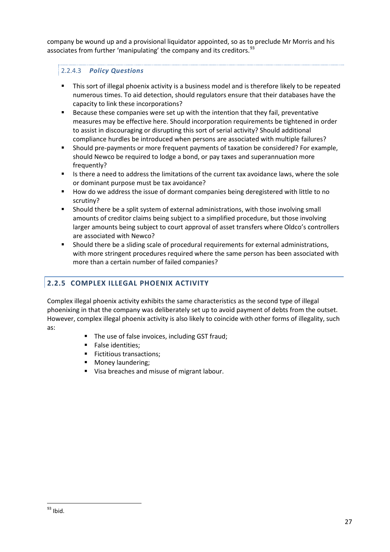company be wound up and a provisional liquidator appointed, so as to preclude Mr Morris and his associates from further 'manipulating' the company and its creditors.<sup>93</sup>

## 2.2.4.3 *Policy Questions*

- This sort of illegal phoenix activity is a business model and is therefore likely to be repeated numerous times. To aid detection, should regulators ensure that their databases have the capacity to link these incorporations?
- Because these companies were set up with the intention that they fail, preventative measures may be effective here. Should incorporation requirements be tightened in order to assist in discouraging or disrupting this sort of serial activity? Should additional compliance hurdles be introduced when persons are associated with multiple failures?
- Should pre-payments or more frequent payments of taxation be considered? For example, should Newco be required to lodge a bond, or pay taxes and superannuation more frequently?
- Is there a need to address the limitations of the current tax avoidance laws, where the sole or dominant purpose must be tax avoidance?
- How do we address the issue of dormant companies being deregistered with little to no scrutiny?
- Should there be a split system of external administrations, with those involving small amounts of creditor claims being subject to a simplified procedure, but those involving larger amounts being subject to court approval of asset transfers where Oldco's controllers are associated with Newco?
- Should there be a sliding scale of procedural requirements for external administrations, with more stringent procedures required where the same person has been associated with more than a certain number of failed companies?

## <span id="page-30-0"></span>**2.2.5 COMPLEX ILLEGAL PHOENIX ACTIVITY**

Complex illegal phoenix activity exhibits the same characteristics as the second type of illegal phoenixing in that the company was deliberately set up to avoid payment of debts from the outset. However, complex illegal phoenix activity is also likely to coincide with other forms of illegality, such as:

- The use of false invoices, including GST fraud;
- **False identities;**
- **Fictitious transactions;**
- **Money laundering;**
- <span id="page-30-1"></span>Visa breaches and misuse of migrant labour.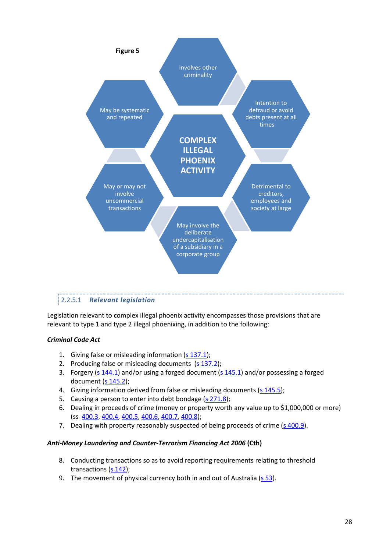

#### 2.2.5.1 *Relevant legislation*

Legislation relevant to complex illegal phoenix activity encompasses those provisions that are relevant to type 1 and type 2 illegal phoenixing, in addition to the following:

#### *Criminal Code Act*

- 1. Giving false or misleading information [\(s 137.1\)](#page-71-2);
- 2. Producing false or misleading documents  $(s 137.2)$ ;
- 3. Forgery [\(s 144.1\)](#page-71-4) and/or using a forged document [\(s 145.1\)](#page-71-5) and/or possessing a forged document [\(s 145.2\)](#page-72-0);
- 4. Giving information derived from false or misleading documents [\(s 145.5\)](#page-72-1);
- 5. Causing a person to enter into debt bondage [\(s 271.8\)](#page-72-2):
- 6. Dealing in proceeds of crime (money or property worth any value up to \$1,000,000 or more) (ss [400.3,](#page-73-0) [400.4,](#page-73-1) [400.5,](#page-74-0) [400.6,](#page-75-0) [400.7,](#page-75-1) [400.8\)](#page-76-0);
- 7. Dealing with property reasonably suspected of being proceeds of crime [\(s 400.9\)](#page-76-1).

#### *Anti-Money Laundering and Counter-Terrorism Financing Act 2006* **(Cth)**

- 8. Conducting transactions so as to avoid reporting requirements relating to threshold transactions [\(s 142\)](#page-53-2);
- 9. The movement of physical currency both in and out of Australia [\(s 53\)](#page-53-3).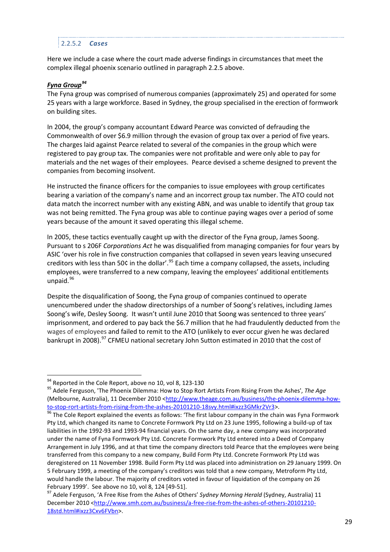#### 2.2.5.2 *Cases*

Here we include a case where the court made adverse findings in circumstances that meet the complex illegal phoenix scenario outlined in paragraph 2.2.5 above.

#### *Fyna Group[94](#page-32-0)*

The Fyna group was comprised of numerous companies (approximately 25) and operated for some 25 years with a large workforce. Based in Sydney, the group specialised in the erection of formwork on building sites.

In 2004, the group's company accountant Edward Pearce was convicted of defrauding the Commonwealth of over \$6.9 million through the evasion of group tax over a period of five years. The charges laid against Pearce related to several of the companies in the group which were registered to pay group tax. The companies were not profitable and were only able to pay for materials and the net wages of their employees. Pearce devised a scheme designed to prevent the companies from becoming insolvent.

He instructed the finance officers for the companies to issue employees with group certificates bearing a variation of the company's name and an incorrect group tax number. The ATO could not data match the incorrect number with any existing ABN, and was unable to identify that group tax was not being remitted. The Fyna group was able to continue paying wages over a period of some years because of the amount it saved operating this illegal scheme.

In 2005, these tactics eventually caught up with the director of the Fyna group, James Soong. Pursuant to s 206F *Corporations Act* he was disqualified from managing companies for four years by ASIC 'over his role in five construction companies that collapsed in seven years leaving unsecured creditors with less than 50 $\zeta$  in the dollar'.<sup>[95](#page-32-1)</sup> Each time a company collapsed, the assets, including employees, were transferred to a new company, leaving the employees' additional entitlements unpaid.<sup>[96](#page-32-2)</sup>

Despite the disqualification of Soong, the Fyna group of companies continued to operate unencumbered under the shadow directorships of a number of Soong's relatives, including James Soong's wife, Desley Soong. It wasn't until June 2010 that Soong was sentenced to three years' imprisonment, and ordered to pay back the \$6.7 million that he had fraudulently deducted from the wages of employees and failed to remit to the ATO (unlikely to ever occur given he was declared bankrupt in 2008).<sup>[97](#page-32-3)</sup> CFMEU national secretary John Sutton estimated in 2010 that the cost of

<span id="page-32-0"></span><sup>&</sup>lt;sup>94</sup> Reported in the Cole Report, above no 10, vol 8, 123-130

<span id="page-32-1"></span><sup>&</sup>lt;sup>95</sup> Adele Ferguson, 'The Phoenix Dilemma: How to Stop Rort Artists From Rising From the Ashes', The Age (Melbourne, Australia), 11 December 2010 [<http://www.theage.com.au/business/the-phoenix-dilemma-how-](http://www.theage.com.au/business/the-phoenix-dilemma-how-to-stop-rort-artists-from-rising-from-the-ashes-20101210-18svy.html%23ixzz3GMkr2Vr3)

<span id="page-32-2"></span>[to-stop-rort-artists-from-rising-from-the-ashes-20101210-18svy.html#ixzz3GMkr2Vr3>](http://www.theage.com.au/business/the-phoenix-dilemma-how-to-stop-rort-artists-from-rising-from-the-ashes-20101210-18svy.html%23ixzz3GMkr2Vr3).<br><sup>96</sup> The Cole Report explained the events as follows: 'The first labour company in the chain was Fyna Formwork Pty Ltd, which changed its name to Concrete Formwork Pty Ltd on 23 June 1995, following a build-up of tax liabilities in the 1992-93 and 1993-94 financial years. On the same day, a new company was incorporated under the name of Fyna Formwork Pty Ltd. Concrete Formwork Pty Ltd entered into a Deed of Company Arrangement in July 1996, and at that time the company directors told Pearce that the employees were being transferred from this company to a new company, Build Form Pty Ltd. Concrete Formwork Pty Ltd was deregistered on 11 November 1998. Build Form Pty Ltd was placed into administration on 29 January 1999. On 5 February 1999, a meeting of the company's creditors was told that a new company, Metroform Pty Ltd, would handle the labour. The majority of creditors voted in favour of liquidation of the company on 26 February 1999'. See above no 10, vol 8, 124 [49-51].<br><sup>97</sup> Adele Ferguson, 'A Free Rise from the Ashes of Others' *Sydney Morning Herald* (Sydney, Australia) 11

<span id="page-32-3"></span>December 2010 [<http://www.smh.com.au/business/a-free-rise-from-the-ashes-of-others-20101210-](http://www.smh.com.au/business/a-free-rise-from-the-ashes-of-others-20101210-18std.html%23ixzz3Cxv6FVbn) [18std.html#ixzz3Cxv6FVbn>](http://www.smh.com.au/business/a-free-rise-from-the-ashes-of-others-20101210-18std.html%23ixzz3Cxv6FVbn).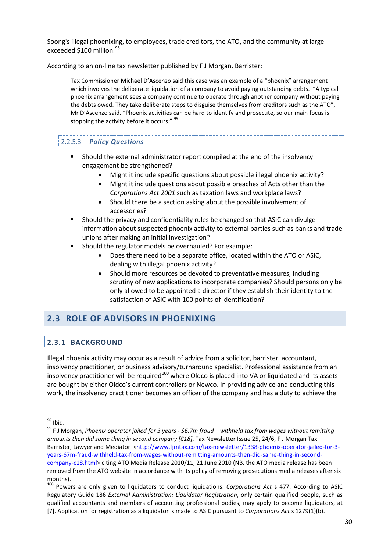Soong's illegal phoenixing, to employees, trade creditors, the ATO, and the community at large exceeded \$100 million.<sup>[98](#page-33-2)</sup>

According to an on-line tax newsletter published by F J Morgan, Barrister:

Tax Commissioner Michael D'Ascenzo said this case was an example of a "phoenix" arrangement which involves the deliberate liquidation of a company to avoid paying outstanding debts. "A typical phoenix arrangement sees a company continue to operate through another company without paying the debts owed. They take deliberate steps to disguise themselves from creditors such as the ATO", Mr D'Ascenzo said. "Phoenix activities can be hard to identify and prosecute, so our main focus is stopping the activity before it occurs." <sup>[99](#page-33-3)</sup>

#### 2.2.5.3 *Policy Questions*

- Should the external administrator report compiled at the end of the insolvency engagement be strengthened?
	- Might it include specific questions about possible illegal phoenix activity?
	- Might it include questions about possible breaches of Acts other than the *Corporations Act 2001* such as taxation laws and workplace laws?
	- Should there be a section asking about the possible involvement of accessories?
- Should the privacy and confidentiality rules be changed so that ASIC can divulge information about suspected phoenix activity to external parties such as banks and trade unions after making an initial investigation?
- Should the regulator models be overhauled? For example:
	- Does there need to be a separate office, located within the ATO or ASIC, dealing with illegal phoenix activity?
	- Should more resources be devoted to preventative measures, including scrutiny of new applications to incorporate companies? Should persons only be only allowed to be appointed a director if they establish their identity to the satisfaction of ASIC with 100 points of identification?

## <span id="page-33-1"></span><span id="page-33-0"></span>**2.3 ROLE OF ADVISORS IN PHOENIXING**

## **2.3.1 BACKGROUND**

Illegal phoenix activity may occur as a result of advice from a solicitor, barrister, accountant, insolvency practitioner, or business advisory/turnaround specialist. Professional assistance from an insolvency practitioner will be required<sup>[100](#page-33-4)</sup> where Oldco is placed into VA or liquidated and its assets are bought by either Oldco's current controllers or Newco. In providing advice and conducting this work, the insolvency practitioner becomes an officer of the company and has a duty to achieve the

<span id="page-33-2"></span> $98$  Ibid.

<span id="page-33-3"></span><sup>&</sup>lt;sup>99</sup> F J Morgan, *Phoenix operator jailed for 3 years - \$6.7m fraud – withheld tax from wages without remitting amounts then did same thing in second company [C18]*, Tax Newsletter Issue 25, 24/6, F J Morgan Tax Barrister, Lawyer and Mediator [<http://www.fjmtax.com/tax-newsletter/1338-phoenix-operator-jailed-for-3](http://www.fjmtax.com/tax-newsletter/1338-phoenix-operator-jailed-for-3-years-67m-fraud-withheld-tax-from-wages-without-remitting-amounts-then-did-same-thing-in-second-company-c18.html) [years-67m-fraud-withheld-tax-from-wages-without-remitting-amounts-then-did-same-thing-in-second](http://www.fjmtax.com/tax-newsletter/1338-phoenix-operator-jailed-for-3-years-67m-fraud-withheld-tax-from-wages-without-remitting-amounts-then-did-same-thing-in-second-company-c18.html)[company-c18.html>](http://www.fjmtax.com/tax-newsletter/1338-phoenix-operator-jailed-for-3-years-67m-fraud-withheld-tax-from-wages-without-remitting-amounts-then-did-same-thing-in-second-company-c18.html) citing ATO Media Release 2010/11, 21 June 2010 (NB. the ATO media release has been removed from the ATO website in accordance with its policy of removing prosecutions media releases after six months).

<span id="page-33-4"></span><sup>100</sup> Powers are only given to liquidators to conduct liquidations: *Corporations Act* s 477. According to ASIC Regulatory Guide 186 *External Administration: Liquidator Registration*, only certain qualified people, such as qualified accountants and members of accounting professional bodies, may apply to become liquidators, at [7]. Application for registration as a liquidator is made to ASIC pursuant to *Corporations Act* s 1279(1)(b).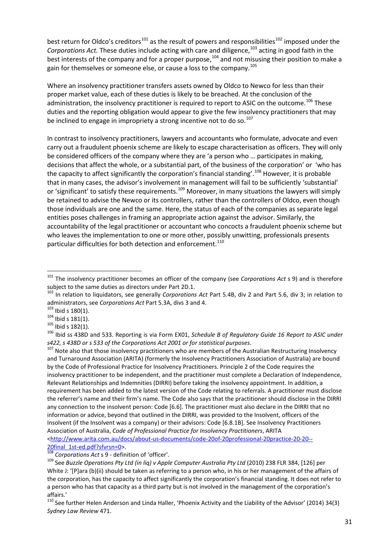best return for Oldco's creditors<sup>[101](#page-34-0)</sup> as the result of powers and responsibilities<sup>[102](#page-34-1)</sup> imposed under the *Corporations Act.* These duties include acting with care and diligence,<sup>[103](#page-34-2)</sup> acting in good faith in the best interests of the company and for a proper purpose,<sup>[104](#page-34-3)</sup> and not misusing their position to make a gain for themselves or someone else, or cause a loss to the company.<sup>[105](#page-34-4)</sup>

Where an insolvency practitioner transfers assets owned by Oldco to Newco for less than their proper market value, each of these duties is likely to be breached. At the conclusion of the administration, the insolvency practitioner is required to report to ASIC on the outcome.<sup>[106](#page-34-5)</sup> These duties and the reporting obligation would appear to give the few insolvency practitioners that may be inclined to engage in impropriety a strong incentive not to do so. $107$ 

In contrast to insolvency practitioners, lawyers and accountants who formulate, advocate and even carry out a fraudulent phoenix scheme are likely to escape characterisation as officers. They will only be considered officers of the company where they are 'a person who … participates in making, decisions that affect the whole, or a substantial part, of the business of the corporation' or 'who has the capacity to affect significantly the corporation's financial standing'.<sup>[108](#page-34-7)</sup> However, it is probable that in many cases, the advisor's involvement in management will fail to be sufficiently 'substantial' or 'significant' to satisfy these requirements.[109](#page-34-8) Moreover, in many situations the lawyers will simply be retained to advise the Newco or its controllers, rather than the controllers of Oldco, even though those individuals are one and the same. Here, the status of each of the companies as separate legal entities poses challenges in framing an appropriate action against the advisor. Similarly, the accountability of the legal practitioner or accountant who concocts a fraudulent phoenix scheme but who leaves the implementation to one or more other, possibly unwitting, professionals presents particular difficulties for both detection and enforcement.<sup>[110](#page-34-9)</sup>

**.** 

<span id="page-34-5"></span><span id="page-34-4"></span>

<span id="page-34-8"></span>

<span id="page-34-0"></span><sup>101</sup> The insolvency practitioner becomes an officer of the company (see *Corporations Act* s 9) and is therefore subject to the same duties as directors under Part 2D.1.

<span id="page-34-1"></span><sup>&</sup>lt;sup>102</sup> In relation to liquidators, see generally *Corporations Act Part 5.4B*, div 2 and Part 5.6, div 3; in relation to administrators, see *Corporations Act Part 5.3A*, divs 3 and 4.

<span id="page-34-3"></span><span id="page-34-2"></span><sup>&</sup>lt;sup>103</sup> lbid s 180(1).<br><sup>104</sup> lbid s 181(1).<br><sup>105</sup> lbid s 182(1).<br><sup>105</sup> lbid ss 438D and 533. Reporting is via Form EX01, Schedule B of Regulatory Guide 16 Report to ASIC under *s422, s 438D or s 533 of the Corporations Act 2001 or for statistical purposes*. <sup>107</sup> Note also that those insolvency practitioners who are members of the Australian Restructuring Insolvency

<span id="page-34-6"></span>and Turnaround Association (ARITA) (formerly the Insolvency Practitioners Association of Australia) are bound by the Code of Professional Practice for Insolvency Practitioners. Principle 2 of the Code requires the insolvency practitioner to be independent, and the practitioner must complete a Declaration of Independence, Relevant Relationships and Indemnities (DIRRI) before taking the insolvency appointment. In addition, a requirement has been added to the latest version of the Code relating to referrals. A practitioner must disclose the referrer's name and their firm's name. The Code also says that the practitioner should disclose in the DIRRI any connection to the insolvent person: Code [6.6]. The practitioner must also declare in the DIRRI that no information or advice, beyond that outlined in the DIRRI, was provided to the Insolvent, officers of the Insolvent (if the Insolvent was a company) or their advisors: Code [6.8.1B]. See Insolvency Practitioners Association of Australia, *Code of Professional Practice for Insolvency Practitioners*, ARITA [<http://www.arita.com.au/docs/about-us-documents/code-20of-20professional-20practice-20-20--](http://www.arita.com.au/docs/about-us-documents/code-20of-20professional-20practice-20-20--20final_1st-ed.pdf?sfvrsn=0)

<span id="page-34-7"></span>[<sup>20</sup>final\\_1st-ed.pdf?sfvrsn=0>](http://www.arita.com.au/docs/about-us-documents/code-20of-20professional-20practice-20-20--20final_1st-ed.pdf?sfvrsn=0). [108](http://www.arita.com.au/docs/about-us-documents/code-20of-20professional-20practice-20-20--20final_1st-ed.pdf?sfvrsn=0) *Corporations Act* s 9 - definition of 'officer'. <sup>109</sup> See *Buzzle Operations Pty Ltd (in liq) v Apple Computer Australia Pty Ltd* (2010) 238 FLR 384, [126] per White J: '[P]ara (b)(ii) should be taken as referring to a person who, in his or her management of the affairs of the corporation, has the capacity to affect significantly the corporation's financial standing. It does not refer to a person who has that capacity as a third party but is not involved in the management of the corporation's affairs.'

<span id="page-34-9"></span> $110$  See further Helen Anderson and Linda Haller, 'Phoenix Activity and the Liability of the Advisor' (2014) 34(3) *Sydney Law Review* 471.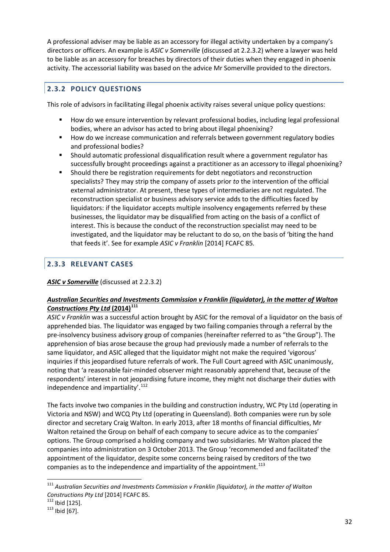A professional adviser may be liable as an accessory for illegal activity undertaken by a company's directors or officers. An example is *ASIC v Somerville* (discussed at 2.2.3.2) where a lawyer was held to be liable as an accessory for breaches by directors of their duties when they engaged in phoenix activity. The accessorial liability was based on the advice Mr Somerville provided to the directors.

## <span id="page-35-0"></span>**2.3.2 POLICY QUESTIONS**

This role of advisors in facilitating illegal phoenix activity raises several unique policy questions:

- How do we ensure intervention by relevant professional bodies, including legal professional bodies, where an advisor has acted to bring about illegal phoenixing?
- How do we increase communication and referrals between government regulatory bodies and professional bodies?
- Should automatic professional disqualification result where a government regulator has successfully brought proceedings against a practitioner as an accessory to illegal phoenixing?
- Should there be registration requirements for debt negotiators and reconstruction specialists? They may strip the company of assets prior *to* the intervention of the official external administrator. At present, these types of intermediaries are not regulated. The reconstruction specialist or business advisory service adds to the difficulties faced by liquidators: if the liquidator accepts multiple insolvency engagements referred by these businesses, the liquidator may be disqualified from acting on the basis of a conflict of interest. This is because the conduct of the reconstruction specialist may need to be investigated, and the liquidator may be reluctant to do so, on the basis of 'biting the hand that feeds it'. See for example *ASIC v Franklin* [2014] FCAFC 85*.*

## <span id="page-35-1"></span>**2.3.3 RELEVANT CASES**

#### *ASIC v Somerville* (discussed at 2.2.3.2)

#### *Australian Securities and Investments Commission v Franklin (liquidator), in the matter of Walton Constructions Pty Ltd* **(2014)[111](#page-35-2)**

*ASIC v Franklin* was a successful action brought by ASIC for the removal of a liquidator on the basis of apprehended bias. The liquidator was engaged by two failing companies through a referral by the pre-insolvency business advisory group of companies (hereinafter referred to as "the Group"). The apprehension of bias arose because the group had previously made a number of referrals to the same liquidator, and ASIC alleged that the liquidator might not make the required 'vigorous' inquiries if this jeopardised future referrals of work. The Full Court agreed with ASIC unanimously, noting that 'a reasonable fair-minded observer might reasonably apprehend that, because of the respondents' interest in not jeopardising future income, they might not discharge their duties with independence and impartiality'. $^{112}$  $^{112}$  $^{112}$ 

The facts involve two companies in the building and construction industry, WC Pty Ltd (operating in Victoria and NSW) and WCQ Pty Ltd (operating in Queensland). Both companies were run by sole director and secretary Craig Walton. In early 2013, after 18 months of financial difficulties, Mr Walton retained the Group on behalf of each company to secure advice as to the companies' options. The Group comprised a holding company and two subsidiaries. Mr Walton placed the companies into administration on 3 October 2013. The Group 'recommended and facilitated' the appointment of the liquidator, despite some concerns being raised by creditors of the two companies as to the independence and impartiality of the appointment.<sup>[113](#page-35-4)</sup>

 $\overline{a}$ 

<span id="page-35-2"></span><sup>111</sup> *Australian Securities and Investments Commission v Franklin (liquidator), in the matter of Walton Constructions Pty Ltd* [2014] FCAFC 85. <sup>112</sup> Ibid [125]. <sup>113</sup> Ibid [67].

<span id="page-35-3"></span>

<span id="page-35-4"></span>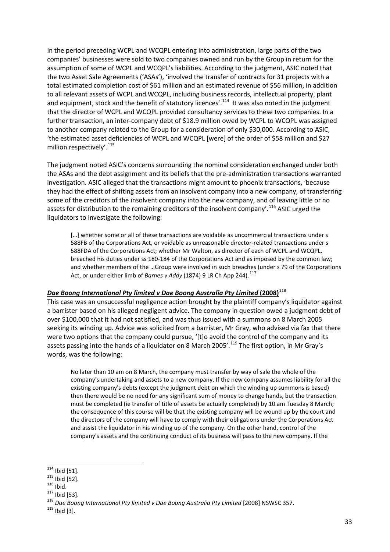In the period preceding WCPL and WCQPL entering into administration, large parts of the two companies' businesses were sold to two companies owned and run by the Group in return for the assumption of some of WCPL and WCQPL's liabilities. According to the judgment, ASIC noted that the two Asset Sale Agreements ('ASAs'), 'involved the transfer of contracts for 31 projects with a total estimated completion cost of \$61 million and an estimated revenue of \$56 million, in addition to all relevant assets of WCPL and WCQPL, including business records, intellectual property, plant and equipment, stock and the benefit of statutory licences'.<sup>114</sup> It was also noted in the judgment that the director of WCPL and WCQPL provided consultancy services to these two companies. In a further transaction, an inter-company debt of \$18.9 million owed by WCPL to WCQPL was assigned to another company related to the Group for a consideration of only \$30,000. According to ASIC, 'the estimated asset deficiencies of WCPL and WCQPL [were] of the order of \$58 million and \$27 million respectively'.<sup>[115](#page-36-1)</sup>

The judgment noted ASIC's concerns surrounding the nominal consideration exchanged under both the ASAs and the debt assignment and its beliefs that the pre-administration transactions warranted investigation. ASIC alleged that the transactions might amount to phoenix transactions, 'because they had the effect of shifting assets from an insolvent company into a new company, of transferring some of the creditors of the insolvent company into the new company, and of leaving little or no assets for distribution to the remaining creditors of the insolvent company'.<sup>[116](#page-36-2)</sup> ASIC urged the liquidators to investigate the following:

[...] whether some or all of these transactions are voidable as uncommercial transactions under s 588FB of the Corporations Act, or voidable as unreasonable director-related transactions under s 588FDA of the Corporations Act; whether Mr Walton, as director of each of WCPL and WCQPL, breached his duties under ss 180-184 of the Corporations Act and as imposed by the common law; and whether members of the …Group were involved in such breaches (under s 79 of the Corporations Act, or under either limb of *Barnes v Addy* (1874) 9 LR Ch App 244).<sup>[117](#page-36-3)</sup>

### *Dae Boong International Pty limited v Dae Boong Australia Pty Limited* **(2008)** [118](#page-36-4)

This case was an unsuccessful negligence action brought by the plaintiff company's liquidator against a barrister based on his alleged negligent advice. The company in question owed a judgment debt of over \$100,000 that it had not satisfied, and was thus issued with a summons on 8 March 2005 seeking its winding up. Advice was solicited from a barrister, Mr Gray, who advised via fax that there were two options that the company could pursue, '[t]o avoid the control of the company and its assets passing into the hands of a liquidator on 8 March 2005'.<sup>[119](#page-36-5)</sup> The first option, in Mr Gray's words, was the following:

No later than 10 am on 8 March, the company must transfer by way of sale the whole of the company's undertaking and assets to a new company. If the new company assumes liability for all the existing company's debts (except the judgment debt on which the winding up summons is based) then there would be no need for any significant sum of money to change hands, but the transaction must be completed (ie transfer of title of assets be actually completed) by 10 am Tuesday 8 March; the consequence of this course will be that the existing company will be wound up by the court and the directors of the company will have to comply with their obligations under the Corporations Act and assist the liquidator in his winding up of the company. On the other hand, control of the company's assets and the continuing conduct of its business will pass to the new company. If the

 $114$  Ibid [51].

<span id="page-36-3"></span>

<span id="page-36-2"></span><span id="page-36-1"></span><span id="page-36-0"></span><sup>115</sup> Ibid [52].<br><sup>115</sup> Ibid [52].<br><sup>118</sup> Ibid [53].<br><sup>118</sup> *Dae Boong International Pty limited v Dae Boong Australia Pty Limited* [2008] NSWSC 357.<br><sup>119</sup> Ibid [3].

<span id="page-36-5"></span><span id="page-36-4"></span>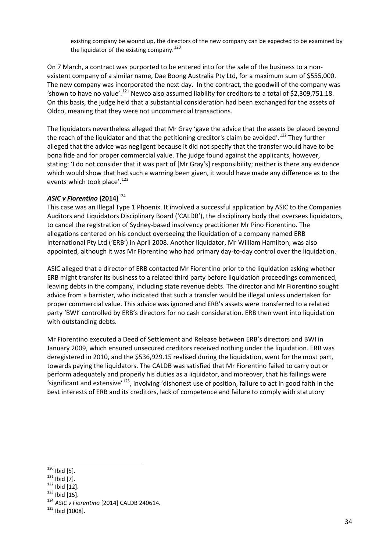existing company be wound up, the directors of the new company can be expected to be examined by the liquidator of the existing company.<sup>[120](#page-37-0)</sup>

On 7 March, a contract was purported to be entered into for the sale of the business to a nonexistent company of a similar name, Dae Boong Australia Pty Ltd, for a maximum sum of \$555,000. The new company was incorporated the next day. In the contract, the goodwill of the company was 'shown to have no value'.<sup>[121](#page-37-1)</sup> Newco also assumed liability for creditors to a total of \$2,309,751.18. On this basis, the judge held that a substantial consideration had been exchanged for the assets of Oldco, meaning that they were not uncommercial transactions.

The liquidators nevertheless alleged that Mr Gray 'gave the advice that the assets be placed beyond the reach of the liquidator and that the petitioning creditor's claim be avoided'.<sup>[122](#page-37-2)</sup> They further alleged that the advice was negligent because it did not specify that the transfer would have to be bona fide and for proper commercial value. The judge found against the applicants, however, stating: 'I do not consider that it was part of [Mr Gray's] responsibility; neither is there any evidence which would show that had such a warning been given, it would have made any difference as to the events which took place'.<sup>[123](#page-37-3)</sup>

### *ASIC v Fiorentino* **(2014)** [124](#page-37-4)

This case was an Illegal Type 1 Phoenix. It involved a successful application by ASIC to the Companies Auditors and Liquidators Disciplinary Board ('CALDB'), the disciplinary body that oversees liquidators, to cancel the registration of Sydney-based insolvency practitioner Mr Pino Fiorentino. The allegations centered on his conduct overseeing the liquidation of a company named ERB International Pty Ltd ('ERB') in April 2008. Another liquidator, Mr William Hamilton, was also appointed, although it was Mr Fiorentino who had primary day-to-day control over the liquidation.

ASIC alleged that a director of ERB contacted Mr Fiorentino prior to the liquidation asking whether ERB might transfer its business to a related third party before liquidation proceedings commenced, leaving debts in the company, including state revenue debts. The director and Mr Fiorentino sought advice from a barrister, who indicated that such a transfer would be illegal unless undertaken for proper commercial value. This advice was ignored and ERB's assets were transferred to a related party 'BWI' controlled by ERB's directors for no cash consideration. ERB then went into liquidation with outstanding debts.

Mr Fiorentino executed a Deed of Settlement and Release between ERB's directors and BWI in January 2009, which ensured unsecured creditors received nothing under the liquidation. ERB was deregistered in 2010, and the \$536,929.15 realised during the liquidation, went for the most part, towards paying the liquidators. The CALDB was satisfied that Mr Fiorentino failed to carry out or perform adequately and properly his duties as a liquidator, and moreover, that his failings were 'significant and extensive<sup>'[125](#page-37-5)</sup>, involving 'dishonest use of position, failure to act in good faith in the best interests of ERB and its creditors, lack of competence and failure to comply with statutory

 $120$  Ibid [5].

<span id="page-37-4"></span><span id="page-37-3"></span>

<span id="page-37-2"></span><span id="page-37-1"></span><span id="page-37-0"></span><sup>121</sup> Ibid [7].<br>
<sup>122</sup> Ibid [12].<br>
<sup>123</sup> Ibid [15].<br>
<sup>124</sup> *ASIC v Fiorentino* [2014] CALDB 240614.<br>
<sup>125</sup> Ibid [1008].

<span id="page-37-5"></span>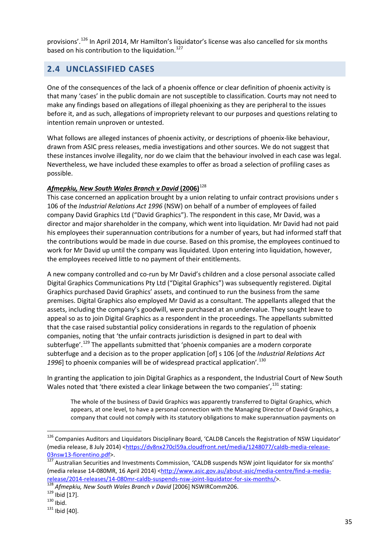provisions'.[126](#page-38-0) In April 2014, Mr Hamilton's liquidator's license was also cancelled for six months based on his contribution to the liquidation.<sup>[127](#page-38-1)</sup>

## **2.4 UNCLASSIFIED CASES**

One of the consequences of the lack of a phoenix offence or clear definition of phoenix activity is that many 'cases' in the public domain are not susceptible to classification. Courts may not need to make any findings based on allegations of illegal phoenixing as they are peripheral to the issues before it, and as such, allegations of impropriety relevant to our purposes and questions relating to intention remain unproven or untested.

What follows are alleged instances of phoenix activity, or descriptions of phoenix-like behaviour, drawn from ASIC press releases, media investigations and other sources. We do not suggest that these instances involve illegality, nor do we claim that the behaviour involved in each case was legal. Nevertheless, we have included these examples to offer as broad a selection of profiling cases as possible.

### *Afmepkiu, New South Wales Branch v David* **(2006)** [128](#page-38-2)

This case concerned an application brought by a union relating to unfair contract provisions under s 106 of the *Industrial Relations Act 1996* (NSW) on behalf of a number of employees of failed company David Graphics Ltd ("David Graphics"). The respondent in this case, Mr David, was a director and major shareholder in the company, which went into liquidation. Mr David had not paid his employees their superannuation contributions for a number of years, but had informed staff that the contributions would be made in due course. Based on this promise, the employees continued to work for Mr David up until the company was liquidated. Upon entering into liquidation, however, the employees received little to no payment of their entitlements.

A new company controlled and co-run by Mr David's children and a close personal associate called Digital Graphics Communications Pty Ltd ("Digital Graphics") was subsequently registered. Digital Graphics purchased David Graphics' assets, and continued to run the business from the same premises. Digital Graphics also employed Mr David as a consultant. The appellants alleged that the assets, including the company's goodwill, were purchased at an undervalue. They sought leave to appeal so as to join Digital Graphics as a respondent in the proceedings. The appellants submitted that the case raised substantial policy considerations in regards to the regulation of phoenix companies, noting that 'the unfair contracts jurisdiction is designed in part to deal with subterfuge'.<sup>[129](#page-38-3)</sup> The appellants submitted that 'phoenix companies are a modern corporate subterfuge and a decision as to the proper application [of] s 106 [of the *Industrial Relations Act 1996*] to phoenix companies will be of widespread practical application'.[130](#page-38-4)

In granting the application to join Digital Graphics as a respondent, the Industrial Court of New South Wales noted that 'there existed a clear linkage between the two companies',  $131$  stating:

The whole of the business of David Graphics was apparently transferred to Digital Graphics, which appears, at one level, to have a personal connection with the Managing Director of David Graphics, a company that could not comply with its statutory obligations to make superannuation payments on

<span id="page-38-0"></span><sup>&</sup>lt;sup>126</sup> Companies Auditors and Liquidators Disciplinary Board, 'CALDB Cancels the Registration of NSW Liquidator' (media release, 8 July 2014) [<https://dv8nx270cl59a.cloudfront.net/media/1248077/caldb-media-release-](https://dv8nx270cl59a.cloudfront.net/media/1248077/caldb-media-release-03nsw13-fiorentino.pdf)[03nsw13-fiorentino.pdf>](https://dv8nx270cl59a.cloudfront.net/media/1248077/caldb-media-release-03nsw13-fiorentino.pdf).<br><sup>[127](https://dv8nx270cl59a.cloudfront.net/media/1248077/caldb-media-release-03nsw13-fiorentino.pdf)</sup> Australian Securities and Investments Commission, 'CALDB suspends NSW joint liquidator for six months' **.** 

<span id="page-38-1"></span><sup>(</sup>media release 14-080MR, 16 April 2014) [<http://www.asic.gov.au/about-asic/media-centre/find-a-media](http://www.asic.gov.au/about-asic/media-centre/find-a-media-release/2014-releases/14-080mr-caldb-suspends-nsw-joint-liquidator-for-six-months/)[release/2014-releases/14-080mr-caldb-suspends-nsw-joint-liquidator-for-six-months/>](http://www.asic.gov.au/about-asic/media-centre/find-a-media-release/2014-releases/14-080mr-caldb-suspends-nsw-joint-liquidator-for-six-months/).<br>
<sup>[128](http://www.asic.gov.au/about-asic/media-centre/find-a-media-release/2014-releases/14-080mr-caldb-suspends-nsw-joint-liquidator-for-six-months/)</sup> *Afmepkiu, New South Wales Branch v David* [2006] NSWIRComm206.<br>
<sup>130</sup> Ibid [17].<br>
<sup>130</sup> Ibid. 131 Ibid [40].

<span id="page-38-2"></span>

<span id="page-38-3"></span>

<span id="page-38-4"></span>

<span id="page-38-5"></span>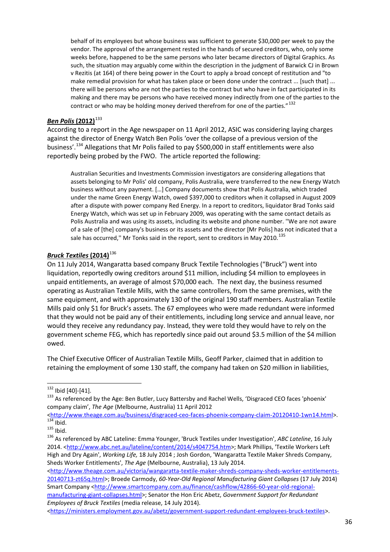behalf of its employees but whose business was sufficient to generate \$30,000 per week to pay the vendor. The approval of the arrangement rested in the hands of secured creditors, who, only some weeks before, happened to be the same persons who later became directors of Digital Graphics. As such, the situation may arguably come within the description in the judgment of Barwick CJ in Brown v Rezitis (at 164) of there being power in the Court to apply a broad concept of restitution and "to make remedial provision for what has taken place or been done under the contract ... [such that] ... there will be persons who are not the parties to the contract but who have in fact participated in its making and there may be persons who have received money indirectly from one of the parties to the contract or who may be holding money derived therefrom for one of the parties."<sup>[132](#page-39-0)</sup>

### *Ben Polis* **(2012)**[133](#page-39-1)

According to a report in the Age newspaper on 11 April 2012, ASIC was considering laying charges against the director of Energy Watch Ben Polis 'over the collapse of a previous version of the business'.[134](#page-39-2) Allegations that Mr Polis failed to pay \$500,000 in staff entitlements were also reportedly being probed by the FWO. The article reported the following:

Australian Securities and Investments Commission investigators are considering allegations that assets belonging to Mr Polis' old company, Polis Australia, were transferred to the new Energy Watch business without any payment. […] Company documents show that Polis Australia, which traded under the name Green Energy Watch, owed \$397,000 to creditors when it collapsed in August 2009 after a dispute with power company Red Energy. In a report to creditors, liquidator Brad Tonks said Energy Watch, which was set up in February 2009, was operating with the same contact details as Polis Australia and was using its assets, including its website and phone number. ''We are not aware of a sale of [the] company's business or its assets and the director [Mr Polis] has not indicated that a sale has occurred," Mr Tonks said in the report, sent to creditors in May 2010.<sup>[135](#page-39-3)</sup>

### *Bruck Textiles* **(2014)**[136](#page-39-4)

On 11 July 2014, Wangaratta based company Bruck Textile Technologies ("Bruck") went into liquidation, reportedly owing creditors around \$11 million, including \$4 million to employees in unpaid entitlements, an average of almost \$70,000 each.The next day, the business resumed operating as Australian Textile Mills, with the same controllers, from the same premises, with the same equipment, and with approximately 130 of the original 190 staff members. Australian Textile Mills paid only \$1 for Bruck's assets. The 67 employees who were made redundant were informed that they would not be paid any of their entitlements, including long service and annual leave, nor would they receive any redundancy pay. Instead, they were told they would have to rely on the government scheme FEG, which has reportedly since paid out around \$3.5 million of the \$4 million owed.

The Chief Executive Officer of Australian Textile Mills, Geoff Parker, claimed that in addition to retaining the employment of some 130 staff, the company had taken on \$20 million in liabilities,

[manufacturing-giant-collapses.html>](http://www.smartcompany.com.au/finance/cashflow/42866-60-year-old-regional-manufacturing-giant-collapses.html); Senator the Hon Eric Abetz, *Government Support for Redundant Employees of Bruck Textiles* (media release, 14 July 2014).

<span id="page-39-0"></span> $132$  Ibid [40]-[41].

<span id="page-39-1"></span><sup>133</sup> As referenced by the Age: Ben Butler, Lucy Battersby and Rachel Wells, 'Disgraced CEO faces 'phoenix' company claim', *The Age* (Melbourne, Australia) 11 April 2012<br>
<http://www.theage.com.au/business/disgraced-ceo-faces-phoenix-company-claim-20120410-1wn14.html>.

<span id="page-39-4"></span>

<span id="page-39-3"></span><span id="page-39-2"></span>[<sup>134</sup>](http://www.theage.com.au/business/disgraced-ceo-faces-phoenix-company-claim-20120410-1wn14.html) Ibid.<br>135 Ibid.<br><sup>136</sup> As referenced by ABC Lateline: Emma Younger, 'Bruck Textiles under Investigation', ABC Lateline, 16 July 2014. [<http://www.abc.net.au/lateline/content/2014/s4047754.htm>](http://www.abc.net.au/lateline/content/2014/s4047754.htm); Mark Phillips, 'Textile Workers Left High and Dry Again', *Working Life,* 18 July 2014 ; Josh Gordon, 'Wangaratta Textile Maker Shreds Company, Sheds Worker Entitlements', *The Age* (Melbourne, Australia), 13 July 2014.

[<sup>&</sup>lt;http://www.theage.com.au/victoria/wangaratta-textile-maker-shreds-company-sheds-worker-entitlements-](http://www.theage.com.au/victoria/wangaratta-textile-maker-shreds-company-sheds-worker-entitlements-20140713-zt65q.html)[20140713-zt65q.html>](http://www.theage.com.au/victoria/wangaratta-textile-maker-shreds-company-sheds-worker-entitlements-20140713-zt65q.html); Broede Carmody, *60-Year-Old Regional Manufacturing Giant Collapses* (17 July 2014) Smart Company [<http://www.smartcompany.com.au/finance/cashflow/42866-60-year-old-regional-](http://www.smartcompany.com.au/finance/cashflow/42866-60-year-old-regional-manufacturing-giant-collapses.html)

[<sup>&</sup>lt;https://ministers.employment.gov.au/abetz/government-support-redundant-employees-bruck-textiles>](https://ministers.employment.gov.au/abetz/government-support-redundant-employees-bruck-textiles).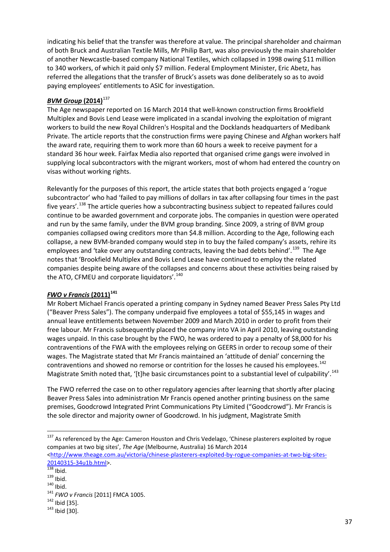indicating his belief that the transfer was therefore at value. The principal shareholder and chairman of both Bruck and Australian Textile Mills, Mr Philip Bart, was also previously the main shareholder of another Newcastle-based company National Textiles, which collapsed in 1998 owing \$11 million to 340 workers, of which it paid only \$7 million. Federal Employment Minister, Eric Abetz, has referred the allegations that the transfer of Bruck's assets was done deliberately so as to avoid paying employees' entitlements to ASIC for investigation.

### *BVM Group* **(2014)**[137](#page-40-0)

The Age newspaper reported on 16 March 2014 that well-known construction firms Brookfield Multiplex and Bovis Lend Lease were implicated in a scandal involving the exploitation of migrant workers to build the new Royal Children's Hospital and the Docklands headquarters of Medibank Private. The article reports that the construction firms were paying Chinese and Afghan workers half the award rate, requiring them to work more than 60 hours a week to receive payment for a standard 36 hour week. Fairfax Media also reported that organised crime gangs were involved in supplying local subcontractors with the migrant workers, most of whom had entered the country on visas without working rights.

Relevantly for the purposes of this report, the article states that both projects engaged a 'rogue subcontractor' who had 'failed to pay millions of dollars in tax after collapsing four times in the past five years'.<sup>[138](#page-40-1)</sup> The article queries how a subcontracting business subject to repeated failures could continue to be awarded government and corporate jobs. The companies in question were operated and run by the same family, under the BVM group branding. Since 2009, a string of BVM group companies collapsed owing creditors more than \$4.8 million. According to the Age, following each collapse, a new BVM-branded company would step in to buy the failed company's assets, rehire its employees and 'take over any outstanding contracts, leaving the bad debts behind'.<sup>[139](#page-40-2)</sup> The Age notes that 'Brookfield Multiplex and Bovis Lend Lease have continued to employ the related companies despite being aware of the collapses and concerns about these activities being raised by the ATO, CFMEU and corporate liquidators'.<sup>[140](#page-40-3)</sup>

### *FWO v Francis* **(2011)[141](#page-40-4)**

Mr Robert Michael Francis operated a printing company in Sydney named Beaver Press Sales Pty Ltd ("Beaver Press Sales"). The company underpaid five employees a total of \$55,145 in wages and annual leave entitlements between November 2009 and March 2010 in order to profit from their free labour. Mr Francis subsequently placed the company into VA in April 2010, leaving outstanding wages unpaid. In this case brought by the FWO, he was ordered to pay a penalty of \$8,000 for his contraventions of the FWA with the employees relying on GEERS in order to recoup some of their wages. The Magistrate stated that Mr Francis maintained an 'attitude of denial' concerning the contraventions and showed no remorse or contrition for the losses he caused his employees.<sup>[142](#page-40-5)</sup> Magistrate Smith noted that, '[t]he basic circumstances point to a substantial level of culpability'.<sup>[143](#page-40-6)</sup>

The FWO referred the case on to other regulatory agencies after learning that shortly after placing Beaver Press Sales into administration Mr Francis opened another printing business on the same premises, Goodcrowd Integrated Print Communications Pty Limited ("Goodcrowd"). Mr Francis is the sole director and majority owner of Goodcrowd. In his judgment, Magistrate Smith

**.** 

<span id="page-40-0"></span><sup>&</sup>lt;sup>137</sup> As referenced by the Age: Cameron Houston and Chris Vedelago, 'Chinese plasterers exploited by rogue companies at two big sites', *The Age* (Melbourne, Australia) 16 March 2014 [<http://www.theage.com.au/victoria/chinese-plasterers-exploited-by-rogue-companies-at-two-big-sites-](http://www.theage.com.au/victoria/chinese-plasterers-exploited-by-rogue-companies-at-two-big-sites-20140315-34u1b.html)

<span id="page-40-2"></span>

<span id="page-40-4"></span><span id="page-40-3"></span>

<span id="page-40-1"></span><sup>&</sup>lt;sup>138</sup> Ibid.<br><sup>139</sup> Ibid.<br><sup>140</sup> Ibid. <sup>141</sup> *FWO v Francis* [2011] FMCA 1005.<br><sup>142</sup> Ibid [35].<br><sup>143</sup> Ibid [30].

<span id="page-40-5"></span>

<span id="page-40-6"></span>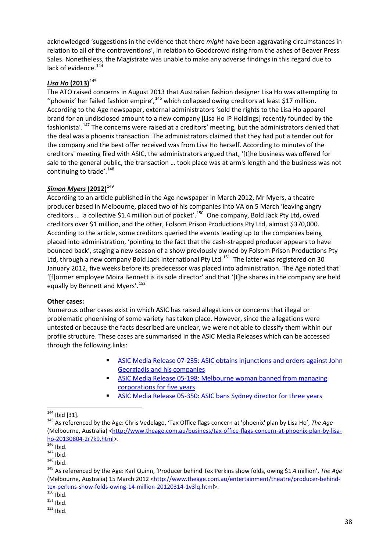acknowledged 'suggestions in the evidence that there *might* have been aggravating circumstances in relation to all of the contraventions', in relation to Goodcrowd rising from the ashes of Beaver Press Sales. Nonetheless, the Magistrate was unable to make any adverse findings in this regard due to lack of evidence.<sup>[144](#page-41-0)</sup>

### *Lisa Ho* **(2013)**[145](#page-41-1)

The ATO raised concerns in August 2013 that Australian fashion designer Lisa Ho was attempting to "phoenix' her failed fashion empire', $146$  which collapsed owing creditors at least \$17 million. According to the Age newspaper, external administrators 'sold the rights to the Lisa Ho apparel brand for an undisclosed amount to a new company [Lisa Ho IP Holdings] recently founded by the fashionista'.<sup>[147](#page-41-3)</sup> The concerns were raised at a creditors' meeting, but the administrators denied that the deal was a phoenix transaction. The administrators claimed that they had put a tender out for the company and the best offer received was from Lisa Ho herself. According to minutes of the creditors' meeting filed with ASIC, the administrators argued that, '[t]he business was offered for sale to the general public, the transaction … took place was at arm's length and the business was not continuing to trade'.<sup>[148](#page-41-4)</sup>

### *Simon Myers* (2012)<sup>[149](#page-41-5)</sup>

According to an article published in the Age newspaper in March 2012, Mr Myers, a theatre producer based in Melbourne, placed two of his companies into VA on 5 March 'leaving angry creditors ... a collective \$1.4 million out of pocket'.<sup>150</sup> One company, Bold Jack Pty Ltd, owed creditors over \$1 million, and the other, Folsom Prison Productions Pty Ltd, almost \$370,000. According to the article, some creditors queried the events leading up to the companies being placed into administration, 'pointing to the fact that the cash-strapped producer appears to have bounced back', staging a new season of a show previously owned by Folsom Prison Productions Pty Ltd, through a new company Bold Jack International Pty Ltd.<sup>[151](#page-41-7)</sup> The latter was registered on 30 January 2012, five weeks before its predecessor was placed into administration. The Age noted that '[f]ormer employee Moira Bennett is its sole director' and that '[t]he shares in the company are held equally by Bennett and Myers'.<sup>[152](#page-41-8)</sup>

### **Other cases:**

Numerous other cases exist in which ASIC has raised allegations or concerns that illegal or problematic phoenixing of some variety has taken place. However, since the allegations were untested or because the facts described are unclear, we were not able to classify them within our profile structure. These cases are summarised in the ASIC Media Releases which can be accessed through the following links:

- [ASIC Media Release 07-235: ASIC obtains injunctions and orders against John](http://www.asic.gov.au/asic/asic.nsf/byheadline/07-235+ASIC+obtains+injunctions+and+orders+against+John+Georgiadis+and+his+companies?openDocument)  [Georgiadis and his companies](http://www.asic.gov.au/asic/asic.nsf/byheadline/07-235+ASIC+obtains+injunctions+and+orders+against+John+Georgiadis+and+his+companies?openDocument)
- [ASIC Media Release 05-198: Melbourne woman banned from managing](http://www.asic.gov.au/asic/asic.nsf/byheadline/05-198+Melbourne+woman+banned+from+managing+corporations+for+five+years?openDocument)  [corporations for five years](http://www.asic.gov.au/asic/asic.nsf/byheadline/05-198+Melbourne+woman+banned+from+managing+corporations+for+five+years?openDocument)
- [ASIC Media Release 05-350: ASIC bans Sydney director for three years](http://www.asic.gov.au/asic/asic.nsf/byheadline/05-350+ASIC+bans+Sydney+director+for+three+years?openDocument)

 $\overline{a}$ 

<span id="page-41-1"></span><span id="page-41-0"></span><sup>144</sup> Ibid [31]. <sup>145</sup> As referenced by the Age: Chris Vedelago, 'Tax Office flags concern at 'phoenix' plan by Lisa Ho', *The Age*  (Melbourne, Australia) <http://www.theage.com.au/business/tax-office-flags-concern-at-phoenix-plan-by-lisa-<br>ho-20130804-2r7k9.html>.

<span id="page-41-5"></span><span id="page-41-4"></span>

<span id="page-41-3"></span><span id="page-41-2"></span>horal [146](http://www.theage.com.au/business/tax-office-flags-concern-at-phoenix-plan-by-lisa-ho-20130804-2r7k9.html) Ibid.<br><sup>147</sup> Ibid. 149 Ibid.<br><sup>149</sup> As referenced by the Age: Karl Quinn, 'Producer behind Tex Perkins show folds, owing \$1.4 million', *The Age* (Melbourne, Australia) 15 March 2012 [<http://www.theage.com.au/entertainment/theatre/producer-behind](http://www.theage.com.au/entertainment/theatre/producer-behind-tex-perkins-show-folds-owing-14-million-20120314-1v3lq.html)[tex-perkins-show-folds-owing-14-million-20120314-1v3lq.html>](http://www.theage.com.au/entertainment/theatre/producer-behind-tex-perkins-show-folds-owing-14-million-20120314-1v3lq.html).<br>
<sup>[150](http://www.theage.com.au/entertainment/theatre/producer-behind-tex-perkins-show-folds-owing-14-million-20120314-1v3lq.html)</sup> Ibid.<br>
<sup>151</sup> Ibid. <sup>152</sup> Ibid.

<span id="page-41-6"></span>

<span id="page-41-7"></span>

<span id="page-41-8"></span>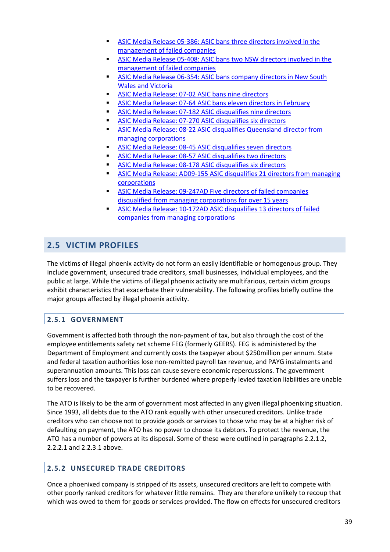- [ASIC Media Release 05-386: ASIC bans three directors involved in the](http://www.asic.gov.au/asic/asic.nsf/byheadline/05-386+ASIC+bans+three+directors+involved+in+the+management+of+failed+companies?openDocument)  [management of failed companies](http://www.asic.gov.au/asic/asic.nsf/byheadline/05-386+ASIC+bans+three+directors+involved+in+the+management+of+failed+companies?openDocument)
- [ASIC Media Release 05-408: ASIC bans two NSW directors involved in the](http://www.asic.gov.au/asic/asic.nsf/byheadline/05-408+ASIC+bans+two+NSW+directors+involved+in+the+management+of+failed+companies++?openDocument)  [management of failed companies](http://www.asic.gov.au/asic/asic.nsf/byheadline/05-408+ASIC+bans+two+NSW+directors+involved+in+the+management+of+failed+companies++?openDocument)
- [ASIC Media Release 06-354: ASIC bans company directors in New South](http://www.asic.gov.au/asic/asic.nsf/byheadline/06-354+ASIC+bans+company+directors+in+New+South+Wales+and+Victoria?openDocument)  [Wales and Victoria](http://www.asic.gov.au/asic/asic.nsf/byheadline/06-354+ASIC+bans+company+directors+in+New+South+Wales+and+Victoria?openDocument)
- [ASIC Media Release: 07-02 ASIC bans nine directors](http://www.asic.gov.au/asic/asic.nsf/byheadline/07-02+ASIC+bans+nine+directors)
- [ASIC Media Release: 07-64 ASIC bans eleven directors in February](http://www.asic.gov.au/asic/asic.nsf/byheadline/07-64+ASIC+bans+eleven+directors?openDocument)
- [ASIC Media Release: 07-182 ASIC disqualifies nine directors](http://www.asic.gov.au/asic/asic.nsf/byheadline/07-182+ASIC+disqualifies+nine+directors?openDocument)
- [ASIC Media Release: 07-270 ASIC disqualifies six directors](http://www.asic.gov.au/asic/asic.nsf/byheadline/07-270+ASIC+disqualifies+six+directors?openDocument)
- [ASIC Media Release: 08-22 ASIC disqualifies Queensland director from](http://www.asic.gov.au/asic/asic.nsf/byheadline/08-22+ASIC+disqualifies+Queensland+director+from+managing+corporations?openDocument)  [managing corporations](http://www.asic.gov.au/asic/asic.nsf/byheadline/08-22+ASIC+disqualifies+Queensland+director+from+managing+corporations?openDocument)
- [ASIC Media Release: 08-45 ASIC disqualifies seven directors](http://www.asic.gov.au/asic/asic.nsf/byheadline/08-45+ASIC+disqualifies+seven+directors?openDocument)
- [ASIC Media Release: 08-57 ASIC disqualifies two directors](http://www.asic.gov.au/asic/asic.nsf/byheadline/08-57+ASIC+disqualifies+two+directors?openDocument)
- [ASIC Media Release: 08-178 ASIC disqualifies six directors](http://www.asic.gov.au/asic/asic.nsf/byheadline/08-178+ASIC+disqualifies+six+directors?openDocument)
- [ASIC Media Release: AD09-155 ASIC disqualifies 21 directors from managing](http://www.asic.gov.au/asic/asic.nsf/byheadline/AD09-155+ASIC+disqualifies+21+directors+from+managing+corporations)  [corporations](http://www.asic.gov.au/asic/asic.nsf/byheadline/AD09-155+ASIC+disqualifies+21+directors+from+managing+corporations)
- [ASIC Media Release: 09-247AD Five directors of failed companies](http://www.asic.gov.au/asic/asic.nsf/byheadline/09-247AD+Five+directors+of+failed+companies+disqualified+from+managing+corporations+for+over+15+years?openDocument)  [disqualified from managing corporations for over 15 years](http://www.asic.gov.au/asic/asic.nsf/byheadline/09-247AD+Five+directors+of+failed+companies+disqualified+from+managing+corporations+for+over+15+years?openDocument)
- [ASIC Media Release: 10-172AD ASIC disqualifies 13 directors of failed](http://www.asic.gov.au/asic/asic.nsf/byheadline/10-172AD+ASIC+disqualifies+13+directors+of+failed+companies+from+managing+corporations?openDocument)  [companies from managing corporations](http://www.asic.gov.au/asic/asic.nsf/byheadline/10-172AD+ASIC+disqualifies+13+directors+of+failed+companies+from+managing+corporations?openDocument)

## **2.5 VICTIM PROFILES**

The victims of illegal phoenix activity do not form an easily identifiable or homogenous group. They include government, unsecured trade creditors, small businesses, individual employees, and the public at large. While the victims of illegal phoenix activity are multifarious, certain victim groups exhibit characteristics that exacerbate their vulnerability. The following profiles briefly outline the major groups affected by illegal phoenix activity.

### **2.5.1 GOVERNMENT**

Government is affected both through the non-payment of tax, but also through the cost of the employee entitlements safety net scheme FEG (formerly GEERS). FEG is administered by the Department of Employment and currently costs the taxpayer about \$250million per annum. State and federal taxation authorities lose non-remitted payroll tax revenue, and PAYG instalments and superannuation amounts. This loss can cause severe economic repercussions. The government suffers loss and the taxpayer is further burdened where properly levied taxation liabilities are unable to be recovered.

The ATO is likely to be the arm of government most affected in any given illegal phoenixing situation. Since 1993, all debts due to the ATO rank equally with other unsecured creditors. Unlike trade creditors who can choose not to provide goods or services to those who may be at a higher risk of defaulting on payment, the ATO has no power to choose its debtors. To protect the revenue, the ATO has a number of powers at its disposal. Some of these were outlined in paragraphs 2.2.1.2, 2.2.2.1 and 2.2.3.1 above.

### **2.5.2 UNSECURED TRADE CREDITORS**

Once a phoenixed company is stripped of its assets, unsecured creditors are left to compete with other poorly ranked creditors for whatever little remains. They are therefore unlikely to recoup that which was owed to them for goods or services provided. The flow on effects for unsecured creditors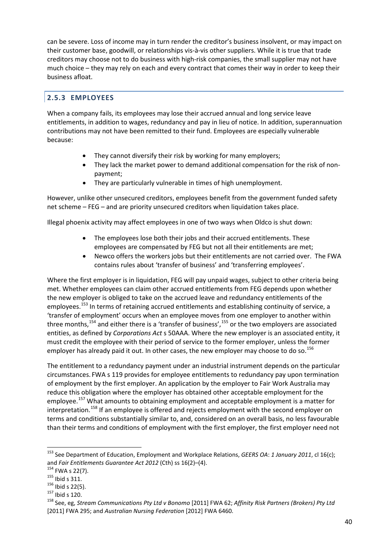can be severe. Loss of income may in turn render the creditor's business insolvent, or may impact on their customer base, goodwill, or relationships vis-à-vis other suppliers. While it is true that trade creditors may choose not to do business with high-risk companies, the small supplier may not have much choice – they may rely on each and every contract that comes their way in order to keep their business afloat.

## **2.5.3 EMPLOYEES**

When a company fails, its employees may lose their accrued annual and long service leave entitlements, in addition to wages, redundancy and pay in lieu of notice. In addition, superannuation contributions may not have been remitted to their fund. Employees are especially vulnerable because:

- They cannot diversify their risk by working for many employers;
- They lack the market power to demand additional compensation for the risk of nonpayment;
- They are particularly vulnerable in times of high unemployment.

However, unlike other unsecured creditors, employees benefit from the government funded safety net scheme – FEG – and are priority unsecured creditors when liquidation takes place.

Illegal phoenix activity may affect employees in one of two ways when Oldco is shut down:

- The employees lose both their jobs and their accrued entitlements. These employees are compensated by FEG but not all their entitlements are met;
- Newco offers the workers jobs but their entitlements are not carried over. The FWA contains rules about 'transfer of business' and 'transferring employees'.

Where the first employer is in liquidation, FEG will pay unpaid wages, subject to other criteria being met. Whether employees can claim other accrued entitlements from FEG depends upon whether the new employer is obliged to take on the accrued leave and redundancy entitlements of the employees.<sup>[153](#page-43-0)</sup> In terms of retaining accrued entitlements and establishing continuity of service, a 'transfer of employment' occurs when an employee moves from one employer to another within three months,<sup>[154](#page-43-1)</sup> and either there is a 'transfer of business',  $155$  or the two employers are associated entities, as defined by *Corporations Act* s 50AAA. Where the new employer is an associated entity, it must credit the employee with their period of service to the former employer, unless the former employer has already paid it out. In other cases, the new employer may choose to do so.<sup>[156](#page-43-3)</sup>

The entitlement to a redundancy payment under an industrial instrument depends on the particular circumstances. FWA s 119 provides for employee entitlements to redundancy pay upon termination of employment by the first employer. An application by the employer to Fair Work Australia may reduce this obligation where the employer has obtained other acceptable employment for the employee.<sup>[157](#page-43-4)</sup> What amounts to obtaining employment and acceptable employment is a matter for interpretation.<sup>[158](#page-43-5)</sup> If an employee is offered and rejects employment with the second employer on terms and conditions substantially similar to, and, considered on an overall basis, no less favourable than their terms and conditions of employment with the first employer, the first employer need not

 $\overline{a}$ 

<span id="page-43-0"></span><sup>153</sup> See Department of Education, Employment and Workplace Relations, *GEERS OA*: *1 January 2011*, cl 16(c); and *Fair Entitlements Guarantee Act 2012* (Cth) ss 16(2)–(4).<br><sup>154</sup> FWA s 22(7).<br><sup>155</sup> Ibid s 311.<br><sup>156</sup> Ibid s 120.<br><sup>158</sup> See. eg. Stream Communications Pty Ltd v Bonomo [2011] FWA 62; Affinity Risk Partners (Brokers) Pt

<span id="page-43-1"></span>

<span id="page-43-2"></span>

<span id="page-43-3"></span>

<span id="page-43-4"></span>

<span id="page-43-5"></span><sup>[2011]</sup> FWA 295; and *Australian Nursing Federation* [2012] FWA 6460.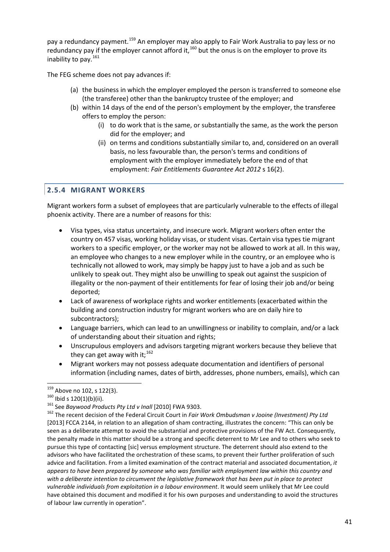pay a redundancy payment.<sup>[159](#page-44-0)</sup> An employer may also apply to Fair Work Australia to pay less or no redundancy pay if the employer cannot afford it,  $160$  but the onus is on the employer to prove its inability to pav.<sup>[161](#page-44-2)</sup>

The FEG scheme does not pay advances if:

- (a) the business in which the employer employed the person is transferred to someone else (the transferee) other than the bankruptcy trustee of the employer; and
- (b) within 14 days of the end of the person's employment by the employer, the transferee offers to employ the person:
	- (i) to do work that is the same, or substantially the same, as the work the person did for the employer; and
	- (ii) on terms and conditions substantially similar to, and, considered on an overall basis, no less favourable than, the person's terms and conditions of employment with the employer immediately before the end of that employment: *Fair Entitlements Guarantee Act 2012* s 16(2).

### **2.5.4 MIGRANT WORKERS**

Migrant workers form a subset of employees that are particularly vulnerable to the effects of illegal phoenix activity. There are a number of reasons for this:

- Visa types, visa status uncertainty, and insecure work. Migrant workers often enter the country on 457 visas, working holiday visas, or student visas. Certain visa types tie migrant workers to a specific employer, or the worker may not be allowed to work at all. In this way, an employee who changes to a new employer while in the country, or an employee who is technically not allowed to work, may simply be happy just to have a job and as such be unlikely to speak out. They might also be unwilling to speak out against the suspicion of illegality or the non-payment of their entitlements for fear of losing their job and/or being deported;
- Lack of awareness of workplace rights and worker entitlements (exacerbated within the building and construction industry for migrant workers who are on daily hire to subcontractors);
- Language barriers, which can lead to an unwillingness or inability to complain, and/or a lack of understanding about their situation and rights;
- Unscrupulous employers and advisors targeting migrant workers because they believe that they can get away with it;<sup>[162](#page-44-3)</sup>
- Migrant workers may not possess adequate documentation and identifiers of personal information (including names, dates of birth, addresses, phone numbers, emails), which can

<span id="page-44-0"></span><sup>&</sup>lt;sup>159</sup> Above no 102, s 122(3).

<span id="page-44-3"></span>

<span id="page-44-2"></span><span id="page-44-1"></span><sup>&</sup>lt;sup>160</sup> Ibid s 120(1)(b)(ii).<br><sup>161</sup> See Baywood Products Pty Ltd v Inall [2010] FWA 9303.<br><sup>162</sup> The recent decision of the Federal Circuit Court in *Fair Work Ombudsman v Jooine (Investment) Pty Ltd* [2013] FCCA 2144, in relation to an allegation of sham contracting, illustrates the concern: "This can only be seen as a deliberate attempt to avoid the substantial and protective provisions of the FW Act. Consequently, the penalty made in this matter should be a strong and specific deterrent to Mr Lee and to others who seek to pursue this type of contacting [sic] versus employment structure. The deterrent should also extend to the advisors who have facilitated the orchestration of these scams, to prevent their further proliferation of such advice and facilitation. From a limited examination of the contract material and associated documentation, *it appears to have been prepared by someone who was familiar with employment law within this country and with a deliberate intention to circumvent the legislative framework that has been put in place to protect vulnerable individuals from exploitation in a labour environment*. It would seem unlikely that Mr Lee could have obtained this document and modified it for his own purposes and understanding to avoid the structures of labour law currently in operation".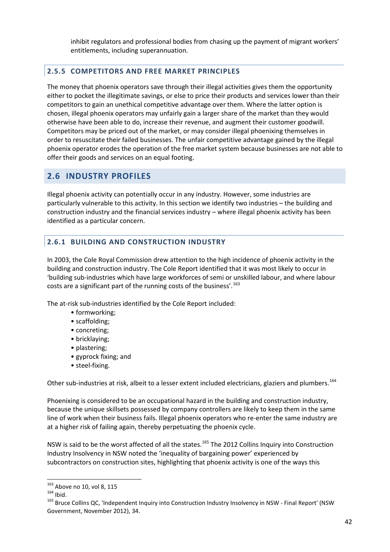inhibit regulators and professional bodies from chasing up the payment of migrant workers' entitlements, including superannuation.

## **2.5.5 COMPETITORS AND FREE MARKET PRINCIPLES**

The money that phoenix operators save through their illegal activities gives them the opportunity either to pocket the illegitimate savings, or else to price their products and services lower than their competitors to gain an unethical competitive advantage over them. Where the latter option is chosen, illegal phoenix operators may unfairly gain a larger share of the market than they would otherwise have been able to do, increase their revenue, and augment their customer goodwill. Competitors may be priced out of the market, or may consider illegal phoenixing themselves in order to resuscitate their failed businesses. The unfair competitive advantage gained by the illegal phoenix operator erodes the operation of the free market system because businesses are not able to offer their goods and services on an equal footing.

## **2.6 INDUSTRY PROFILES**

Illegal phoenix activity can potentially occur in any industry. However, some industries are particularly vulnerable to this activity. In this section we identify two industries – the building and construction industry and the financial services industry – where illegal phoenix activity has been identified as a particular concern.

## **2.6.1 BUILDING AND CONSTRUCTION INDUSTRY**

In 2003, the Cole Royal Commission drew attention to the high incidence of phoenix activity in the building and construction industry. The Cole Report identified that it was most likely to occur in 'building sub-industries which have large workforces of semi or unskilled labour, and where labour costs are a significant part of the running costs of the business'.<sup>[163](#page-45-0)</sup>

The at-risk sub-industries identified by the Cole Report included:

- formworking;
- scaffolding;
- concreting;
- bricklaying;
- plastering;
- gyprock fixing; and
- steel-fixing.

Other sub-industries at risk, albeit to a lesser extent included electricians, glaziers and plumbers.<sup>[164](#page-45-1)</sup>

Phoenixing is considered to be an occupational hazard in the building and construction industry, because the unique skillsets possessed by company controllers are likely to keep them in the same line of work when their business fails. Illegal phoenix operators who re-enter the same industry are at a higher risk of failing again, thereby perpetuating the phoenix cycle.

NSW is said to be the worst affected of all the states.<sup>[165](#page-45-2)</sup> The 2012 Collins Inquiry into Construction Industry Insolvency in NSW noted the 'inequality of bargaining power' experienced by subcontractors on construction sites, highlighting that phoenix activity is one of the ways this

 $163$  Above no 10, vol 8, 115

<span id="page-45-2"></span><span id="page-45-1"></span><span id="page-45-0"></span>Above no 10, vol 8, 115<br><sup>164</sup> Ibid.<br><sup>165</sup> Bruce Collins QC, 'Independent Inquiry into Construction Industry Insolvency in NSW - Final Report' (NSW Government, November 2012), 34.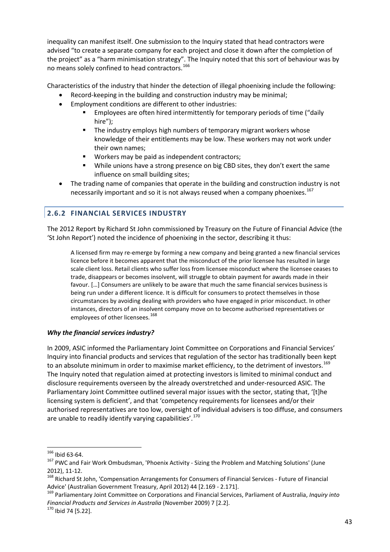inequality can manifest itself. One submission to the Inquiry stated that head contractors were advised "to create a separate company for each project and close it down after the completion of the project" as a "harm minimisation strategy". The Inquiry noted that this sort of behaviour was by no means solely confined to head contractors.<sup>[166](#page-46-0)</sup>

Characteristics of the industry that hinder the detection of illegal phoenixing include the following:

- Record-keeping in the building and construction industry may be minimal;
- Employment conditions are different to other industries:
	- Employees are often hired intermittently for temporary periods of time ("daily hire");
	- **The industry employs high numbers of temporary migrant workers whose** knowledge of their entitlements may be low. These workers may not work under their own names;
	- Workers may be paid as independent contractors;
	- While unions have a strong presence on big CBD sites, they don't exert the same influence on small building sites;
- The trading name of companies that operate in the building and construction industry is not necessarily important and so it is not always reused when a company phoenixes.<sup>[167](#page-46-1)</sup>

## **2.6.2 FINANCIAL SERVICES INDUSTRY**

The 2012 Report by Richard St John commissioned by Treasury on the Future of Financial Advice (the 'St John Report') noted the incidence of phoenixing in the sector, describing it thus:

A licensed firm may re-emerge by forming a new company and being granted a new financial services licence before it becomes apparent that the misconduct of the prior licensee has resulted in large scale client loss. Retail clients who suffer loss from licensee misconduct where the licensee ceases to trade, disappears or becomes insolvent, will struggle to obtain payment for awards made in their favour. […] Consumers are unlikely to be aware that much the same financial services business is being run under a different licence. It is difficult for consumers to protect themselves in those circumstances by avoiding dealing with providers who have engaged in prior misconduct. In other instances, directors of an insolvent company move on to become authorised representatives or employees of other licensees.<sup>[168](#page-46-2)</sup>

### *Why the financial services industry?*

In 2009, ASIC informed the Parliamentary Joint Committee on Corporations and Financial Services' Inquiry into financial products and services that regulation of the sector has traditionally been kept to an absolute minimum in order to maximise market efficiency, to the detriment of investors.<sup>[169](#page-46-3)</sup> The Inquiry noted that regulation aimed at protecting investors is limited to minimal conduct and disclosure requirements overseen by the already overstretched and under-resourced ASIC. The Parliamentary Joint Committee outlined several major issues with the sector, stating that, '[t]he licensing system is deficient', and that 'competency requirements for licensees and/or their authorised representatives are too low, oversight of individual advisers is too diffuse, and consumers are unable to readily identify varying capabilities'. $170$ 

<span id="page-46-0"></span><sup>&</sup>lt;sup>166</sup> Ibid 63-64.

<span id="page-46-1"></span> $167$  PWC and Fair Work Ombudsman, 'Phoenix Activity - Sizing the Problem and Matching Solutions' (June

<span id="page-46-2"></span><sup>2012), 11-12.&</sup>lt;br><sup>168</sup> Richard St John, 'Compensation Arrangements for Consumers of Financial Services - Future of Financial Advice' (Australian Government Treasury, April 2012) 44 [2.169 - 2.171].

<span id="page-46-3"></span><sup>&</sup>lt;sup>169</sup> Parliamentary Joint Committee on Corporations and Financial Services, Parliament of Australia, *Inquiry into Financial Products and Services in Australia* (November 2009) 7 [2.2].<br><sup>170</sup> Ibid 74 [5.22].

<span id="page-46-4"></span>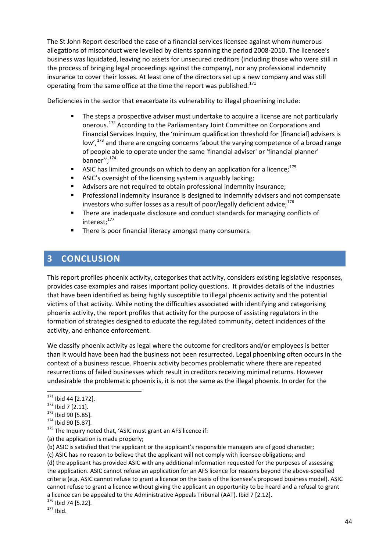The St John Report described the case of a financial services licensee against whom numerous allegations of misconduct were levelled by clients spanning the period 2008-2010. The licensee's business was liquidated, leaving no assets for unsecured creditors (including those who were still in the process of bringing legal proceedings against the company), nor any professional indemnity insurance to cover their losses. At least one of the directors set up a new company and was still operating from the same office at the time the report was published.<sup>[171](#page-47-0)</sup>

Deficiencies in the sector that exacerbate its vulnerability to illegal phoenixing include:

- The steps a prospective adviser must undertake to acquire a license are not particularly onerous. [172](#page-47-1) According to the Parliamentary Joint Committee on Corporations and Financial Services Inquiry, the 'minimum qualification threshold for [financial] advisers is low',<sup>[173](#page-47-2)</sup> and there are ongoing concerns 'about the varying competence of a broad range of people able to operate under the same 'financial adviser' or 'financial planner' banner''; [174](#page-47-3)
- **ASIC** has limited grounds on which to deny an application for a licence;<sup>[175](#page-47-4)</sup>
- ASIC's oversight of the licensing system is arguably lacking;
- Advisers are not required to obtain professional indemnity insurance;
- **Professional indemnity insurance is designed to indemnify advisers and not compensate** investors who suffer losses as a result of poor/legally deficient advice; $^{176}$  $^{176}$  $^{176}$
- There are inadequate disclosure and conduct standards for managing conflicts of interest:<sup>[177](#page-47-6)</sup>
- There is poor financial literacy amongst many consumers.

## **3 CONCLUSION**

This report profiles phoenix activity, categorises that activity, considers existing legislative responses, provides case examples and raises important policy questions. It provides details of the industries that have been identified as being highly susceptible to illegal phoenix activity and the potential victims of that activity. While noting the difficulties associated with identifying and categorising phoenix activity, the report profiles that activity for the purpose of assisting regulators in the formation of strategies designed to educate the regulated community, detect incidences of the activity, and enhance enforcement.

We classify phoenix activity as legal where the outcome for creditors and/or employees is better than it would have been had the business not been resurrected. Legal phoenixing often occurs in the context of a business rescue. Phoenix activity becomes problematic where there are repeated resurrections of failed businesses which result in creditors receiving minimal returns. However undesirable the problematic phoenix is, it is not the same as the illegal phoenix. In order for the

<span id="page-47-4"></span>(a) the application is made properly;

(b) ASIC is satisfied that the applicant or the applicant's responsible managers are of good character;

(c) ASIC has no reason to believe that the applicant will not comply with licensee obligations; and (d) the applicant has provided ASIC with any additional information requested for the purposes of assessing the application. ASIC cannot refuse an application for an AFS licence for reasons beyond the above-specified criteria (e.g. ASIC cannot refuse to grant a licence on the basis of the licensee's proposed business model). ASIC cannot refuse to grant a licence without giving the applicant an opportunity to be heard and a refusal to grant a licence can be appealed to the Administrative Appeals Tribunal (AAT). Ibid 7 [2.12].

<span id="page-47-6"></span><span id="page-47-5"></span> $176$  Ibid 74 [5.22].<br> $177$  Ibid.

<span id="page-47-0"></span><sup>&</sup>lt;sup>171</sup> Ibid 44 [2.172].

<span id="page-47-2"></span>

<span id="page-47-3"></span>

<span id="page-47-1"></span><sup>&</sup>lt;sup>172</sup> Ibid 7 [2.11].<br><sup>173</sup> Ibid 90 [5.85].<br><sup>174</sup> Ibid 90 [5.87].<br><sup>175</sup> The Inquiry noted that, 'ASIC must grant an AFS licence if: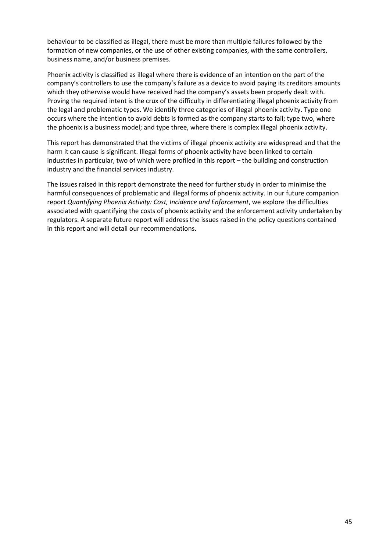behaviour to be classified as illegal, there must be more than multiple failures followed by the formation of new companies, or the use of other existing companies, with the same controllers, business name, and/or business premises.

Phoenix activity is classified as illegal where there is evidence of an intention on the part of the company's controllers to use the company's failure as a device to avoid paying its creditors amounts which they otherwise would have received had the company's assets been properly dealt with. Proving the required intent is the crux of the difficulty in differentiating illegal phoenix activity from the legal and problematic types. We identify three categories of illegal phoenix activity. Type one occurs where the intention to avoid debts is formed as the company starts to fail; type two, where the phoenix is a business model; and type three, where there is complex illegal phoenix activity.

This report has demonstrated that the victims of illegal phoenix activity are widespread and that the harm it can cause is significant. Illegal forms of phoenix activity have been linked to certain industries in particular, two of which were profiled in this report – the building and construction industry and the financial services industry.

The issues raised in this report demonstrate the need for further study in order to minimise the harmful consequences of problematic and illegal forms of phoenix activity. In our future companion report *Quantifying Phoenix Activity: Cost, Incidence and Enforcement*, we explore the difficulties associated with quantifying the costs of phoenix activity and the enforcement activity undertaken by regulators. A separate future report will address the issues raised in the policy questions contained in this report and will detail our recommendations.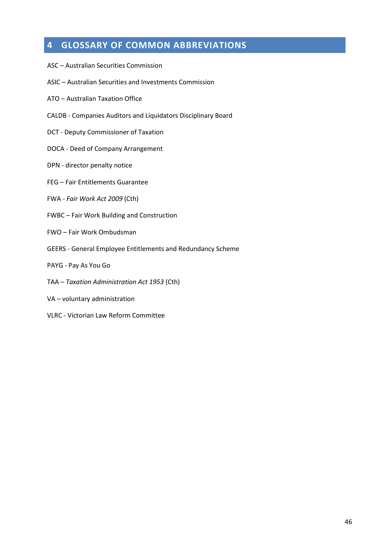# **4 GLOSSARY OF COMMON ABBREVIATIONS**

- ASC Australian Securities Commission
- ASIC Australian Securities and Investments Commission
- ATO Australian Taxation Office
- CALDB Companies Auditors and Liquidators Disciplinary Board
- DCT Deputy Commissioner of Taxation
- DOCA Deed of Company Arrangement
- DPN director penalty notice
- FEG Fair Entitlements Guarantee
- FWA *Fair Work Act 2009* (Cth)
- FWBC Fair Work Building and Construction
- FWO Fair Work Ombudsman
- GEERS General Employee Entitlements and Redundancy Scheme
- PAYG Pay As You Go
- TAA *Taxation Administration Act 1953* (Cth)
- VA voluntary administration
- VLRC Victorian Law Reform Committee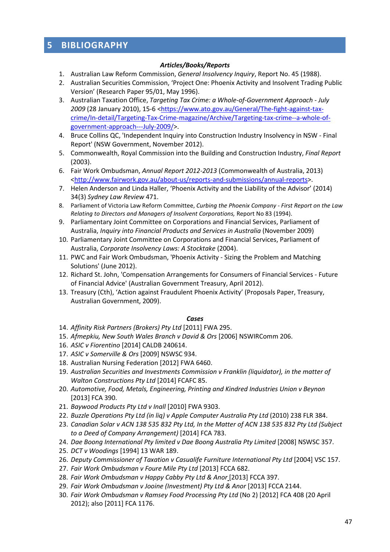## **5 BIBLIOGRAPHY**

#### *Articles/Books/Reports*

- 1. Australian Law Reform Commission, *General Insolvency Inquiry*, Report No. 45 (1988).
- 2. Australian Securities Commission, 'Project One: Phoenix Activity and Insolvent Trading Public Version' (Research Paper 95/01, May 1996).
- 3. Australian Taxation Office, *Targeting Tax Crime: a Whole-of-Government Approach - July*  2009 (28 January 2010), 15-6 [<https://www.ato.gov.au/General/The-fight-against-tax](https://www.ato.gov.au/General/The-fight-against-tax-crime/In-detail/Targeting-Tax-Crime-magazine/Archive/Targeting-tax-crime--a-whole-of-government-approach---July-2009/)[crime/In-detail/Targeting-Tax-Crime-magazine/Archive/Targeting-tax-crime--a-whole-of](https://www.ato.gov.au/General/The-fight-against-tax-crime/In-detail/Targeting-Tax-Crime-magazine/Archive/Targeting-tax-crime--a-whole-of-government-approach---July-2009/)[government-approach---July-2009/>](https://www.ato.gov.au/General/The-fight-against-tax-crime/In-detail/Targeting-Tax-Crime-magazine/Archive/Targeting-tax-crime--a-whole-of-government-approach---July-2009/).
- 4. Bruce Collins QC, 'Independent Inquiry into Construction Industry Insolvency in NSW Final Report' (NSW Government, November 2012).
- 5. Commonwealth, Royal Commission into the Building and Construction Industry, *Final Report* (2003).
- 6. Fair Work Ombudsman, *Annual Report 2012-2013* (Commonwealth of Australia, 2013) [<http://www.fairwork.gov.au/about-us/reports-and-submissions/annual-reports>](http://www.fairwork.gov.au/about-us/reports-and-submissions/annual-reports).
- 7. Helen Anderson and Linda Haller, 'Phoenix Activity and the Liability of the Advisor' (2014) 34(3) *Sydney Law Review* 471.
- 8. Parliament of Victoria Law Reform Committee, *Curbing the Phoenix Company - First Report on the Law Relating to Directors and Managers of Insolvent Corporations,* Report No 83 (1994).
- 9. Parliamentary Joint Committee on Corporations and Financial Services, Parliament of Australia, *Inquiry into Financial Products and Services in Australia* (November 2009)
- 10. Parliamentary Joint Committee on Corporations and Financial Services, Parliament of Australia, *Corporate Insolvency Laws: A Stocktake* (2004).
- 11. PWC and Fair Work Ombudsman, 'Phoenix Activity Sizing the Problem and Matching Solutions' (June 2012).
- 12. Richard St. John, 'Compensation Arrangements for Consumers of Financial Services Future of Financial Advice' (Australian Government Treasury, April 2012).
- 13. Treasury (Cth), 'Action against Fraudulent Phoenix Activity' (Proposals Paper, Treasury, Australian Government, 2009).

#### *Cases*

- 14. *Affinity Risk Partners (Brokers) Pty Ltd* [2011] FWA 295.
- 15. *Afmepkiu, New South Wales Branch v David & Ors* [2006] NSWIRComm 206.
- 16. *ASIC v Fiorentino* [2014] CALDB 240614.
- 17. *ASIC v Somerville & Ors* [2009] NSWSC 934.
- 18. Australian Nursing Federation [2012] FWA 6460.
- 19. *Australian Securities and Investments Commission v Franklin (liquidator), in the matter of Walton Constructions Pty Ltd* [2014] FCAFC 85.
- 20. *Automotive, Food, Metals, Engineering, Printing and Kindred Industries Union v Beynon* [2013] FCA 390.
- 21. *Baywood Products Pty Ltd v Inall* [2010] FWA 9303.
- 22. *Buzzle Operations Pty Ltd (in liq) v Apple Computer Australia Pty Ltd* (2010) 238 FLR 384.
- 23. *Canadian Solar v ACN 138 535 832 Pty Ltd, In the Matter of ACN 138 535 832 Pty Ltd (Subject to a Deed of Company Arrangement)* [2014] FCA 783.
- 24. *Dae Boong International Pty limited v Dae Boong Australia Pty Limited* [2008] NSWSC 357.
- 25. *DCT v Woodings* [1994] 13 WAR 189.
- 26. *Deputy Commissioner of Taxation v Casualife Furniture International Pty Ltd* [2004] VSC 157.
- 27. *Fair Work Ombudsman v Foure Mile Pty Ltd* [2013] FCCA 682.
- 28. *Fair Work Ombudsman v Happy Cabby Pty Ltd & Anor* [2013] FCCA 397.
- 29. *Fair Work Ombudsman v Jooine (Investment) Pty Ltd & Anor* [2013] FCCA 2144.
- 30. *Fair Work Ombudsman v Ramsey Food Processing Pty Ltd* (No 2) [2012] FCA 408 (20 April 2012); also [2011] FCA 1176.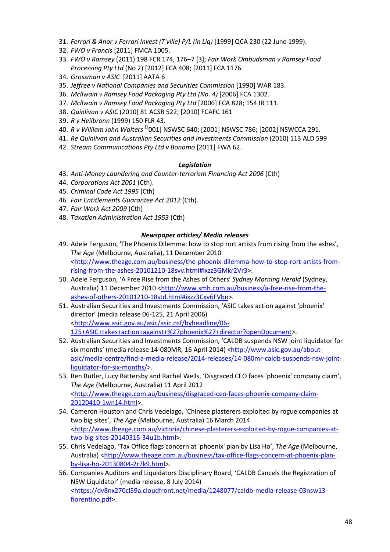- 31. *Ferrari & Anor v Ferrari Invest (T'ville) P/L (in Liq)* [1999] QCA 230 (22 June 1999).
- 32. *FWO v Francis* [2011] FMCA 1005.
- 33. *FWO v Ramsey* (2011) 198 FCR 174, 176–7 [3]; *Fair Work Ombudsman v Ramsey Food Processing Pty Ltd* (No 2) [2012] FCA 408; [2011] FCA 1176.
- 34. *Grossman v ASIC* [2011] AATA 6
- 35. *Jeffree v National Companies and Securities Commission* [1990] WAR 183.
- 36. *Mcllwain v Ramsey Food Packaging Pty Ltd (No. 4)* [2006] FCA 1302.
- 37. *Mcllwain v Ramsey Food Packaging Pty Ltd* [2006] FCA 828; 154 IR 111.
- 38. *Quinlivan v ASIC* (2010) 81 ACSR 522; [2010] FCAFC 161
- 39. *R v Heilbronn* (1999) 150 FLR 43.
- 40. *R v William John Walters* [2001] NSWSC 640; [2001] NSWSC 786; [2002] NSWCCA 291.
- 41. *Re Quinlivan and Australian Securities and Investments Commission* (2010) 113 ALD 599
- 42. *Stream Communications Pty Ltd v Bonomo* [2011] FWA 62.

#### *Legislation*

- 43. *Anti-Money Laundering and Counter-terrorism Financing Act 2006* (Cth)
- 44. *Corporations Act 2001* (Cth).
- 45. *Criminal Code Act 1995* (Cth)
- 46. *Fair Entitlements Guarantee Act 2012* (Cth).
- 47. *Fair Work Act 2009* (Cth)
- 48. *Taxation Administration Act 1953* (Cth)

#### *Newspaper articles/ Media releases*

- 49. Adele Ferguson, 'The Phoenix Dilemma: how to stop rort artists from rising from the ashes', *The Age* (Melbourne, Australia), 11 December 2010 [<http://www.theage.com.au/business/the-phoenix-dilemma-how-to-stop-rort-artists-from](http://www.theage.com.au/business/the-phoenix-dilemma-how-to-stop-rort-artists-from-rising-from-the-ashes-20101210-18svy.html%23ixzz3GMkr2Vr3)[rising-from-the-ashes-20101210-18svy.html#ixzz3GMkr2Vr3>](http://www.theage.com.au/business/the-phoenix-dilemma-how-to-stop-rort-artists-from-rising-from-the-ashes-20101210-18svy.html%23ixzz3GMkr2Vr3).
- 50. Adele Ferguson, 'A Free Rise from the Ashes of Others' *Sydney Morning Herald* (Sydney, Australia) 11 December 2010 [<http://www.smh.com.au/business/a-free-rise-from-the](http://www.smh.com.au/business/a-free-rise-from-the-ashes-of-others-20101210-18std.html%23ixzz3Cxv6FVbn)[ashes-of-others-20101210-18std.html#ixzz3Cxv6FVbn>](http://www.smh.com.au/business/a-free-rise-from-the-ashes-of-others-20101210-18std.html%23ixzz3Cxv6FVbn).
- 51. Australian Securities and Investments Commission, 'ASIC takes action against 'phoenix' director' (media release 06-125, 21 April 2006) [<http://www.asic.gov.au/asic/asic.nsf/byheadline/06-](http://www.asic.gov.au/asic/asic.nsf/byheadline/06-125+ASIC+takes+action+against+%27phoenix%27+director?openDocument) [125+ASIC+takes+action+against+%27phoenix%27+director?openDocument>](http://www.asic.gov.au/asic/asic.nsf/byheadline/06-125+ASIC+takes+action+against+%27phoenix%27+director?openDocument).
- 52. Australian Securities and Investments Commission, 'CALDB suspends NSW joint liquidator for six months' (media release 14-080MR, 16 April 2014) [<http://www.asic.gov.au/about](http://www.asic.gov.au/about-asic/media-centre/find-a-media-release/2014-releases/14-080mr-caldb-suspends-nsw-joint-liquidator-for-six-months/)[asic/media-centre/find-a-media-release/2014-releases/14-080mr-caldb-suspends-nsw-joint](http://www.asic.gov.au/about-asic/media-centre/find-a-media-release/2014-releases/14-080mr-caldb-suspends-nsw-joint-liquidator-for-six-months/)[liquidator-for-six-months/>](http://www.asic.gov.au/about-asic/media-centre/find-a-media-release/2014-releases/14-080mr-caldb-suspends-nsw-joint-liquidator-for-six-months/).
- 53. Ben Butler, Lucy Battersby and Rachel Wells, 'Disgraced CEO faces 'phoenix' company claim', *The Age* (Melbourne, Australia) 11 April 2012 [<http://www.theage.com.au/business/disgraced-ceo-faces-phoenix-company-claim-](http://www.theage.com.au/business/disgraced-ceo-faces-phoenix-company-claim-20120410-1wn14.html)[20120410-1wn14.html>](http://www.theage.com.au/business/disgraced-ceo-faces-phoenix-company-claim-20120410-1wn14.html).
- 54. Cameron Houston and Chris Vedelago, 'Chinese plasterers exploited by rogue companies at two big sites', *The Age* (Melbourne, Australia) 16 March 2014 [<http://www.theage.com.au/victoria/chinese-plasterers-exploited-by-rogue-companies-at](http://www.theage.com.au/victoria/chinese-plasterers-exploited-by-rogue-companies-at-two-big-sites-20140315-34u1b.html)[two-big-sites-20140315-34u1b.html>](http://www.theage.com.au/victoria/chinese-plasterers-exploited-by-rogue-companies-at-two-big-sites-20140315-34u1b.html).
- 55. Chris Vedelago, 'Tax Office flags concern at 'phoenix' plan by Lisa Ho', *The Age* (Melbourne, Australia) [<http://www.theage.com.au/business/tax-office-flags-concern-at-phoenix-plan](http://www.theage.com.au/business/tax-office-flags-concern-at-phoenix-plan-by-lisa-ho-20130804-2r7k9.html)[by-lisa-ho-20130804-2r7k9.html>](http://www.theage.com.au/business/tax-office-flags-concern-at-phoenix-plan-by-lisa-ho-20130804-2r7k9.html).
- 56. Companies Auditors and Liquidators Disciplinary Board, 'CALDB Cancels the Registration of NSW Liquidator' (media release, 8 July 2014) [<https://dv8nx270cl59a.cloudfront.net/media/1248077/caldb-media-release-03nsw13](https://dv8nx270cl59a.cloudfront.net/media/1248077/caldb-media-release-03nsw13-fiorentino.pdf) [fiorentino.pdf>](https://dv8nx270cl59a.cloudfront.net/media/1248077/caldb-media-release-03nsw13-fiorentino.pdf).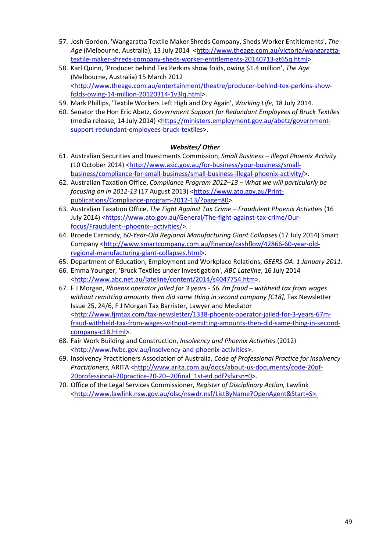- 57. Josh Gordon, 'Wangaratta Textile Maker Shreds Company, Sheds Worker Entitlements', *The*  Age (Melbourne, Australia), 13 July 2014 [<http://www.theage.com.au/victoria/wangaratta](http://www.theage.com.au/victoria/wangaratta-textile-maker-shreds-company-sheds-worker-entitlements-20140713-zt65q.html)[textile-maker-shreds-company-sheds-worker-entitlements-20140713-zt65q.html>](http://www.theage.com.au/victoria/wangaratta-textile-maker-shreds-company-sheds-worker-entitlements-20140713-zt65q.html).
- 58. Karl Quinn, 'Producer behind Tex Perkins show folds, owing \$1.4 million', *The Age* (Melbourne, Australia) 15 March 2012 [<http://www.theage.com.au/entertainment/theatre/producer-behind-tex-perkins-show](http://www.theage.com.au/entertainment/theatre/producer-behind-tex-perkins-show-folds-owing-14-million-20120314-1v3lq.html)[folds-owing-14-million-20120314-1v3lq.html>](http://www.theage.com.au/entertainment/theatre/producer-behind-tex-perkins-show-folds-owing-14-million-20120314-1v3lq.html).
- 59. Mark Phillips, 'Textile Workers Left High and Dry Again', *Working Life,* 18 July 2014.
- 60. Senator the Hon Eric Abetz, *Government Support for Redundant Employees of Bruck Textiles*  (media release, 14 July 2014) [<https://ministers.employment.gov.au/abetz/government](https://ministers.employment.gov.au/abetz/government-support-redundant-employees-bruck-textiles)[support-redundant-employees-bruck-textiles>](https://ministers.employment.gov.au/abetz/government-support-redundant-employees-bruck-textiles).

#### *Websites/ Other*

- 61. Australian Securities and Investments Commission, *Small Business – Illegal Phoenix Activity*  (10 October 2014) [<http://www.asic.gov.au/for-business/your-business/small](http://www.asic.gov.au/for-business/your-business/small-business/compliance-for-small-business/small-business-illegal-phoenix-activity/)[business/compliance-for-small-business/small-business-illegal-phoenix-activity/>](http://www.asic.gov.au/for-business/your-business/small-business/compliance-for-small-business/small-business-illegal-phoenix-activity/).
- 62. Australian Taxation Office, *Compliance Program 2012–13 – What we will particularly be focusing on in 2012-13* (17 August 2013) [<https://www.ato.gov.au/Print](https://www.ato.gov.au/Print-publications/Compliance-program-2012-13/?page=80)[publications/Compliance-program-2012-13/?page=80>](https://www.ato.gov.au/Print-publications/Compliance-program-2012-13/?page=80).
- 63. Australian Taxation Office, *The Fight Against Tax Crime – Fraudulent Phoenix Activities* (16 July 2014) [<https://www.ato.gov.au/General/The-fight-against-tax-crime/Our](https://www.ato.gov.au/General/The-fight-against-tax-crime/Our-focus/Fraudulent--phoenix--activities/)[focus/Fraudulent--phoenix--activities/>](https://www.ato.gov.au/General/The-fight-against-tax-crime/Our-focus/Fraudulent--phoenix--activities/).
- 64. Broede Carmody, *60-Year-Old Regional Manufacturing Giant Collapses* (17 July 2014) Smart Company [<http://www.smartcompany.com.au/finance/cashflow/42866-60-year-old](http://www.smartcompany.com.au/finance/cashflow/42866-60-year-old-regional-manufacturing-giant-collapses.html)[regional-manufacturing-giant-collapses.html>](http://www.smartcompany.com.au/finance/cashflow/42866-60-year-old-regional-manufacturing-giant-collapses.html).
- 65. Department of Education, Employment and Workplace Relations, *GEERS OA*: *1 January 2011*.
- 66. Emma Younger, 'Bruck Textiles under Investigation', *ABC Lateline*, 16 July 2014 [<http://www.abc.net.au/lateline/content/2014/s4047754.htm>](http://www.abc.net.au/lateline/content/2014/s4047754.htm).
- 67. F J Morgan, *Phoenix operator jailed for 3 years - \$6.7m fraud – withheld tax from wages without remitting amounts then did same thing in second company [C18]*, Tax Newsletter Issue 25, 24/6, F J Morgan Tax Barrister, Lawyer and Mediator [<http://www.fjmtax.com/tax-newsletter/1338-phoenix-operator-jailed-for-3-years-67m](http://www.fjmtax.com/tax-newsletter/1338-phoenix-operator-jailed-for-3-years-67m-fraud-withheld-tax-from-wages-without-remitting-amounts-then-did-same-thing-in-second-company-c18.html)[fraud-withheld-tax-from-wages-without-remitting-amounts-then-did-same-thing-in-second](http://www.fjmtax.com/tax-newsletter/1338-phoenix-operator-jailed-for-3-years-67m-fraud-withheld-tax-from-wages-without-remitting-amounts-then-did-same-thing-in-second-company-c18.html)[company-c18.html>](http://www.fjmtax.com/tax-newsletter/1338-phoenix-operator-jailed-for-3-years-67m-fraud-withheld-tax-from-wages-without-remitting-amounts-then-did-same-thing-in-second-company-c18.html).
- 68. Fair Work Building and Construction, *Insolvency and Phoenix Activities* (2012) [<http://www.fwbc.gov.au/insolvency-and-phoenix-activities>](http://www.fwbc.gov.au/insolvency-and-phoenix-activities).
- 69. Insolvency Practitioners Association of Australia, *Code of Professional Practice for Insolvency Practitioners*, ARITA [<http://www.arita.com.au/docs/about-us-documents/code-20of-](http://www.arita.com.au/docs/about-us-documents/code-20of-20professional-20practice-20-20--20final_1st-ed.pdf?sfvrsn=0)[20professional-20practice-20-20--20final\\_1st-ed.pdf?sfvrsn=0>](http://www.arita.com.au/docs/about-us-documents/code-20of-20professional-20practice-20-20--20final_1st-ed.pdf?sfvrsn=0).
- 70. Office of the Legal Services Commissioner, *Register of Disciplinary Action,* Lawlink [<http://www.lawlink.nsw.gov.au/olsc/nswdr.nsf/ListByName?OpenAgent&Start=S>](http://www.lawlink.nsw.gov.au/olsc/nswdr.nsf/ListByName?OpenAgent&Start=S).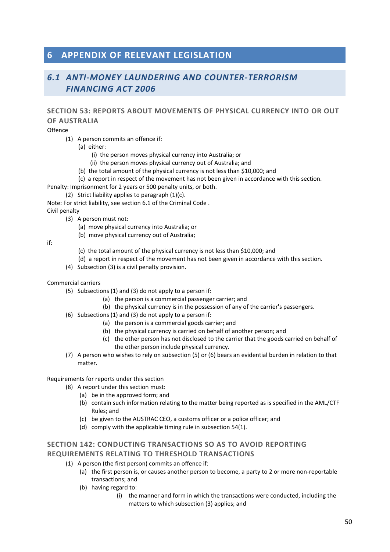## **6 APPENDIX OF RELEVANT LEGISLATION**

## *6.1 ANTI-MONEY LAUNDERING AND COUNTER-TERRORISM FINANCING ACT 2006*

### **SECTION 53: REPORTS ABOUT MOVEMENTS OF PHYSICAL CURRENCY INTO OR OUT OF AUSTRALIA**

Offence

- (1) A person commits an offence if:
	- (a) either:
		- (i) the person moves physical currency into Australia; or
		- (ii) the person moves physical currency out of Australia; and
	- (b) the total amount of the physical currency is not less than \$10,000; and
	- (c) a report in respect of the movement has not been given in accordance with this section.

Penalty: Imprisonment for 2 years or 500 penalty units, or both.

(2) Strict liability applies to paragraph  $(1)(c)$ .

Note: For strict liability, see section 6.1 of the Criminal Code .

Civil penalty

- (3) A person must not:
	- (a) move physical currency into Australia; or
	- (b) move physical currency out of Australia;

if:

- (c) the total amount of the physical currency is not less than \$10,000; and
- (d) a report in respect of the movement has not been given in accordance with this section.
- (4) Subsection (3) is a civil penalty provision.

#### Commercial carriers

- (5) Subsections (1) and (3) do not apply to a person if:
	- (a) the person is a commercial passenger carrier; and
	- (b) the physical currency is in the possession of any of the carrier's passengers.
- (6) Subsections (1) and (3) do not apply to a person if:
	- (a) the person is a commercial goods carrier; and
	- (b) the physical currency is carried on behalf of another person; and
	- (c) the other person has not disclosed to the carrier that the goods carried on behalf of the other person include physical currency.
- (7) A person who wishes to rely on subsection (5) or (6) bears an evidential burden in relation to that matter.

#### Requirements for reports under this section

- (8) A report under this section must:
	- (a) be in the approved form; and
	- (b) contain such information relating to the matter being reported as is specified in the AML/CTF Rules; and
	- (c) be given to the AUSTRAC CEO, a customs officer or a police officer; and
	- (d) comply with the applicable timing rule in subsection 54(1).

### **SECTION 142: CONDUCTING TRANSACTIONS SO AS TO AVOID REPORTING REQUIREMENTS RELATING TO THRESHOLD TRANSACTIONS**

- (1) A person (the first person) commits an offence if:
	- (a) the first person is, or causes another person to become, a party to 2 or more non-reportable transactions; and
	- (b) having regard to:
		- (i) the manner and form in which the transactions were conducted, including the matters to which subsection (3) applies; and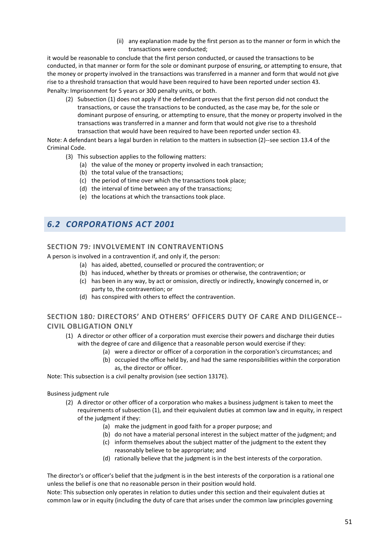(ii) any explanation made by the first person as to the manner or form in which the transactions were conducted;

it would be reasonable to conclude that the first person conducted, or caused the transactions to be conducted, in that manner or form for the sole or dominant purpose of ensuring, or attempting to ensure, that the money or property involved in the transactions was transferred in a manner and form that would not give rise to a threshold transaction that would have been required to have been reported under section 43. Penalty: Imprisonment for 5 years or 300 penalty units, or both.

(2) Subsection (1) does not apply if the defendant proves that the first person did not conduct the transactions, or cause the transactions to be conducted, as the case may be, for the sole or dominant purpose of ensuring, or attempting to ensure, that the money or property involved in the transactions was transferred in a manner and form that would not give rise to a threshold transaction that would have been required to have been reported under section 43.

Note: A defendant bears a legal burden in relation to the matters in subsection (2)--see section 13.4 of the Criminal Code.

- (3) This subsection applies to the following matters:
	- (a) the value of the money or property involved in each transaction;
	- (b) the total value of the transactions;
	- (c) the period of time over which the transactions took place;
	- (d) the interval of time between any of the transactions;
	- (e) the locations at which the transactions took place.

## *6.2 CORPORATIONS ACT 2001*

#### **SECTION 79***:* **INVOLVEMENT IN CONTRAVENTIONS**

A person is involved in a contravention if, and only if, the person:

- (a) has aided, abetted, counselled or procured the contravention; or
- (b) has induced, whether by threats or promises or otherwise, the contravention; or
- (c) has been in any way, by act or omission, directly or indirectly, knowingly concerned in, or party to, the contravention; or
- (d) has conspired with others to effect the contravention.

### **SECTION 180***:* **DIRECTORS' AND OTHERS' OFFICERS DUTY OF CARE AND DILIGENCE-- CIVIL OBLIGATION ONLY**

- (1) A director or other officer of a corporation must exercise their powers and discharge their duties with the degree of care and diligence that a reasonable person would exercise if they:
	- (a) were a director or officer of a corporation in the corporation's circumstances; and
	- (b) occupied the office held by, and had the same responsibilities within the corporation as, the director or officer.

Note: This subsection is a civil penalty provision (see section 1317E).

Business judgment rule

- (2) A director or other officer of a corporation who makes a business judgment is taken to meet the requirements of subsection (1), and their equivalent duties at common law and in equity, in respect of the judgment if they:
	- (a) make the judgment in good faith for a proper purpose; and
	- (b) do not have a material personal interest in the subject matter of the judgment; and
	- (c) inform themselves about the subject matter of the judgment to the extent they reasonably believe to be appropriate; and
	- (d) rationally believe that the judgment is in the best interests of the corporation.

The director's or officer's belief that the judgment is in the best interests of the corporation is a rational one unless the belief is one that no reasonable person in their position would hold.

Note: This subsection only operates in relation to duties under this section and their equivalent duties at common law or in equity (including the duty of care that arises under the common law principles governing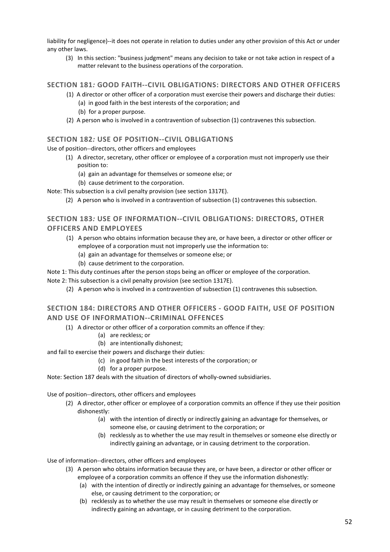liability for negligence)--it does not operate in relation to duties under any other provision of this Act or under any other laws.

(3) In this section: "business judgment" means any decision to take or not take action in respect of a matter relevant to the business operations of the corporation.

#### **SECTION 181***:* **GOOD FAITH--CIVIL OBLIGATIONS: DIRECTORS AND OTHER OFFICERS**

- (1) A director or other officer of a corporation must exercise their powers and discharge their duties:
	- (a) in good faith in the best interests of the corporation; and
	- (b) for a proper purpose.
- (2) A person who is involved in a contravention of subsection (1) contravenes this subsection.

#### **SECTION 182***:* **USE OF POSITION--CIVIL OBLIGATIONS**

Use of position--directors, other officers and employees

- (1) A director, secretary, other officer or employee of a corporation must not improperly use their position to:
	- (a) gain an advantage for themselves or someone else; or
	- (b) cause detriment to the corporation.

Note: This subsection is a civil penalty provision (see section 1317E).

(2) A person who is involved in a contravention of subsection (1) contravenes this subsection.

### **SECTION 183***:* **USE OF INFORMATION--CIVIL OBLIGATIONS: DIRECTORS, OTHER OFFICERS AND EMPLOYEES**

- (1) A person who obtains information because they are, or have been, a director or other officer or employee of a corporation must not improperly use the information to:
	- (a) gain an advantage for themselves or someone else; or
	- (b) cause detriment to the corporation.

Note 1: This duty continues after the person stops being an officer or employee of the corporation.

Note 2: This subsection is a civil penalty provision (see section 1317E).

(2) A person who is involved in a contravention of subsection (1) contravenes this subsection.

### **SECTION 184: DIRECTORS AND OTHER OFFICERS - GOOD FAITH, USE OF POSITION AND USE OF INFORMATION--CRIMINAL OFFENCES**

- (1) A director or other officer of a corporation commits an offence if they:
	- (a) are reckless; or
	- (b) are intentionally dishonest;

and fail to exercise their powers and discharge their duties:

- (c) in good faith in the best interests of the corporation; or
- (d) for a proper purpose.

Note: Section 187 deals with the situation of directors of wholly-owned subsidiaries.

Use of position--directors, other officers and employees

- (2) A director, other officer or employee of a corporation commits an offence if they use their position dishonestly:
	- (a) with the intention of directly or indirectly gaining an advantage for themselves, or someone else, or causing detriment to the corporation; or
	- (b) recklessly as to whether the use may result in themselves or someone else directly or indirectly gaining an advantage, or in causing detriment to the corporation.

Use of information--directors, other officers and employees

- (3) A person who obtains information because they are, or have been, a director or other officer or employee of a corporation commits an offence if they use the information dishonestly:
	- (a) with the intention of directly or indirectly gaining an advantage for themselves, or someone else, or causing detriment to the corporation; or
	- (b) recklessly as to whether the use may result in themselves or someone else directly or indirectly gaining an advantage, or in causing detriment to the corporation.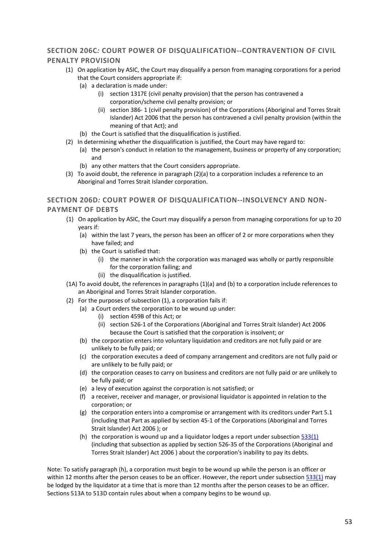### **SECTION 206C***:* **COURT POWER OF DISQUALIFICATION--CONTRAVENTION OF CIVIL PENALTY PROVISION**

- (1) On application by ASIC, the Court may disqualify a person from managing corporations for a period that the Court considers appropriate if:
	- (a) a declaration is made under:
		- (i) section 1317E (civil penalty provision) that the person has contravened a corporation/scheme civil penalty provision; or
		- (ii) section 386- 1 (civil penalty provision) of the Corporations (Aboriginal and Torres Strait Islander) Act 2006 that the person has contravened a civil penalty provision (within the meaning of that Act); and
	- (b) the Court is satisfied that the disqualification is justified.
- (2) In determining whether the disqualification is justified, the Court may have regard to:
	- (a) the person's conduct in relation to the management, business or property of any corporation; and
	- (b) any other matters that the Court considers appropriate.
- (3) To avoid doubt, the reference in paragraph (2)(a) to a corporation includes a reference to an Aboriginal and Torres Strait Islander corporation.

### **SECTION 206D***:* **COURT POWER OF DISQUALIFICATION--INSOLVENCY AND NON-PAYMENT OF DEBTS**

- (1) On application by ASIC, the Court may disqualify a person from managing corporations for up to 20 years if:
	- (a) within the last 7 years, the person has been an officer of 2 or more corporations when they have failed; and
	- (b) the Court is satisfied that:
		- (i) the manner in which the corporation was managed was wholly or partly responsible for the corporation failing; and
		- (ii) the disqualification is justified.
- (1A) To avoid doubt, the references in paragraphs (1)(a) and (b) to a corporation include references to an Aboriginal and Torres Strait Islander corporation.
- (2) For the purposes of subsection (1), a corporation fails if:
	- (a) a Court orders the corporation to be wound up under:
		- (i) section 459B of this Act; or
		- (ii) section 526-1 of the Corporations (Aboriginal and Torres Strait Islander) Act 2006 because the Court is satisfied that the corporation is insolvent; or
	- (b) the corporation enters into voluntary liquidation and creditors are not fully paid or are unlikely to be fully paid; or
	- (c) the corporation executes a deed of company arrangement and creditors are not fully paid or are unlikely to be fully paid; or
	- (d) the corporation ceases to carry on business and creditors are not fully paid or are unlikely to be fully paid; or
	- (e) a levy of execution against the corporation is not satisfied; or
	- (f) a receiver, receiver and manager, or provisional liquidator is appointed in relation to the corporation; or
	- (g) the corporation enters into a compromise or arrangement with its creditors under Part 5.1 (including that Part as applied by section 45-1 of the Corporations (Aboriginal and Torres Strait Islander) Act 2006 ); or
	- (h) the corporation is wound up and a liquidator lodges a report under subsection  $533(1)$ (including that subsection as applied by section 526-35 of the Corporations (Aboriginal and Torres Strait Islander) Act 2006 ) about the corporation's inability to pay its debts.

Note: To satisfy paragraph (h), a corporation must begin to be wound up while the person is an officer or within 12 months after the person ceases to be an officer. However, the report under subsection  $\frac{533(1)}{2}$  may be lodged by the liquidator at a time that is more than 12 months after the person ceases to be an officer. Sections 513A to 513D contain rules about when a company begins to be wound up.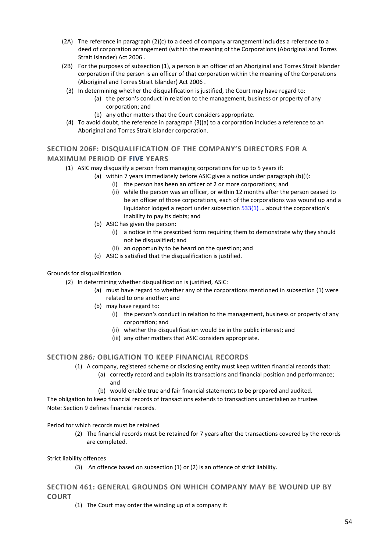- (2A) The reference in paragraph (2)(c) to a deed of company arrangement includes a reference to a deed of corporation arrangement (within the meaning of the Corporations (Aboriginal and Torres Strait Islander) Act 2006 .
- (2B) For the purposes of subsection (1), a person is an officer of an Aboriginal and Torres Strait Islander corporation if the person is an officer of that corporation within the meaning of the Corporations (Aboriginal and Torres Strait Islander) Act 2006 .
	- (3) In determining whether the disqualification is justified, the Court may have regard to:
		- (a) the person's conduct in relation to the management, business or property of any corporation; and
			- (b) any other matters that the Court considers appropriate.
	- (4) To avoid doubt, the reference in paragraph (3)(a) to a corporation includes a reference to an Aboriginal and Torres Strait Islander corporation.

### **SECTION 206F: DISQUALIFICATION OF THE COMPANY'S DIRECTORS FOR A MAXIMUM PERIOD OF FIVE YEARS**

- (1) ASIC may disqualify a person from managing corporations for up to 5 years if:
	- (a) within 7 years immediately before ASIC gives a notice under paragraph (b)(i):
		- (i) the person has been an officer of 2 or more corporations; and
		- (ii) while the person was an officer, or within 12 months after the person ceased to be an officer of those corporations, each of the corporations was wound up and a liquidator lodged a report under subsectio[n 533\(1\)](#page-59-0) … about the corporation's inability to pay its debts; and
	- (b) ASIC has given the person:
		- (i) a notice in the prescribed form requiring them to demonstrate why they should not be disqualified; and
		- (ii) an opportunity to be heard on the question; and
	- (c) ASIC is satisfied that the disqualification is justified.

#### Grounds for disqualification

- (2) In determining whether disqualification is justified, ASIC:
	- (a) must have regard to whether any of the corporations mentioned in subsection (1) were related to one another; and
	- (b) may have regard to:
		- (i) the person's conduct in relation to the management, business or property of any corporation; and
		- (ii) whether the disqualification would be in the public interest; and
		- (iii) any other matters that ASIC considers appropriate.

#### **SECTION 286***:* **OBLIGATION TO KEEP FINANCIAL RECORDS**

- (1) A company, registered scheme or disclosing entity must keep written financial records that:
	- (a) correctly record and explain its transactions and financial position and performance; and
		- (b) would enable true and fair financial statements to be prepared and audited.

The obligation to keep financial records of transactions extends to transactions undertaken as trustee. Note: Section 9 defines financial records.

Period for which records must be retained

(2) The financial records must be retained for 7 years after the transactions covered by the records are completed.

Strict liability offences

(3) An offence based on subsection (1) or (2) is an offence of strict liability.

### **SECTION 461: GENERAL GROUNDS ON WHICH COMPANY MAY BE WOUND UP BY COURT**

(1) The Court may order the winding up of a company if: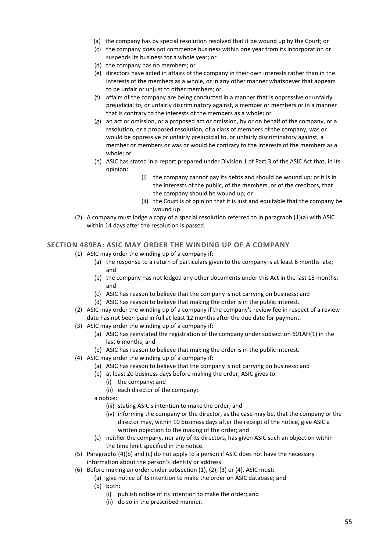- (a) the company has by special resolution resolved that it be wound up by the Court; or
- (c) the company does not commence business within one year from its incorporation or suspends its business for a whole year; or
- (d) the company has no members; or
- (e) directors have acted in affairs of the company in their own interests rather than in the interests of the members as a whole, or in any other manner whatsoever that appears to be unfair or unjust to other members; or
- (f) affairs of the company are being conducted in a manner that is oppressive or unfairly prejudicial to, or unfairly discriminatory against, a member or members or in a manner that is contrary to the interests of the members as a whole; or
- (g) an act or omission, or a proposed act or omission, by or on behalf of the company, or a resolution, or a proposed resolution, of a class of members of the company, was or would be oppressive or unfairly prejudicial to, or unfairly discriminatory against, a member or members or was or would be contrary to the interests of the members as a whole; or
- (h) ASIC has stated in a report prepared under Division 1 of Part 3 of the ASIC Act that, in its opinion:
	- (i) the company cannot pay its debts and should be wound up; or it is in the interests of the public, of the members, or of the creditors, that the company should be wound up; or
	- (ii) the Court is of opinion that it is just and equitable that the company be wound up.
- (2) A company must lodge a copy of a special resolution referred to in paragraph (1)(a) with ASIC within 14 days after the resolution is passed.

#### **SECTION 489EA: ASIC MAY ORDER THE WINDING UP OF A COMPANY**

- (1) ASIC may order the winding up of a company if:
	- (a) the response to a return of particulars given to the company is at least 6 months late; and
	- (b) the company has not lodged any other documents under this Act in the last 18 months; and
	- (c) ASIC has reason to believe that the company is not carrying on business; and
	- (d) ASIC has reason to believe that making the order is in the public interest.
- (2) ASIC may order the winding up of a company if the company's review fee in respect of a review date has not been paid in full at least 12 months after the due date for payment.
- (3) ASIC may order the winding up of a company if:
	- (a) ASIC has reinstated the registration of the company under subsection 601AH(1) in the last 6 months; and
	- (b) ASIC has reason to believe that making the order is in the public interest.
- (4) ASIC may order the winding up of a company if:
	- (a) ASIC has reason to believe that the company is not carrying on business; and
	- (b) at least 20 business days before making the order, ASIC gives to:
		- (i) the company; and
		- (ii) each director of the company;
	- a notice:
		- (iii) stating ASIC's intention to make the order; and
		- (iv) informing the company or the director, as the case may be, that the company or the director may, within 10 business days after the receipt of the notice, give ASIC a written objection to the making of the order; and
	- (c) neither the company, nor any of its directors, has given ASIC such an objection within the time limit specified in the notice.
- (5) Paragraphs (4)(b) and (c) do not apply to a person if ASIC does not have the necessary information about the person's identity or address.
- (6) Before making an order under subsection (1), (2), (3) or (4), ASIC must:
	- (a) give notice of its intention to make the order on ASIC database; and (b) both:
		- (i) publish notice of its intention to make the order; and
			- (ii) do so in the prescribed manner.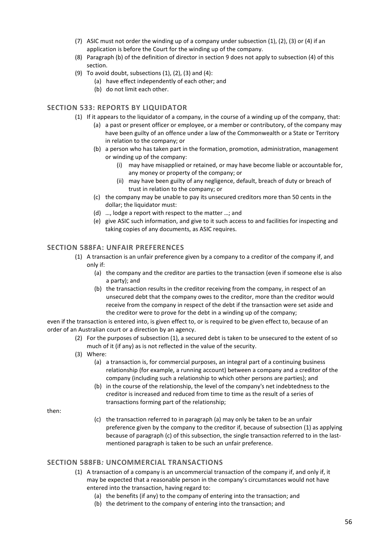- (7) ASIC must not order the winding up of a company under subsection (1), (2), (3) or (4) if an application is before the Court for the winding up of the company.
- (8) Paragraph (b) of the definition of director in section 9 does not apply to subsection (4) of this section.
- (9) To avoid doubt, subsections  $(1)$ ,  $(2)$ ,  $(3)$  and  $(4)$ :
	- (a) have effect independently of each other; and
	- (b) do not limit each other.

#### <span id="page-59-0"></span>**SECTION 533: REPORTS BY LIQUIDATOR**

- (1) If it appears to the liquidator of a company, in the course of a winding up of the company, that:
	- (a) a past or present officer or employee, or a member or contributory, of the company may have been guilty of an offence under a law of the Commonwealth or a State or Territory in relation to the company; or
	- (b) a person who has taken part in the formation, promotion, administration, management or winding up of the company:
		- (i) may have misapplied or retained, or may have become liable or accountable for, any money or property of the company; or
		- (ii) may have been guilty of any negligence, default, breach of duty or breach of trust in relation to the company; or
	- (c) the company may be unable to pay its unsecured creditors more than 50 cents in the dollar: the liquidator must:
	- (d) …, lodge a report with respect to the matter …; and
	- (e) give ASIC such information, and give to it such access to and facilities for inspecting and taking copies of any documents, as ASIC requires.

#### **SECTION 588FA: UNFAIR PREFERENCES**

- (1) A transaction is an unfair preference given by a company to a creditor of the company if, and only if:
	- (a) the company and the creditor are parties to the transaction (even if someone else is also a party); and
	- (b) the transaction results in the creditor receiving from the company, in respect of an unsecured debt that the company owes to the creditor, more than the creditor would receive from the company in respect of the debt if the transaction were set aside and the creditor were to prove for the debt in a winding up of the company;

even if the transaction is entered into, is given effect to, or is required to be given effect to, because of an order of an Australian court or a direction by an agency.

- (2) For the purposes of subsection (1), a secured debt is taken to be unsecured to the extent of so much of it (if any) as is not reflected in the value of the security.
- (3) Where:
	- (a) a transaction is, for commercial purposes, an integral part of a continuing business relationship (for example, a running account) between a company and a creditor of the company (including such a relationship to which other persons are parties); and
	- (b) in the course of the relationship, the level of the company's net indebtedness to the creditor is increased and reduced from time to time as the result of a series of transactions forming part of the relationship;

then:

(c) the transaction referred to in paragraph (a) may only be taken to be an unfair preference given by the company to the creditor if, because of subsection (1) as applying because of paragraph (c) of this subsection, the single transaction referred to in the lastmentioned paragraph is taken to be such an unfair preference.

### **SECTION 588FB***:* **UNCOMMERCIAL TRANSACTIONS**

- (1) A transaction of a company is an uncommercial transaction of the company if, and only if, it may be expected that a reasonable person in the company's circumstances would not have entered into the transaction, having regard to:
	- (a) the benefits (if any) to the company of entering into the transaction; and
	- (b) the detriment to the company of entering into the transaction; and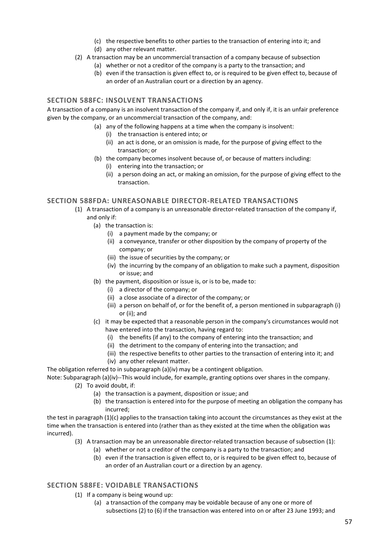- (c) the respective benefits to other parties to the transaction of entering into it; and
- (d) any other relevant matter.
- (2) A transaction may be an uncommercial transaction of a company because of subsection
	- (a) whether or not a creditor of the company is a party to the transaction; and
	- (b) even if the transaction is given effect to, or is required to be given effect to, because of an order of an Australian court or a direction by an agency.

### **SECTION 588FC: INSOLVENT TRANSACTIONS**

A transaction of a company is an insolvent transaction of the company if, and only if, it is an unfair preference given by the company, or an uncommercial transaction of the company, and:

- (a) any of the following happens at a time when the company is insolvent:
	- (i) the transaction is entered into; or
	- (ii) an act is done, or an omission is made, for the purpose of giving effect to the transaction; or
- (b) the company becomes insolvent because of, or because of matters including:
	- (i) entering into the transaction; or
	- (ii) a person doing an act, or making an omission, for the purpose of giving effect to the transaction.

#### **SECTION 588FDA: UNREASONABLE DIRECTOR-RELATED TRANSACTIONS**

- (1) A transaction of a company is an unreasonable director-related transaction of the company if, and only if:
	- (a) the transaction is:
		- (i) a payment made by the company; or
		- (ii) a conveyance, transfer or other disposition by the company of property of the company; or
		- (iii) the issue of securities by the company; or
		- (iv) the incurring by the company of an obligation to make such a payment, disposition or issue; and
	- (b) the payment, disposition or issue is, or is to be, made to:
		- (i) a director of the company; or
		- (ii) a close associate of a director of the company; or
		- (iii) a person on behalf of, or for the benefit of, a person mentioned in subparagraph (i) or (ii); and
	- (c) it may be expected that a reasonable person in the company's circumstances would not have entered into the transaction, having regard to:
		- (i) the benefits (if any) to the company of entering into the transaction; and
		- (ii) the detriment to the company of entering into the transaction; and
		- (iii) the respective benefits to other parties to the transaction of entering into it; and
		- (iv) any other relevant matter.

The obligation referred to in subparagraph (a)(iv) may be a contingent obligation.

Note: Subparagraph (a)(iv)--This would include, for example, granting options over shares in the company.

- (2) To avoid doubt, if:
	- (a) the transaction is a payment, disposition or issue; and
	- (b) the transaction is entered into for the purpose of meeting an obligation the company has incurred;

the test in paragraph (1)(c) applies to the transaction taking into account the circumstances as they exist at the time when the transaction is entered into (rather than as they existed at the time when the obligation was incurred).

- (3) A transaction may be an unreasonable director-related transaction because of subsection (1):
	- (a) whether or not a creditor of the company is a party to the transaction; and
	- (b) even if the transaction is given effect to, or is required to be given effect to, because of an order of an Australian court or a direction by an agency.

### **SECTION 588FE: VOIDABLE TRANSACTIONS**

- (1) If a company is being wound up:
	- (a) a transaction of the company may be voidable because of any one or more of subsections (2) to (6) if the transaction was entered into on or after 23 June 1993; and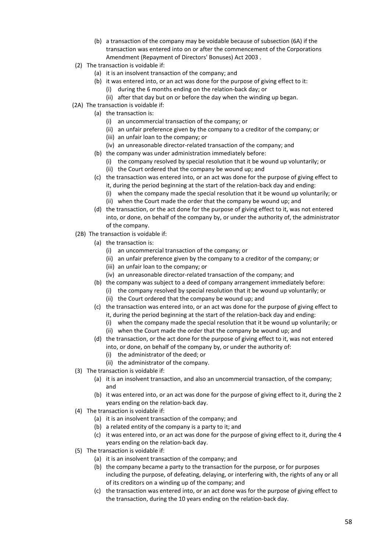- (b) a transaction of the company may be voidable because of subsection (6A) if the transaction was entered into on or after the commencement of the Corporations Amendment (Repayment of Directors' Bonuses) Act 2003 .
- (2) The transaction is voidable if:
	- (a) it is an insolvent transaction of the company; and
	- (b) it was entered into, or an act was done for the purpose of giving effect to it: (i) during the 6 months ending on the relation-back day; or
		- (ii) after that day but on or before the day when the winding up began.
- (2A) The transaction is voidable if:
	- (a) the transaction is:
		- (i) an uncommercial transaction of the company; or
		- (ii) an unfair preference given by the company to a creditor of the company; or
		- (iii) an unfair loan to the company; or
		- (iv) an unreasonable director-related transaction of the company; and
	- (b) the company was under administration immediately before:
		- (i) the company resolved by special resolution that it be wound up voluntarily; or
		- (ii) the Court ordered that the company be wound up; and
	- (c) the transaction was entered into, or an act was done for the purpose of giving effect to it, during the period beginning at the start of the relation-back day and ending:
		- (i) when the company made the special resolution that it be wound up voluntarily; or
		- (ii) when the Court made the order that the company be wound up; and
	- (d) the transaction, or the act done for the purpose of giving effect to it, was not entered into, or done, on behalf of the company by, or under the authority of, the administrator of the company.
- (2B) The transaction is voidable if:
	- (a) the transaction is:
		- (i) an uncommercial transaction of the company; or
		- (ii) an unfair preference given by the company to a creditor of the company; or
		- (iii) an unfair loan to the company; or
		- (iv) an unreasonable director-related transaction of the company; and
	- (b) the company was subject to a deed of company arrangement immediately before:
		- (i) the company resolved by special resolution that it be wound up voluntarily; or
		- (ii) the Court ordered that the company be wound up; and
	- (c) the transaction was entered into, or an act was done for the purpose of giving effect to it, during the period beginning at the start of the relation-back day and ending:
		- (i) when the company made the special resolution that it be wound up voluntarily; or
		- (ii) when the Court made the order that the company be wound up; and
	- (d) the transaction, or the act done for the purpose of giving effect to it, was not entered into, or done, on behalf of the company by, or under the authority of:
		- (i) the administrator of the deed; or
		- (ii) the administrator of the company.
- (3) The transaction is voidable if:
	- (a) it is an insolvent transaction, and also an uncommercial transaction, of the company; and
	- (b) it was entered into, or an act was done for the purpose of giving effect to it, during the 2 years ending on the relation-back day.
- (4) The transaction is voidable if:
	- (a) it is an insolvent transaction of the company; and
	- (b) a related entity of the company is a party to it; and
	- (c) it was entered into, or an act was done for the purpose of giving effect to it, during the 4 years ending on the relation-back day.
- (5) The transaction is voidable if:
	- (a) it is an insolvent transaction of the company; and
	- (b) the company became a party to the transaction for the purpose, or for purposes including the purpose, of defeating, delaying, or interfering with, the rights of any or all of its creditors on a winding up of the company; and
	- (c) the transaction was entered into, or an act done was for the purpose of giving effect to the transaction, during the 10 years ending on the relation-back day.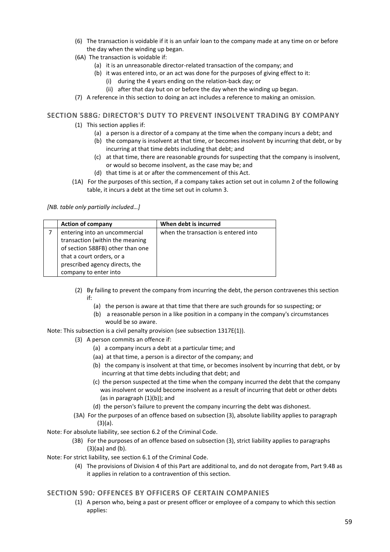- (6) The transaction is voidable if it is an unfair loan to the company made at any time on or before the day when the winding up began.
- (6A) The transaction is voidable if:
	- (a) it is an unreasonable director-related transaction of the company; and
	- (b) it was entered into, or an act was done for the purposes of giving effect to it:
		- (i) during the 4 years ending on the relation-back day; or
		- (ii) after that day but on or before the day when the winding up began.
- (7) A reference in this section to doing an act includes a reference to making an omission.

#### **SECTION 588G***:* **DIRECTOR'S DUTY TO PREVENT INSOLVENT TRADING BY COMPANY**

- (1) This section applies if:
	- (a) a person is a director of a company at the time when the company incurs a debt; and
	- (b) the company is insolvent at that time, or becomes insolvent by incurring that debt, or by incurring at that time debts including that debt; and
	- (c) at that time, there are reasonable grounds for suspecting that the company is insolvent, or would so become insolvent, as the case may be; and
	- (d) that time is at or after the commencement of this Act.
- (1A) For the purposes of this section, if a company takes action set out in column 2 of the following table, it incurs a debt at the time set out in column 3.

*[NB. table only partially included…]*

| <b>Action of company</b>         | When debt is incurred                |
|----------------------------------|--------------------------------------|
| entering into an uncommercial    | when the transaction is entered into |
| transaction (within the meaning  |                                      |
| of section 588FB) other than one |                                      |
| that a court orders, or a        |                                      |
| prescribed agency directs, the   |                                      |
| company to enter into            |                                      |

- (2) By failing to prevent the company from incurring the debt, the person contravenes this section if:
	- (a) the person is aware at that time that there are such grounds for so suspecting; or
	- (b) a reasonable person in a like position in a company in the company's circumstances would be so aware.

Note: This subsection is a civil penalty provision (see subsection 1317E(1)).

- (3) A person commits an offence if:
	- (a) a company incurs a debt at a particular time; and
	- (aa) at that time, a person is a director of the company; and
	- (b) the company is insolvent at that time, or becomes insolvent by incurring that debt, or by incurring at that time debts including that debt; and
	- (c) the person suspected at the time when the company incurred the debt that the company was insolvent or would become insolvent as a result of incurring that debt or other debts (as in paragraph (1)(b)); and
	- (d) the person's failure to prevent the company incurring the debt was dishonest.
	- (3A) For the purposes of an offence based on subsection (3), absolute liability applies to paragraph (3)(a).

Note: For absolute liability, see section 6.2 of the Criminal Code.

 (3B) For the purposes of an offence based on subsection (3), strict liability applies to paragraphs (3)(aa) and (b).

Note: For strict liability, see section 6.1 of the Criminal Code.

(4) The provisions of Division 4 of this Part are additional to, and do not derogate from, Part 9.4B as it applies in relation to a contravention of this section.

#### **SECTION 590***:* **OFFENCES BY OFFICERS OF CERTAIN COMPANIES**

(1) A person who, being a past or present officer or employee of a company to which this section applies: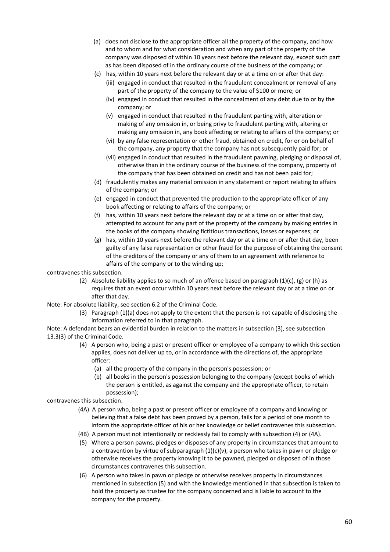- (a) does not disclose to the appropriate officer all the property of the company, and how and to whom and for what consideration and when any part of the property of the company was disposed of within 10 years next before the relevant day, except such part as has been disposed of in the ordinary course of the business of the company; or
- (c) has, within 10 years next before the relevant day or at a time on or after that day:
	- (iii) engaged in conduct that resulted in the fraudulent concealment or removal of any part of the property of the company to the value of \$100 or more; or
	- (iv) engaged in conduct that resulted in the concealment of any debt due to or by the company; or
	- (v) engaged in conduct that resulted in the fraudulent parting with, alteration or making of any omission in, or being privy to fraudulent parting with, altering or making any omission in, any book affecting or relating to affairs of the company; or
	- (vi) by any false representation or other fraud, obtained on credit, for or on behalf of the company, any property that the company has not subsequently paid for; or
	- (vii) engaged in conduct that resulted in the fraudulent pawning, pledging or disposal of, otherwise than in the ordinary course of the business of the company, property of the company that has been obtained on credit and has not been paid for;
- (d) fraudulently makes any material omission in any statement or report relating to affairs of the company; or
- (e) engaged in conduct that prevented the production to the appropriate officer of any book affecting or relating to affairs of the company; or
- (f) has, within 10 years next before the relevant day or at a time on or after that day, attempted to account for any part of the property of the company by making entries in the books of the company showing fictitious transactions, losses or expenses; or
- (g) has, within 10 years next before the relevant day or at a time on or after that day, been guilty of any false representation or other fraud for the purpose of obtaining the consent of the creditors of the company or any of them to an agreement with reference to affairs of the company or to the winding up;

contravenes this subsection.

(2) Absolute liability applies to so much of an offence based on paragraph  $(1)(c)$ ,  $(g)$  or  $(h)$  as requires that an event occur within 10 years next before the relevant day or at a time on or after that day.

Note: For absolute liability, see section 6.2 of the Criminal Code.

(3) Paragraph (1)(a) does not apply to the extent that the person is not capable of disclosing the information referred to in that paragraph.

Note: A defendant bears an evidential burden in relation to the matters in subsection (3), see subsection 13.3(3) of the Criminal Code.

- (4) A person who, being a past or present officer or employee of a company to which this section applies, does not deliver up to, or in accordance with the directions of, the appropriate officer:
	- (a) all the property of the company in the person's possession; or
	- (b) all books in the person's possession belonging to the company (except books of which the person is entitled, as against the company and the appropriate officer, to retain possession);

contravenes this subsection.

- (4A) A person who, being a past or present officer or employee of a company and knowing or believing that a false debt has been proved by a person, fails for a period of one month to inform the appropriate officer of his or her knowledge or belief contravenes this subsection.
- (4B) A person must not intentionally or recklessly fail to comply with subsection (4) or (4A).
- (5) Where a person pawns, pledges or disposes of any property in circumstances that amount to a contravention by virtue of subparagraph  $(1)(c)(v)$ , a person who takes in pawn or pledge or otherwise receives the property knowing it to be pawned, pledged or disposed of in those circumstances contravenes this subsection.
- (6) A person who takes in pawn or pledge or otherwise receives property in circumstances mentioned in subsection (5) and with the knowledge mentioned in that subsection is taken to hold the property as trustee for the company concerned and is liable to account to the company for the property.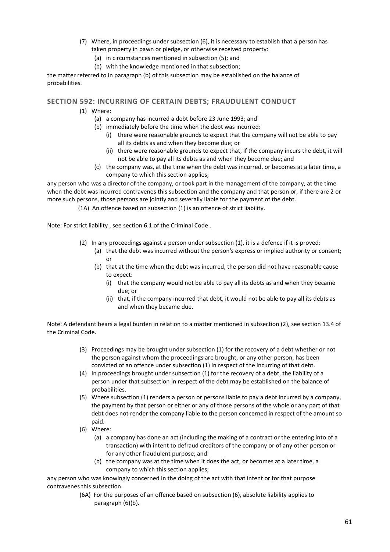- (7) Where, in proceedings under subsection (6), it is necessary to establish that a person has taken property in pawn or pledge, or otherwise received property:
	- (a) in circumstances mentioned in subsection (5); and
	- (b) with the knowledge mentioned in that subsection;

the matter referred to in paragraph (b) of this subsection may be established on the balance of probabilities.

#### **SECTION 592: INCURRING OF CERTAIN DEBTS; FRAUDULENT CONDUCT**

- (1) Where:
	- (a) a company has incurred a debt before 23 June 1993; and
	- (b) immediately before the time when the debt was incurred:
		- (i) there were reasonable grounds to expect that the company will not be able to pay all its debts as and when they become due; or
		- (ii) there were reasonable grounds to expect that, if the company incurs the debt, it will not be able to pay all its debts as and when they become due; and
	- (c) the company was, at the time when the debt was incurred, or becomes at a later time, a company to which this section applies;

any person who was a director of the company, or took part in the management of the company, at the time when the debt was incurred contravenes this subsection and the company and that person or, if there are 2 or more such persons, those persons are jointly and severally liable for the payment of the debt.

(1A) An offence based on subsection (1) is an offence of strict liability.

Note: For strict liability , see section 6.1 of the Criminal Code .

- (2) In any proceedings against a person under subsection (1), it is a defence if it is proved:
	- (a) that the debt was incurred without the person's express or implied authority or consent; or
	- (b) that at the time when the debt was incurred, the person did not have reasonable cause to expect:
		- (i) that the company would not be able to pay all its debts as and when they became due; or
		- (ii) that, if the company incurred that debt, it would not be able to pay all its debts as and when they became due.

Note: A defendant bears a legal burden in relation to a matter mentioned in subsection (2), see section 13.4 of the Criminal Code.

- (3) Proceedings may be brought under subsection (1) for the recovery of a debt whether or not the person against whom the proceedings are brought, or any other person, has been convicted of an offence under subsection (1) in respect of the incurring of that debt.
- (4) In proceedings brought under subsection (1) for the recovery of a debt, the liability of a person under that subsection in respect of the debt may be established on the balance of probabilities.
- (5) Where subsection (1) renders a person or persons liable to pay a debt incurred by a company, the payment by that person or either or any of those persons of the whole or any part of that debt does not render the company liable to the person concerned in respect of the amount so paid.
- (6) Where:
	- (a) a company has done an act (including the making of a contract or the entering into of a transaction) with intent to defraud creditors of the company or of any other person or for any other fraudulent purpose; and
	- (b) the company was at the time when it does the act, or becomes at a later time, a company to which this section applies;

any person who was knowingly concerned in the doing of the act with that intent or for that purpose contravenes this subsection.

> (6A) For the purposes of an offence based on subsection (6), absolute liability applies to paragraph (6)(b).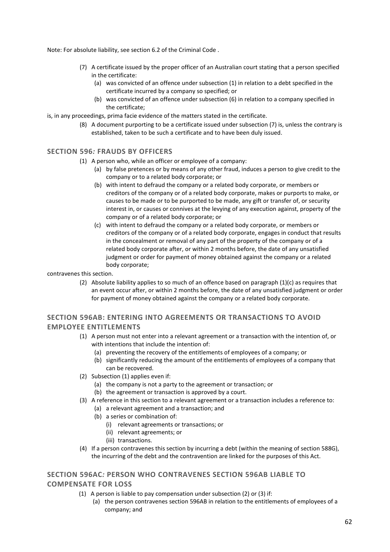Note: For absolute liability, see section 6.2 of the Criminal Code .

- (7) A certificate issued by the proper officer of an Australian court stating that a person specified in the certificate:
	- (a) was convicted of an offence under subsection (1) in relation to a debt specified in the certificate incurred by a company so specified; or
	- (b) was convicted of an offence under subsection (6) in relation to a company specified in the certificate;
- is, in any proceedings, prima facie evidence of the matters stated in the certificate.
	- (8) A document purporting to be a certificate issued under subsection (7) is, unless the contrary is established, taken to be such a certificate and to have been duly issued.

#### **SECTION 596***:* **FRAUDS BY OFFICERS**

- (1) A person who, while an officer or employee of a company:
	- (a) by false pretences or by means of any other fraud, induces a person to give credit to the company or to a related body corporate; or
	- (b) with intent to defraud the company or a related body corporate, or members or creditors of the company or of a related body corporate, makes or purports to make, or causes to be made or to be purported to be made, any gift or transfer of, or security interest in, or causes or connives at the levying of any execution against, property of the company or of a related body corporate; or
	- (c) with intent to defraud the company or a related body corporate, or members or creditors of the company or of a related body corporate, engages in conduct that results in the concealment or removal of any part of the property of the company or of a related body corporate after, or within 2 months before, the date of any unsatisfied judgment or order for payment of money obtained against the company or a related body corporate;

contravenes this section.

(2) Absolute liability applies to so much of an offence based on paragraph  $(1)(c)$  as requires that an event occur after, or within 2 months before, the date of any unsatisfied judgment or order for payment of money obtained against the company or a related body corporate.

### **SECTION 596AB: ENTERING INTO AGREEMENTS OR TRANSACTIONS TO AVOID EMPLOYEE ENTITLEMENTS**

- (1) A person must not enter into a relevant agreement or a transaction with the intention of, or with intentions that include the intention of:
	- (a) preventing the recovery of the entitlements of employees of a company; or
	- (b) significantly reducing the amount of the entitlements of employees of a company that can be recovered.
- (2) Subsection (1) applies even if:
	- (a) the company is not a party to the agreement or transaction; or
	- (b) the agreement or transaction is approved by a court.
- (3) A reference in this section to a relevant agreement or a transaction includes a reference to:
	- (a) a relevant agreement and a transaction; and
	- (b) a series or combination of:
		- (i) relevant agreements or transactions; or
		- (ii) relevant agreements; or
		- (iii) transactions.
- (4) If a person contravenes this section by incurring a debt (within the meaning of section 588G), the incurring of the debt and the contravention are linked for the purposes of this Act.

### **SECTION 596AC***:* **PERSON WHO CONTRAVENES SECTION 596AB LIABLE TO COMPENSATE FOR LOSS**

- (1) A person is liable to pay compensation under subsection (2) or (3) if:
	- (a) the person contravenes section 596AB in relation to the entitlements of employees of a company; and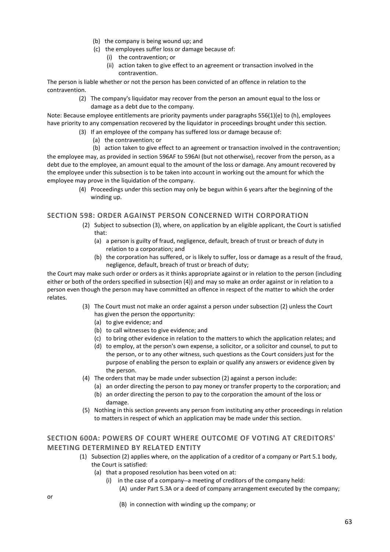- (b) the company is being wound up; and
- (c) the employees suffer loss or damage because of:
	- (i) the contravention; or
	- (ii) action taken to give effect to an agreement or transaction involved in the contravention.

The person is liable whether or not the person has been convicted of an offence in relation to the contravention.

> (2) The company's liquidator may recover from the person an amount equal to the loss or damage as a debt due to the company.

Note: Because employee entitlements are priority payments under paragraphs 556(1)(e) to (h), employees have priority to any compensation recovered by the liquidator in proceedings brought under this section.

- (3) If an employee of the company has suffered loss or damage because of:
	- (a) the contravention; or
	- (b) action taken to give effect to an agreement or transaction involved in the contravention;

the employee may, as provided in section 596AF to 596AI (but not otherwise), recover from the person, as a debt due to the employee, an amount equal to the amount of the loss or damage. Any amount recovered by the employee under this subsection is to be taken into account in working out the amount for which the employee may prove in the liquidation of the company.

> (4) Proceedings under this section may only be begun within 6 years after the beginning of the winding up.

### **SECTION 598: ORDER AGAINST PERSON CONCERNED WITH CORPORATION**

- (2) Subject to subsection (3), where, on application by an eligible applicant, the Court is satisfied that:
	- (a) a person is guilty of fraud, negligence, default, breach of trust or breach of duty in relation to a corporation; and
	- (b) the corporation has suffered, or is likely to suffer, loss or damage as a result of the fraud, negligence, default, breach of trust or breach of duty;

the Court may make such order or orders as it thinks appropriate against or in relation to the person (including either or both of the orders specified in subsection (4)) and may so make an order against or in relation to a person even though the person may have committed an offence in respect of the matter to which the order relates.

- (3) The Court must not make an order against a person under subsection (2) unless the Court has given the person the opportunity:
	- (a) to give evidence; and
	- (b) to call witnesses to give evidence; and
	- (c) to bring other evidence in relation to the matters to which the application relates; and
	- (d) to employ, at the person's own expense, a solicitor, or a solicitor and counsel, to put to the person, or to any other witness, such questions as the Court considers just for the purpose of enabling the person to explain or qualify any answers or evidence given by the person.
- (4) The orders that may be made under subsection (2) against a person include:
	- (a) an order directing the person to pay money or transfer property to the corporation; and (b) an order directing the person to pay to the corporation the amount of the loss or
- damage. (5) Nothing in this section prevents any person from instituting any other proceedings in relation
- to matters in respect of which an application may be made under this section.

### **SECTION 600A: POWERS OF COURT WHERE OUTCOME OF VOTING AT CREDITORS' MEETING DETERMINED BY RELATED ENTITY**

- (1) Subsection (2) applies where, on the application of a creditor of a company or Part 5.1 body, the Court is satisfied:
	- (a) that a proposed resolution has been voted on at:
		- (i) in the case of a company--a meeting of creditors of the company held:
			- (A) under Part 5.3A or a deed of company arrangement executed by the company;
				- (B) in connection with winding up the company; or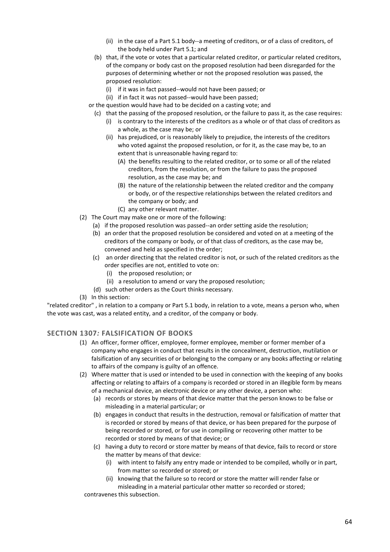- (ii) in the case of a Part 5.1 body--a meeting of creditors, or of a class of creditors, of the body held under Part 5.1; and
- (b) that, if the vote or votes that a particular related creditor, or particular related creditors, of the company or body cast on the proposed resolution had been disregarded for the purposes of determining whether or not the proposed resolution was passed, the proposed resolution:
	- (i) if it was in fact passed--would not have been passed; or
	- (ii) if in fact it was not passed--would have been passed;
- or the question would have had to be decided on a casting vote; and
	- (c) that the passing of the proposed resolution, or the failure to pass it, as the case requires:
		- (i) is contrary to the interests of the creditors as a whole or of that class of creditors as a whole, as the case may be; or
		- (ii) has prejudiced, or is reasonably likely to prejudice, the interests of the creditors who voted against the proposed resolution, or for it, as the case may be, to an extent that is unreasonable having regard to:
			- (A) the benefits resulting to the related creditor, or to some or all of the related creditors, from the resolution, or from the failure to pass the proposed resolution, as the case may be; and
			- (B) the nature of the relationship between the related creditor and the company or body, or of the respective relationships between the related creditors and the company or body; and
			- (C) any other relevant matter.
- (2) The Court may make one or more of the following:
	- (a) if the proposed resolution was passed--an order setting aside the resolution;
	- (b) an order that the proposed resolution be considered and voted on at a meeting of the creditors of the company or body, or of that class of creditors, as the case may be, convened and held as specified in the order;
	- (c) an order directing that the related creditor is not, or such of the related creditors as the order specifies are not, entitled to vote on:
		- (i) the proposed resolution; or
		- (ii) a resolution to amend or vary the proposed resolution;
	- (d) such other orders as the Court thinks necessary.
- (3) In this section:

"related creditor" , in relation to a company or Part 5.1 body, in relation to a vote, means a person who, when the vote was cast, was a related entity, and a creditor, of the company or body.

#### **SECTION 1307***:* **FALSIFICATION OF BOOKS**

- (1) An officer, former officer, employee, former employee, member or former member of a company who engages in conduct that results in the concealment, destruction, mutilation or falsification of any securities of or belonging to the company or any books affecting or relating to affairs of the company is guilty of an offence.
- (2) Where matter that is used or intended to be used in connection with the keeping of any books affecting or relating to affairs of a company is recorded or stored in an illegible form by means of a mechanical device, an electronic device or any other device, a person who:
	- (a) records or stores by means of that device matter that the person knows to be false or misleading in a material particular; or
	- (b) engages in conduct that results in the destruction, removal or falsification of matter that is recorded or stored by means of that device, or has been prepared for the purpose of being recorded or stored, or for use in compiling or recovering other matter to be recorded or stored by means of that device; or
	- (c) having a duty to record or store matter by means of that device, fails to record or store the matter by means of that device:
		- (i) with intent to falsify any entry made or intended to be compiled, wholly or in part, from matter so recorded or stored; or
		- (ii) knowing that the failure so to record or store the matter will render false or misleading in a material particular other matter so recorded or stored;

contravenes this subsection.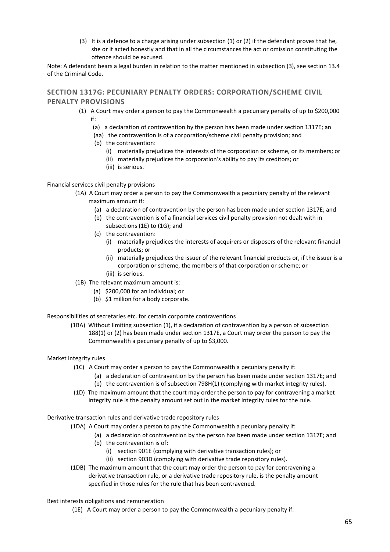(3) It is a defence to a charge arising under subsection (1) or (2) if the defendant proves that he, she or it acted honestly and that in all the circumstances the act or omission constituting the offence should be excused.

Note: A defendant bears a legal burden in relation to the matter mentioned in subsection (3), see section 13.4 of the Criminal Code.

### **SECTION 1317G: PECUNIARY PENALTY ORDERS: CORPORATION/SCHEME CIVIL PENALTY PROVISIONS**

- (1) A Court may order a person to pay the Commonwealth a pecuniary penalty of up to \$200,000 if:
	- (a) a declaration of contravention by the person has been made under section 1317E; an
	- (aa) the contravention is of a corporation/scheme civil penalty provision; and
	- (b) the contravention:
		- (i) materially prejudices the interests of the corporation or scheme, or its members; or
		- (ii) materially prejudices the corporation's ability to pay its creditors; or
		- (iii) is serious.

#### Financial services civil penalty provisions

- (1A) A Court may order a person to pay the Commonwealth a pecuniary penalty of the relevant maximum amount if:
	- (a) a declaration of contravention by the person has been made under section 1317E; and
	- (b) the contravention is of a financial services civil penalty provision not dealt with in subsections (1E) to (1G); and
	- (c) the contravention:
		- (i) materially prejudices the interests of acquirers or disposers of the relevant financial products; or
		- (ii) materially prejudices the issuer of the relevant financial products or, if the issuer is a corporation or scheme, the members of that corporation or scheme; or
		- (iii) is serious.
- (1B) The relevant maximum amount is:
	- (a) \$200,000 for an individual; or
	- (b) \$1 million for a body corporate.

#### Responsibilities of secretaries etc. for certain corporate contraventions

(1BA) Without limiting subsection (1), if a declaration of contravention by a person of subsection 188(1) or (2) has been made under section 1317E, a Court may order the person to pay the Commonwealth a pecuniary penalty of up to \$3,000.

#### Market integrity rules

- (1C) A Court may order a person to pay the Commonwealth a pecuniary penalty if:
	- (a) a declaration of contravention by the person has been made under section 1317E; and
	- (b) the contravention is of subsection 798H(1) (complying with market integrity rules).
- (1D) The maximum amount that the court may order the person to pay for contravening a market integrity rule is the penalty amount set out in the market integrity rules for the rule.

#### Derivative transaction rules and derivative trade repository rules

- (1DA) A Court may order a person to pay the Commonwealth a pecuniary penalty if:
	- (a) a declaration of contravention by the person has been made under section 1317E; and
	- (b) the contravention is of:
		- (i) section 901E (complying with derivative transaction rules); or
		- (ii) section 903D (complying with derivative trade repository rules).
- (1DB) The maximum amount that the court may order the person to pay for contravening a derivative transaction rule, or a derivative trade repository rule, is the penalty amount specified in those rules for the rule that has been contravened.

#### Best interests obligations and remuneration

(1E) A Court may order a person to pay the Commonwealth a pecuniary penalty if: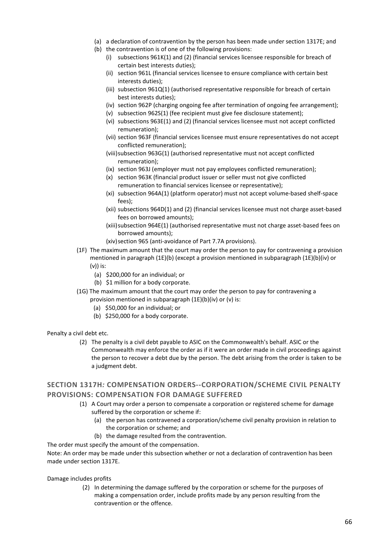- (a) a declaration of contravention by the person has been made under section 1317E; and
- (b) the contravention is of one of the following provisions:
	- (i) subsections 961K(1) and (2) (financial services licensee responsible for breach of certain best interests duties);
	- (ii) section 961L (financial services licensee to ensure compliance with certain best interests duties);
	- (iii) subsection 961Q(1) (authorised representative responsible for breach of certain best interests duties);
	- (iv) section 962P (charging ongoing fee after termination of ongoing fee arrangement);
	- (v) subsection 962S(1) (fee recipient must give fee disclosure statement);
	- (vi) subsections 963E(1) and (2) (financial services licensee must not accept conflicted remuneration);
	- (vii) section 963F (financial services licensee must ensure representatives do not accept conflicted remuneration);
	- (viii)subsection 963G(1) (authorised representative must not accept conflicted remuneration);
	- (ix) section 963J (employer must not pay employees conflicted remuneration);
	- (x) section 963K (financial product issuer or seller must not give conflicted remuneration to financial services licensee or representative);
	- (xi) subsection 964A(1) (platform operator) must not accept volume-based shelf-space fees);
	- (xii) subsections 964D(1) and (2) (financial services licensee must not charge asset-based fees on borrowed amounts);
	- (xiii)subsection 964E(1) (authorised representative must not charge asset-based fees on borrowed amounts);
	- (xiv)section 965 (anti-avoidance of Part 7.7A provisions).
- (1F) The maximum amount that the court may order the person to pay for contravening a provision mentioned in paragraph (1E)(b) (except a provision mentioned in subparagraph (1E)(b)(iv) or (v)) is:
	- (a) \$200,000 for an individual; or
	- (b) \$1 million for a body corporate.
- (1G) The maximum amount that the court may order the person to pay for contravening a provision mentioned in subparagraph (1E)(b)(iv) or (v) is:
	- (a) \$50,000 for an individual; or
	- (b) \$250,000 for a body corporate.

#### Penalty a civil debt etc.

(2) The penalty is a civil debt payable to ASIC on the Commonwealth's behalf. ASIC or the Commonwealth may enforce the order as if it were an order made in civil proceedings against the person to recover a debt due by the person. The debt arising from the order is taken to be a judgment debt.

### **SECTION 1317H***:* **COMPENSATION ORDERS--CORPORATION/SCHEME CIVIL PENALTY PROVISIONS: COMPENSATION FOR DAMAGE SUFFERED**

- (1) A Court may order a person to compensate a corporation or registered scheme for damage suffered by the corporation or scheme if:
	- (a) the person has contravened a corporation/scheme civil penalty provision in relation to the corporation or scheme; and
	- (b) the damage resulted from the contravention.

#### The order must specify the amount of the compensation.

Note: An order may be made under this subsection whether or not a declaration of contravention has been made under section 1317E.

Damage includes profits

(2) In determining the damage suffered by the corporation or scheme for the purposes of making a compensation order, include profits made by any person resulting from the contravention or the offence.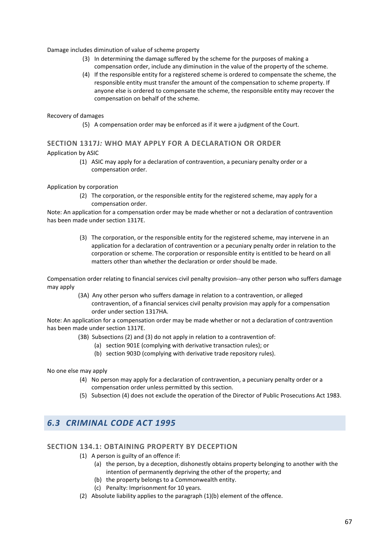#### Damage includes diminution of value of scheme property

- (3) In determining the damage suffered by the scheme for the purposes of making a compensation order, include any diminution in the value of the property of the scheme.
- (4) If the responsible entity for a registered scheme is ordered to compensate the scheme, the responsible entity must transfer the amount of the compensation to scheme property. If anyone else is ordered to compensate the scheme, the responsible entity may recover the compensation on behalf of the scheme.

#### Recovery of damages

(5) A compensation order may be enforced as if it were a judgment of the Court.

# **SECTION 1317J***:* **WHO MAY APPLY FOR A DECLARATION OR ORDER**

#### Application by ASIC

(1) ASIC may apply for a declaration of contravention, a pecuniary penalty order or a compensation order.

#### Application by corporation

(2) The corporation, or the responsible entity for the registered scheme, may apply for a compensation order.

Note: An application for a compensation order may be made whether or not a declaration of contravention has been made under section 1317E.

> (3) The corporation, or the responsible entity for the registered scheme, may intervene in an application for a declaration of contravention or a pecuniary penalty order in relation to the corporation or scheme. The corporation or responsible entity is entitled to be heard on all matters other than whether the declaration or order should be made.

Compensation order relating to financial services civil penalty provision--any other person who suffers damage may apply

> (3A) Any other person who suffers damage in relation to a contravention, or alleged contravention, of a financial services civil penalty provision may apply for a compensation order under section 1317HA.

Note: An application for a compensation order may be made whether or not a declaration of contravention has been made under section 1317E.

- (3B) Subsections (2) and (3) do not apply in relation to a contravention of:
	- (a) section 901E (complying with derivative transaction rules); or
	- (b) section 903D (complying with derivative trade repository rules).

No one else may apply

- (4) No person may apply for a declaration of contravention, a pecuniary penalty order or a compensation order unless permitted by this section.
- (5) Subsection (4) does not exclude the operation of the Director of Public Prosecutions Act 1983.

## *6.3 CRIMINAL CODE ACT 1995*

#### **SECTION 134.1: OBTAINING PROPERTY BY DECEPTION**

- (1) A person is guilty of an offence if:
	- (a) the person, by a deception, dishonestly obtains property belonging to another with the intention of permanently depriving the other of the property; and
	- (b) the property belongs to a Commonwealth entity.
	- (c) Penalty: Imprisonment for 10 years.
- (2) Absolute liability applies to the paragraph (1)(b) element of the offence.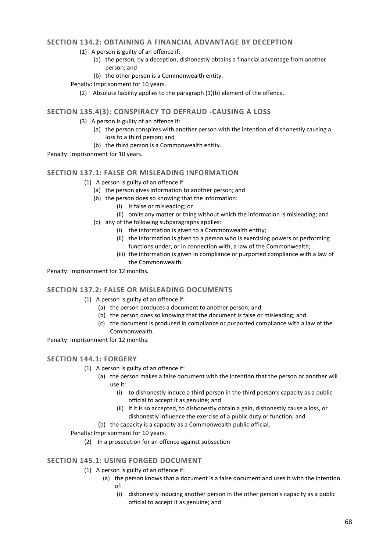#### **SECTION 134.2: OBTAINING A FINANCIAL ADVANTAGE BY DECEPTION**

- (1) A person is guilty of an offence if:
	- (a) the person, by a deception, dishonestly obtains a financial advantage from another person; and
	- (b) the other person is a Commonwealth entity.

Penalty: Imprisonment for 10 years.

(2) Absolute liability applies to the paragraph (1)(b) element of the offence.

#### **SECTION 135.4(3)***:* **CONSPIRACY TO DEFRAUD -CAUSING A LOSS**

- (3) A person is guilty of an offence if:
	- (a) the person conspires with another person with the intention of dishonestly causing a loss to a third person; and
	- (b) the third person is a Commonwealth entity.

Penalty: Imprisonment for 10 years.

#### **SECTION 137.1: FALSE OR MISLEADING INFORMATION**

- (1) A person is guilty of an offence if:
	- (a) the person gives information to another person; and
	- (b) the person does so knowing that the information:
		- (i) is false or misleading; or
		- (ii) omits any matter or thing without which the information is misleading; and
	- (c) any of the following subparagraphs applies:
		- (i) the information is given to a Commonwealth entity;
		- (ii) the information is given to a person who is exercising powers or performing functions under, or in connection with, a law of the Commonwealth;
		- (iii) the information is given in compliance or purported compliance with a law of the Commonwealth.

Penalty: Imprisonment for 12 months.

#### **SECTION 137.2: FALSE OR MISLEADING DOCUMENTS**

- (1) A person is guilty of an offence if:
	- (a) the person produces a document to another person; and
	- (b) the person does so knowing that the document is false or misleading; and
	- (c) the document is produced in compliance or purported compliance with a law of the Commonwealth.

Penalty: Imprisonment for 12 months.

#### **SECTION 144.1: FORGERY**

- (1) A person is guilty of an offence if:
	- (a) the person makes a false document with the intention that the person or another will use it:
		- (i) to dishonestly induce a third person in the third person's capacity as a public official to accept it as genuine; and
		- (ii) if it is so accepted, to dishonestly obtain a gain, dishonestly cause a loss, or dishonestly influence the exercise of a public duty or function; and

(b) the capacity is a capacity as a Commonwealth public official.

Penalty: Imprisonment for 10 years.

(2) In a prosecution for an offence against subsection

### **SECTION 145.1: USING FORGED DOCUMENT**

- (1) A person is guilty of an offence if:
	- (a) the person knows that a document is a false document and uses it with the intention of:
		- (i) dishonestly inducing another person in the other person's capacity as a public official to accept it as genuine; and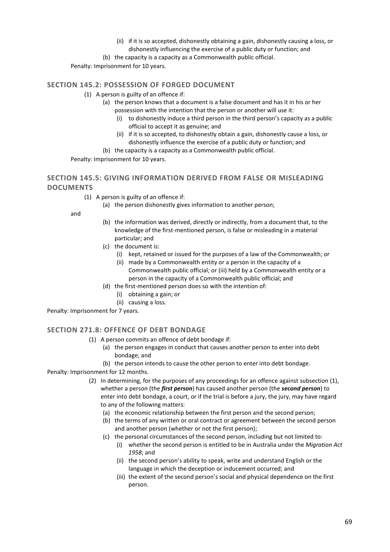(ii) if it is so accepted, dishonestly obtaining a gain, dishonestly causing a loss, or dishonestly influencing the exercise of a public duty or function; and

(b) the capacity is a capacity as a Commonwealth public official.

Penalty: Imprisonment for 10 years.

### **SECTION 145.2: POSSESSION OF FORGED DOCUMENT**

- (1) A person is guilty of an offence if:
	- (a) the person knows that a document is a false document and has it in his or her possession with the intention that the person or another will use it:
		- (i) to dishonestly induce a third person in the third person's capacity as a public official to accept it as genuine; and
	- (ii) if it is so accepted, to dishonestly obtain a gain, dishonestly cause a loss, or dishonestly influence the exercise of a public duty or function; and (b) the capacity is a capacity as a Commonwealth public official.

Penalty: Imprisonment for 10 years.

## **SECTION 145.5: GIVING INFORMATION DERIVED FROM FALSE OR MISLEADING DOCUMENTS**

- (1) A person is guilty of an offence if:
	- (a) the person dishonestly gives information to another person;

and

- (b) the information was derived, directly or indirectly, from a document that, to the knowledge of the first-mentioned person, is false or misleading in a material particular; and
- (c) the document is:
	- (i) kept, retained or issued for the purposes of a law of the Commonwealth; or
	- (ii) made by a Commonwealth entity or a person in the capacity of a Commonwealth public official; or (iii) held by a Commonwealth entity or a
- person in the capacity of a Commonwealth public official; and (d) the first-mentioned person does so with the intention of:
	- (i) obtaining a gain; or
	- (ii) causing a loss.

Penalty: Imprisonment for 7 years.

#### **SECTION 271.8: OFFENCE OF DEBT BONDAGE**

- (1) A person commits an offence of debt bondage if:
	- (a) the person engages in conduct that causes another person to enter into debt bondage; and
	- (b) the person intends to cause the other person to enter into debt bondage.

Penalty: Imprisonment for 12 months.

- (2) In determining, for the purposes of any proceedings for an offence against subsection (1), whether a person (the *first person*) has caused another person (the *second person*) to enter into debt bondage, a court, or if the trial is before a jury, the jury, may have regard to any of the following matters:
	- (a) the economic relationship between the first person and the second person;
	- (b) the terms of any written or oral contract or agreement between the second person and another person (whether or not the first person);
	- (c) the personal circumstances of the second person, including but not limited to:
		- (i) whether the second person is entitled to be in Australia under the *Migration Act 1958*; and
		- (ii) the second person's ability to speak, write and understand English or the language in which the deception or inducement occurred; and
		- (iii) the extent of the second person's social and physical dependence on the first person.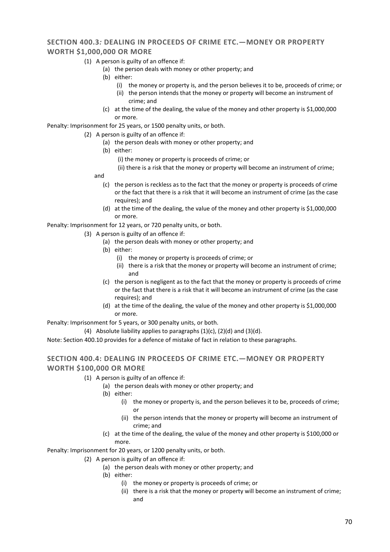### **SECTION 400.3***:* **DEALING IN PROCEEDS OF CRIME ETC.—MONEY OR PROPERTY WORTH \$1,000,000 OR MORE**

- (1) A person is guilty of an offence if:
	- (a) the person deals with money or other property; and
	- (b) either:
		- (i) the money or property is, and the person believes it to be, proceeds of crime; or
		- (ii) the person intends that the money or property will become an instrument of crime; and
	- (c) at the time of the dealing, the value of the money and other property is \$1,000,000 or more.

Penalty: Imprisonment for 25 years, or 1500 penalty units, or both.

- (2) A person is guilty of an offence if:
	- (a) the person deals with money or other property; and
	- (b) either:
		- (i) the money or property is proceeds of crime; or
		- (ii) there is a risk that the money or property will become an instrument of crime;
	- and
		- (c) the person is reckless as to the fact that the money or property is proceeds of crime or the fact that there is a risk that it will become an instrument of crime (as the case requires); and
		- (d) at the time of the dealing, the value of the money and other property is \$1,000,000 or more.

Penalty: Imprisonment for 12 years, or 720 penalty units, or both.

- (3) A person is guilty of an offence if:
	- (a) the person deals with money or other property; and
	- (b) either:
		- (i) the money or property is proceeds of crime; or
		- (ii) there is a risk that the money or property will become an instrument of crime; and
	- (c) the person is negligent as to the fact that the money or property is proceeds of crime or the fact that there is a risk that it will become an instrument of crime (as the case requires); and
	- (d) at the time of the dealing, the value of the money and other property is \$1,000,000 or more.

Penalty: Imprisonment for 5 years, or 300 penalty units, or both.

(4) Absolute liability applies to paragraphs  $(1)(c)$ ,  $(2)(d)$  and  $(3)(d)$ .

Note: Section 400.10 provides for a defence of mistake of fact in relation to these paragraphs.

### **SECTION 400.4: DEALING IN PROCEEDS OF CRIME ETC.—MONEY OR PROPERTY WORTH \$100,000 OR MORE**

- (1) A person is guilty of an offence if:
	- (a) the person deals with money or other property; and
	- (b) either:
		- (i) the money or property is, and the person believes it to be, proceeds of crime; or
		- (ii) the person intends that the money or property will become an instrument of crime; and
	- (c) at the time of the dealing, the value of the money and other property is \$100,000 or more.

Penalty: Imprisonment for 20 years, or 1200 penalty units, or both.

- (2) A person is guilty of an offence if:
	- (a) the person deals with money or other property; and
	- (b) either:
		- (i) the money or property is proceeds of crime; or
		- (ii) there is a risk that the money or property will become an instrument of crime; and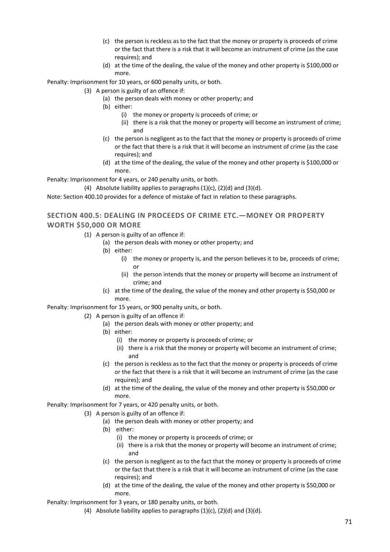- (c) the person is reckless as to the fact that the money or property is proceeds of crime or the fact that there is a risk that it will become an instrument of crime (as the case requires); and
- (d) at the time of the dealing, the value of the money and other property is \$100,000 or more.

Penalty: Imprisonment for 10 years, or 600 penalty units, or both.

- (3) A person is guilty of an offence if:
	- (a) the person deals with money or other property; and
	- (b) either:
		- (i) the money or property is proceeds of crime; or
		- (ii) there is a risk that the money or property will become an instrument of crime; and
	- (c) the person is negligent as to the fact that the money or property is proceeds of crime or the fact that there is a risk that it will become an instrument of crime (as the case requires); and
	- (d) at the time of the dealing, the value of the money and other property is \$100,000 or more.

Penalty: Imprisonment for 4 years, or 240 penalty units, or both.

(4) Absolute liability applies to paragraphs  $(1)(c)$ ,  $(2)(d)$  and  $(3)(d)$ .

Note: Section 400.10 provides for a defence of mistake of fact in relation to these paragraphs.

## **SECTION 400.5: DEALING IN PROCEEDS OF CRIME ETC.—MONEY OR PROPERTY WORTH \$50,000 OR MORE**

- (1) A person is guilty of an offence if:
	- (a) the person deals with money or other property; and
	- (b) either:
		- (i) the money or property is, and the person believes it to be, proceeds of crime; or
		- (ii) the person intends that the money or property will become an instrument of crime; and
	- (c) at the time of the dealing, the value of the money and other property is \$50,000 or more.

Penalty: Imprisonment for 15 years, or 900 penalty units, or both.

(2) A person is guilty of an offence if:

- (a) the person deals with money or other property; and
- (b) either:
	- (i) the money or property is proceeds of crime; or
	- (ii) there is a risk that the money or property will become an instrument of crime; and
- (c) the person is reckless as to the fact that the money or property is proceeds of crime or the fact that there is a risk that it will become an instrument of crime (as the case requires); and
- (d) at the time of the dealing, the value of the money and other property is \$50,000 or more.

Penalty: Imprisonment for 7 years, or 420 penalty units, or both.

- (3) A person is guilty of an offence if:
	- (a) the person deals with money or other property; and
	- (b) either:
		- (i) the money or property is proceeds of crime; or
		- (ii) there is a risk that the money or property will become an instrument of crime; and
	- (c) the person is negligent as to the fact that the money or property is proceeds of crime or the fact that there is a risk that it will become an instrument of crime (as the case requires); and
	- (d) at the time of the dealing, the value of the money and other property is \$50,000 or more.

Penalty: Imprisonment for 3 years, or 180 penalty units, or both.

(4) Absolute liability applies to paragraphs  $(1)(c)$ ,  $(2)(d)$  and  $(3)(d)$ .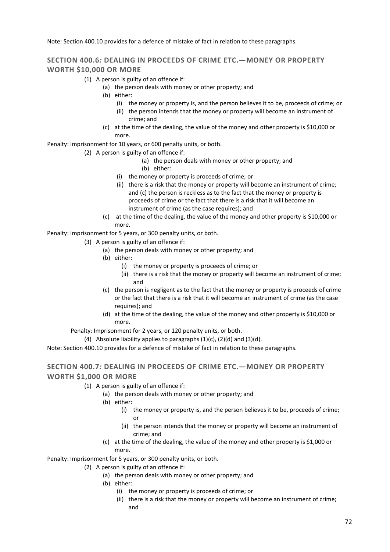Note: Section 400.10 provides for a defence of mistake of fact in relation to these paragraphs.

### **SECTION 400.6***:* **DEALING IN PROCEEDS OF CRIME ETC.—MONEY OR PROPERTY WORTH \$10,000 OR MORE**

- (1) A person is guilty of an offence if:
	- (a) the person deals with money or other property; and
	- (b) either:
		- (i) the money or property is, and the person believes it to be, proceeds of crime; or
		- (ii) the person intends that the money or property will become an instrument of crime; and
	- (c) at the time of the dealing, the value of the money and other property is \$10,000 or more.

Penalty: Imprisonment for 10 years, or 600 penalty units, or both.

- (2) A person is guilty of an offence if:
	- (a) the person deals with money or other property; and
	- (b) either:
	- (i) the money or property is proceeds of crime; or
	- (ii) there is a risk that the money or property will become an instrument of crime; and (c) the person is reckless as to the fact that the money or property is proceeds of crime or the fact that there is a risk that it will become an instrument of crime (as the case requires); and
	- (c) at the time of the dealing, the value of the money and other property is \$10,000 or more.

Penalty: Imprisonment for 5 years, or 300 penalty units, or both.

- (3) A person is guilty of an offence if:
	- (a) the person deals with money or other property; and
	- (b) either:
		- (i) the money or property is proceeds of crime; or
		- (ii) there is a risk that the money or property will become an instrument of crime; and
	- (c) the person is negligent as to the fact that the money or property is proceeds of crime or the fact that there is a risk that it will become an instrument of crime (as the case requires); and
	- (d) at the time of the dealing, the value of the money and other property is \$10,000 or more.

Penalty: Imprisonment for 2 years, or 120 penalty units, or both.

(4) Absolute liability applies to paragraphs  $(1)(c)$ ,  $(2)(d)$  and  $(3)(d)$ .

Note: Section 400.10 provides for a defence of mistake of fact in relation to these paragraphs.

### **SECTION 400.7***:* **DEALING IN PROCEEDS OF CRIME ETC.—MONEY OR PROPERTY WORTH \$1,000 OR MORE**

- (1) A person is guilty of an offence if:
	- (a) the person deals with money or other property; and
	- (b) either:
		- (i) the money or property is, and the person believes it to be, proceeds of crime; or
		- (ii) the person intends that the money or property will become an instrument of crime; and
	- (c) at the time of the dealing, the value of the money and other property is \$1,000 or more.

Penalty: Imprisonment for 5 years, or 300 penalty units, or both.

- (2) A person is guilty of an offence if:
	- (a) the person deals with money or other property; and
	- (b) either:
		- (i) the money or property is proceeds of crime; or
			- (ii) there is a risk that the money or property will become an instrument of crime; and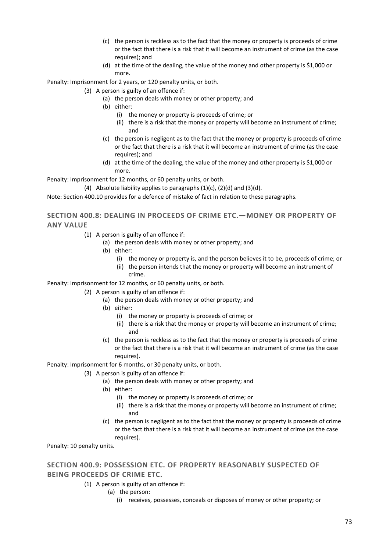- (c) the person is reckless as to the fact that the money or property is proceeds of crime or the fact that there is a risk that it will become an instrument of crime (as the case requires); and
- (d) at the time of the dealing, the value of the money and other property is \$1,000 or more.

Penalty: Imprisonment for 2 years, or 120 penalty units, or both.

- (3) A person is guilty of an offence if:
	- (a) the person deals with money or other property; and
	- (b) either:
		- (i) the money or property is proceeds of crime; or
		- (ii) there is a risk that the money or property will become an instrument of crime; and
	- (c) the person is negligent as to the fact that the money or property is proceeds of crime or the fact that there is a risk that it will become an instrument of crime (as the case requires); and
	- (d) at the time of the dealing, the value of the money and other property is \$1,000 or more.

Penalty: Imprisonment for 12 months, or 60 penalty units, or both.

(4) Absolute liability applies to paragraphs  $(1)(c)$ ,  $(2)(d)$  and  $(3)(d)$ .

Note: Section 400.10 provides for a defence of mistake of fact in relation to these paragraphs.

### **SECTION 400.8: DEALING IN PROCEEDS OF CRIME ETC.—MONEY OR PROPERTY OF ANY VALUE**

- (1) A person is guilty of an offence if:
	- (a) the person deals with money or other property; and
	- (b) either:
		- (i) the money or property is, and the person believes it to be, proceeds of crime; or
		- (ii) the person intends that the money or property will become an instrument of crime.

Penalty: Imprisonment for 12 months, or 60 penalty units, or both.

- (2) A person is guilty of an offence if:
	- (a) the person deals with money or other property; and
	- (b) either:
		- (i) the money or property is proceeds of crime; or
			- (ii) there is a risk that the money or property will become an instrument of crime; and
	- (c) the person is reckless as to the fact that the money or property is proceeds of crime or the fact that there is a risk that it will become an instrument of crime (as the case requires).

Penalty: Imprisonment for 6 months, or 30 penalty units, or both.

- (3) A person is guilty of an offence if:
	- (a) the person deals with money or other property; and
	- (b) either:
		- (i) the money or property is proceeds of crime; or
		- (ii) there is a risk that the money or property will become an instrument of crime; and
	- (c) the person is negligent as to the fact that the money or property is proceeds of crime or the fact that there is a risk that it will become an instrument of crime (as the case requires).

Penalty: 10 penalty units.

## **SECTION 400.9: POSSESSION ETC. OF PROPERTY REASONABLY SUSPECTED OF BEING PROCEEDS OF CRIME ETC.**

- (1) A person is guilty of an offence if:
	- (a) the person:
		- (i) receives, possesses, conceals or disposes of money or other property; or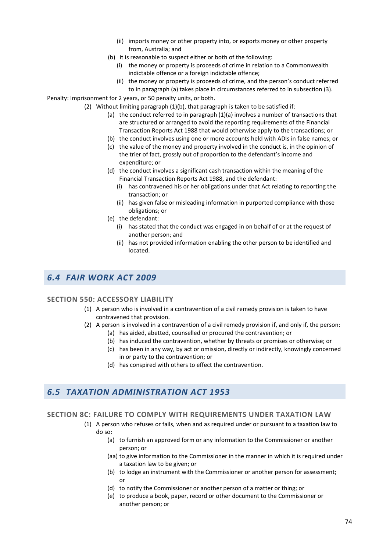- (ii) imports money or other property into, or exports money or other property from, Australia; and
- (b) it is reasonable to suspect either or both of the following:
	- (i) the money or property is proceeds of crime in relation to a Commonwealth indictable offence or a foreign indictable offence;
	- (ii) the money or property is proceeds of crime, and the person's conduct referred to in paragraph (a) takes place in circumstances referred to in subsection (3).

Penalty: Imprisonment for 2 years, or 50 penalty units, or both.

- (2) Without limiting paragraph (1)(b), that paragraph is taken to be satisfied if:
	- (a) the conduct referred to in paragraph (1)(a) involves a number of transactions that are structured or arranged to avoid the reporting requirements of the Financial Transaction Reports Act 1988 that would otherwise apply to the transactions; or
	- (b) the conduct involves using one or more accounts held with ADIs in false names; or
	- (c) the value of the money and property involved in the conduct is, in the opinion of the trier of fact, grossly out of proportion to the defendant's income and expenditure; or
	- (d) the conduct involves a significant cash transaction within the meaning of the Financial Transaction Reports Act 1988, and the defendant:
		- (i) has contravened his or her obligations under that Act relating to reporting the transaction; or
		- (ii) has given false or misleading information in purported compliance with those obligations; or
	- (e) the defendant:
		- (i) has stated that the conduct was engaged in on behalf of or at the request of another person; and
		- (ii) has not provided information enabling the other person to be identified and located.

# *6.4 FAIR WORK ACT 2009*

#### **SECTION 550: ACCESSORY LIABILITY**

- (1) A person who is involved in a contravention of a civil remedy provision is taken to have contravened that provision.
- (2) A person is involved in a contravention of a civil remedy provision if, and only if, the person:
	- (a) has aided, abetted, counselled or procured the contravention; or
	- (b) has induced the contravention, whether by threats or promises or otherwise; or
	- (c) has been in any way, by act or omission, directly or indirectly, knowingly concerned in or party to the contravention; or
	- (d) has conspired with others to effect the contravention.

# *6.5 TAXATION ADMINISTRATION ACT 1953*

#### **SECTION 8C: FAILURE TO COMPLY WITH REQUIREMENTS UNDER TAXATION LAW**

- (1) A person who refuses or fails, when and as required under or pursuant to a taxation law to do so:
	- (a) to furnish an approved form or any information to the Commissioner or another person; or
	- (aa) to give information to the Commissioner in the manner in which it is required under a taxation law to be given; or
	- (b) to lodge an instrument with the Commissioner or another person for assessment; or
	- (d) to notify the Commissioner or another person of a matter or thing; or
	- (e) to produce a book, paper, record or other document to the Commissioner or another person; or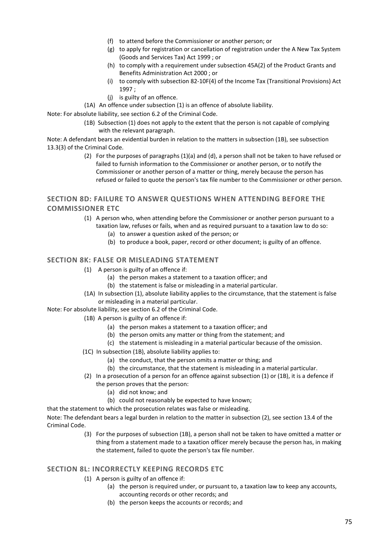- (f) to attend before the Commissioner or another person; or
- (g) to apply for registration or cancellation of registration under the A New Tax System (Goods and Services Tax) Act 1999 ; or
- (h) to comply with a requirement under subsection 45A(2) of the Product Grants and Benefits Administration Act 2000 ; or
- (i) to comply with subsection 82-10F(4) of the Income Tax (Transitional Provisions) Act 1997 ;
- (j) is guilty of an offence.
- (1A) An offence under subsection (1) is an offence of absolute liability.

Note: For absolute liability, see section 6.2 of the Criminal Code.

 (1B) Subsection (1) does not apply to the extent that the person is not capable of complying with the relevant paragraph.

Note: A defendant bears an evidential burden in relation to the matters in subsection (1B), see subsection 13.3(3) of the Criminal Code.

> (2) For the purposes of paragraphs (1)(a) and (d), a person shall not be taken to have refused or failed to furnish information to the Commissioner or another person, or to notify the Commissioner or another person of a matter or thing, merely because the person has refused or failed to quote the person's tax file number to the Commissioner or other person.

### **SECTION 8D: FAILURE TO ANSWER QUESTIONS WHEN ATTENDING BEFORE THE COMMISSIONER ETC**

- (1) A person who, when attending before the Commissioner or another person pursuant to a taxation law, refuses or fails, when and as required pursuant to a taxation law to do so:
	- (a) to answer a question asked of the person; or
	- (b) to produce a book, paper, record or other document; is guilty of an offence.

### **SECTION 8K: FALSE OR MISLEADING STATEMENT**

- (1) A person is guilty of an offence if:
	- (a) the person makes a statement to a taxation officer; and
	- (b) the statement is false or misleading in a material particular.
- (1A) In subsection (1), absolute liability applies to the circumstance, that the statement is false or misleading in a material particular.
- Note: For absolute liability, see section 6.2 of the Criminal Code.
	- (1B) A person is guilty of an offence if:
		- (a) the person makes a statement to a taxation officer; and
		- (b) the person omits any matter or thing from the statement; and
		- (c) the statement is misleading in a material particular because of the omission.
	- (1C) In subsection (1B), absolute liability applies to:
		- (a) the conduct, that the person omits a matter or thing; and
		- (b) the circumstance, that the statement is misleading in a material particular.
	- (2) In a prosecution of a person for an offence against subsection (1) or (1B), it is a defence if the person proves that the person:
		- (a) did not know; and
		- (b) could not reasonably be expected to have known;

that the statement to which the prosecution relates was false or misleading.

Note: The defendant bears a legal burden in relation to the matter in subsection (2), see section 13.4 of the Criminal Code.

> (3) For the purposes of subsection (1B), a person shall not be taken to have omitted a matter or thing from a statement made to a taxation officer merely because the person has, in making the statement, failed to quote the person's tax file number.

#### **SECTION 8L: INCORRECTLY KEEPING RECORDS ETC**

- (1) A person is guilty of an offence if:
	- (a) the person is required under, or pursuant to, a taxation law to keep any accounts, accounting records or other records; and
	- (b) the person keeps the accounts or records; and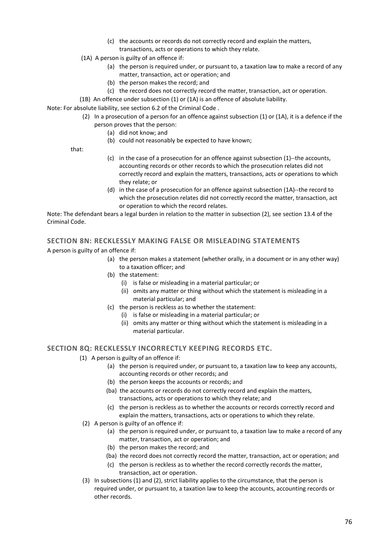- (c) the accounts or records do not correctly record and explain the matters, transactions, acts or operations to which they relate.
- (1A) A person is guilty of an offence if:
	- (a) the person is required under, or pursuant to, a taxation law to make a record of any matter, transaction, act or operation; and
	- (b) the person makes the record; and
	- (c) the record does not correctly record the matter, transaction, act or operation.
- (1B) An offence under subsection (1) or (1A) is an offence of absolute liability.

Note: For absolute liability, see section 6.2 of the Criminal Code .

- (2) In a prosecution of a person for an offence against subsection (1) or (1A), it is a defence if the person proves that the person:
	- (a) did not know; and
	- (b) could not reasonably be expected to have known;

that:

- (c) in the case of a prosecution for an offence against subsection (1)--the accounts, accounting records or other records to which the prosecution relates did not correctly record and explain the matters, transactions, acts or operations to which they relate; or
- (d) in the case of a prosecution for an offence against subsection (1A)--the record to which the prosecution relates did not correctly record the matter, transaction, act or operation to which the record relates.

Note: The defendant bears a legal burden in relation to the matter in subsection (2), see section 13.4 of the Criminal Code.

### **SECTION 8N: RECKLESSLY MAKING FALSE OR MISLEADING STATEMENTS**

A person is guilty of an offence if:

- (a) the person makes a statement (whether orally, in a document or in any other way) to a taxation officer; and
- (b) the statement:
	- (i) is false or misleading in a material particular; or
	- (ii) omits any matter or thing without which the statement is misleading in a material particular; and
- (c) the person is reckless as to whether the statement:
	- (i) is false or misleading in a material particular; or
	- (ii) omits any matter or thing without which the statement is misleading in a material particular.

#### **SECTION 8Q: RECKLESSLY INCORRECTLY KEEPING RECORDS ETC.**

- (1) A person is guilty of an offence if:
	- (a) the person is required under, or pursuant to, a taxation law to keep any accounts, accounting records or other records; and
	- (b) the person keeps the accounts or records; and
	- (ba) the accounts or records do not correctly record and explain the matters, transactions, acts or operations to which they relate; and
	- (c) the person is reckless as to whether the accounts or records correctly record and explain the matters, transactions, acts or operations to which they relate.
- (2) A person is guilty of an offence if:
	- (a) the person is required under, or pursuant to, a taxation law to make a record of any matter, transaction, act or operation; and
	- (b) the person makes the record; and
	- (ba) the record does not correctly record the matter, transaction, act or operation; and
	- (c) the person is reckless as to whether the record correctly records the matter, transaction, act or operation.
- (3) In subsections (1) and (2), strict liability applies to the circumstance, that the person is required under, or pursuant to, a taxation law to keep the accounts, accounting records or other records.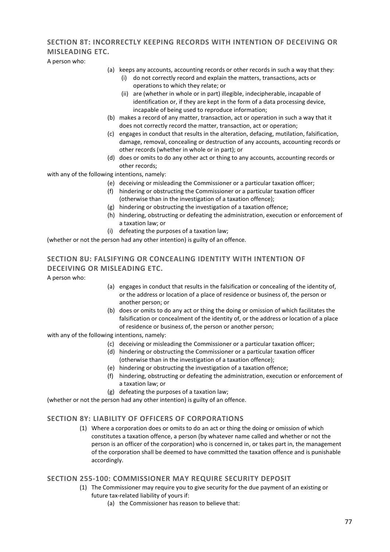# **SECTION 8T: INCORRECTLY KEEPING RECORDS WITH INTENTION OF DECEIVING OR MISLEADING ETC.**

A person who:

- (a) keeps any accounts, accounting records or other records in such a way that they:
	- (i) do not correctly record and explain the matters, transactions, acts or operations to which they relate; or
	- (ii) are (whether in whole or in part) illegible, indecipherable, incapable of identification or, if they are kept in the form of a data processing device, incapable of being used to reproduce information;
- (b) makes a record of any matter, transaction, act or operation in such a way that it does not correctly record the matter, transaction, act or operation;
- (c) engages in conduct that results in the alteration, defacing, mutilation, falsification, damage, removal, concealing or destruction of any accounts, accounting records or other records (whether in whole or in part); or
- (d) does or omits to do any other act or thing to any accounts, accounting records or other records;

with any of the following intentions, namely:

- (e) deceiving or misleading the Commissioner or a particular taxation officer;
- (f) hindering or obstructing the Commissioner or a particular taxation officer (otherwise than in the investigation of a taxation offence);
- (g) hindering or obstructing the investigation of a taxation offence;
- (h) hindering, obstructing or defeating the administration, execution or enforcement of a taxation law; or
- (i) defeating the purposes of a taxation law;

(whether or not the person had any other intention) is guilty of an offence.

## **SECTION 8U: FALSIFYING OR CONCEALING IDENTITY WITH INTENTION OF DECEIVING OR MISLEADING ETC.**

A person who:

- (a) engages in conduct that results in the falsification or concealing of the identity of, or the address or location of a place of residence or business of, the person or another person; or
- (b) does or omits to do any act or thing the doing or omission of which facilitates the falsification or concealment of the identity of, or the address or location of a place of residence or business of, the person or another person;

with any of the following intentions, namely:

- (c) deceiving or misleading the Commissioner or a particular taxation officer;
- (d) hindering or obstructing the Commissioner or a particular taxation officer (otherwise than in the investigation of a taxation offence);
- (e) hindering or obstructing the investigation of a taxation offence;
- (f) hindering, obstructing or defeating the administration, execution or enforcement of a taxation law; or
- (g) defeating the purposes of a taxation law;

(whether or not the person had any other intention) is guilty of an offence.

#### **SECTION 8Y: LIABILITY OF OFFICERS OF CORPORATIONS**

(1) Where a corporation does or omits to do an act or thing the doing or omission of which constitutes a taxation offence, a person (by whatever name called and whether or not the person is an officer of the corporation) who is concerned in, or takes part in, the management of the corporation shall be deemed to have committed the taxation offence and is punishable accordingly.

#### **SECTION 255-100: COMMISSIONER MAY REQUIRE SECURITY DEPOSIT**

- (1) The Commissioner may require you to give security for the due payment of an existing or future tax-related liability of yours if:
	- (a) the Commissioner has reason to believe that: